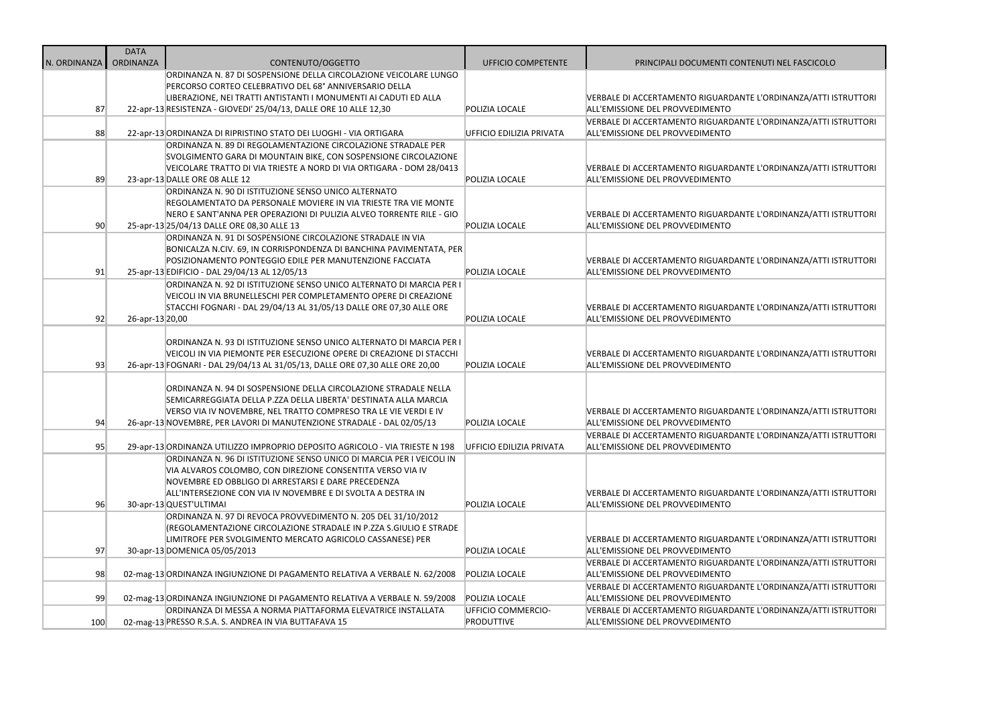|              | <b>DATA</b>     |                                                                                        |                           |                                                                                            |
|--------------|-----------------|----------------------------------------------------------------------------------------|---------------------------|--------------------------------------------------------------------------------------------|
| N. ORDINANZA | ORDINANZA       | CONTENUTO/OGGETTO<br>ORDINANZA N. 87 DI SOSPENSIONE DELLA CIRCOLAZIONE VEICOLARE LUNGO | <b>UFFICIO COMPETENTE</b> | PRINCIPALI DOCUMENTI CONTENUTI NEL FASCICOLO                                               |
|              |                 | PERCORSO CORTEO CELEBRATIVO DEL 68° ANNIVERSARIO DELLA                                 |                           |                                                                                            |
|              |                 | LIBERAZIONE, NEI TRATTI ANTISTANTI I MONUMENTI AI CADUTI ED ALLA                       |                           | VERBALE DI ACCERTAMENTO RIGUARDANTE L'ORDINANZA/ATTI I:                                    |
| 87           |                 | 22-apr-13 RESISTENZA - GIOVEDI' 25/04/13, DALLE ORE 10 ALLE 12,30                      | POLIZIA LOCALE            | ALL'EMISSIONE DEL PROVVEDIMENTO                                                            |
|              |                 |                                                                                        |                           | VERBALE DI ACCERTAMENTO RIGUARDANTE L'ORDINANZA/ATTI I:                                    |
| 88           |                 | 22-apr-13 ORDINANZA DI RIPRISTINO STATO DEI LUOGHI - VIA ORTIGARA                      | UFFICIO EDILIZIA PRIVATA  | ALL'EMISSIONE DEL PROVVEDIMENTO                                                            |
|              |                 | ORDINANZA N. 89 DI REGOLAMENTAZIONE CIRCOLAZIONE STRADALE PER                          |                           |                                                                                            |
|              |                 | SVOLGIMENTO GARA DI MOUNTAIN BIKE, CON SOSPENSIONE CIRCOLAZIONE                        |                           |                                                                                            |
|              |                 | VEICOLARE TRATTO DI VIA TRIESTE A NORD DI VIA ORTIGARA - DOM 28/0413                   |                           | VERBALE DI ACCERTAMENTO RIGUARDANTE L'ORDINANZA/ATTI I:                                    |
| 89           |                 | 23-apr-13 DALLE ORE 08 ALLE 12                                                         | POLIZIA LOCALE            | ALL'EMISSIONE DEL PROVVEDIMENTO                                                            |
|              |                 | ORDINANZA N. 90 DI ISTITUZIONE SENSO UNICO ALTERNATO                                   |                           |                                                                                            |
|              |                 | REGOLAMENTATO DA PERSONALE MOVIERE IN VIA TRIESTE TRA VIE MONTE                        |                           |                                                                                            |
|              |                 | NERO E SANT'ANNA PER OPERAZIONI DI PULIZIA ALVEO TORRENTE RILE - GIO                   |                           | VERBALE DI ACCERTAMENTO RIGUARDANTE L'ORDINANZA/ATTI I:                                    |
| 90           |                 | 25-apr-13 25/04/13 DALLE ORE 08,30 ALLE 13                                             | POLIZIA LOCALE            | ALL'EMISSIONE DEL PROVVEDIMENTO                                                            |
|              |                 | ORDINANZA N. 91 DI SOSPENSIONE CIRCOLAZIONE STRADALE IN VIA                            |                           |                                                                                            |
|              |                 | BONICALZA N.CIV. 69, IN CORRISPONDENZA DI BANCHINA PAVIMENTATA, PER                    |                           |                                                                                            |
|              |                 | POSIZIONAMENTO PONTEGGIO EDILE PER MANUTENZIONE FACCIATA                               |                           | VERBALE DI ACCERTAMENTO RIGUARDANTE L'ORDINANZA/ATTI I:                                    |
| 91           |                 | 25-apr-13 EDIFICIO - DAL 29/04/13 AL 12/05/13                                          | POLIZIA LOCALE            | ALL'EMISSIONE DEL PROVVEDIMENTO                                                            |
|              |                 | ORDINANZA N. 92 DI ISTITUZIONE SENSO UNICO ALTERNATO DI MARCIA PER I                   |                           |                                                                                            |
|              |                 | VEICOLI IN VIA BRUNELLESCHI PER COMPLETAMENTO OPERE DI CREAZIONE                       |                           |                                                                                            |
|              |                 | STACCHI FOGNARI - DAL 29/04/13 AL 31/05/13 DALLE ORE 07,30 ALLE ORE                    |                           | VERBALE DI ACCERTAMENTO RIGUARDANTE L'ORDINANZA/ATTI I:                                    |
| 92           | 26-apr-13 20,00 |                                                                                        | POLIZIA LOCALE            | ALL'EMISSIONE DEL PROVVEDIMENTO                                                            |
|              |                 |                                                                                        |                           |                                                                                            |
|              |                 | ORDINANZA N. 93 DI ISTITUZIONE SENSO UNICO ALTERNATO DI MARCIA PER I                   |                           |                                                                                            |
| 93           |                 | VEICOLI IN VIA PIEMONTE PER ESECUZIONE OPERE DI CREAZIONE DI STACCHI                   | POLIZIA LOCALE            | VERBALE DI ACCERTAMENTO RIGUARDANTE L'ORDINANZA/ATTI I:<br>ALL'EMISSIONE DEL PROVVEDIMENTO |
|              |                 | 26-apr-13 FOGNARI - DAL 29/04/13 AL 31/05/13, DALLE ORE 07,30 ALLE ORE 20,00           |                           |                                                                                            |
|              |                 | ORDINANZA N. 94 DI SOSPENSIONE DELLA CIRCOLAZIONE STRADALE NELLA                       |                           |                                                                                            |
|              |                 | SEMICARREGGIATA DELLA P.ZZA DELLA LIBERTA' DESTINATA ALLA MARCIA                       |                           |                                                                                            |
|              |                 | VERSO VIA IV NOVEMBRE, NEL TRATTO COMPRESO TRA LE VIE VERDI E IV                       |                           | VERBALE DI ACCERTAMENTO RIGUARDANTE L'ORDINANZA/ATTI I:                                    |
| 94           |                 | 26-apr-13 NOVEMBRE, PER LAVORI DI MANUTENZIONE STRADALE - DAL 02/05/13                 | POLIZIA LOCALE            | ALL'EMISSIONE DEL PROVVEDIMENTO                                                            |
|              |                 |                                                                                        |                           | VERBALE DI ACCERTAMENTO RIGUARDANTE L'ORDINANZA/ATTI I:                                    |
| 95           |                 | 29-apr-13 ORDINANZA UTILIZZO IMPROPRIO DEPOSITO AGRICOLO - VIA TRIESTE N 198           | UFFICIO EDILIZIA PRIVATA  | ALL'EMISSIONE DEL PROVVEDIMENTO                                                            |
|              |                 | ORDINANZA N. 96 DI ISTITUZIONE SENSO UNICO DI MARCIA PER I VEICOLI IN                  |                           |                                                                                            |
|              |                 | VIA ALVAROS COLOMBO, CON DIREZIONE CONSENTITA VERSO VIA IV                             |                           |                                                                                            |
|              |                 | NOVEMBRE ED OBBLIGO DI ARRESTARSI E DARE PRECEDENZA                                    |                           |                                                                                            |
|              |                 | ALL'INTERSEZIONE CON VIA IV NOVEMBRE E DI SVOLTA A DESTRA IN                           |                           | VERBALE DI ACCERTAMENTO RIGUARDANTE L'ORDINANZA/ATTI I:                                    |
| 96           |                 | 30-apr-13 QUEST'ULTIMAI                                                                | POLIZIA LOCALE            | ALL'EMISSIONE DEL PROVVEDIMENTO                                                            |
|              |                 | ORDINANZA N. 97 DI REVOCA PROVVEDIMENTO N. 205 DEL 31/10/2012                          |                           |                                                                                            |
|              |                 | (REGOLAMENTAZIONE CIRCOLAZIONE STRADALE IN P.ZZA S.GIULIO E STRADE                     |                           |                                                                                            |
|              |                 | LIMITROFE PER SVOLGIMENTO MERCATO AGRICOLO CASSANESE) PER                              |                           | VERBALE DI ACCERTAMENTO RIGUARDANTE L'ORDINANZA/ATTI I:                                    |
| 97           |                 | 30-apr-13 DOMENICA 05/05/2013                                                          | POLIZIA LOCALE            | ALL'EMISSIONE DEL PROVVEDIMENTO                                                            |
|              |                 |                                                                                        |                           | VERBALE DI ACCERTAMENTO RIGUARDANTE L'ORDINANZA/ATTI I:                                    |
| 98           |                 | 02-mag-13 ORDINANZA INGIUNZIONE DI PAGAMENTO RELATIVA A VERBALE N. 62/2008             | POLIZIA LOCALE            | ALL'EMISSIONE DEL PROVVEDIMENTO                                                            |
|              |                 |                                                                                        |                           | VERBALE DI ACCERTAMENTO RIGUARDANTE L'ORDINANZA/ATTI I:                                    |
| 99           |                 | 02-mag-13 ORDINANZA INGIUNZIONE DI PAGAMENTO RELATIVA A VERBALE N. 59/2008             | POLIZIA LOCALE            | ALL'EMISSIONE DEL PROVVEDIMENTO                                                            |
|              |                 | ORDINANZA DI MESSA A NORMA PIATTAFORMA ELEVATRICE INSTALLATA                           | UFFICIO COMMERCIO-        | VERBALE DI ACCERTAMENTO RIGUARDANTE L'ORDINANZA/ATTI I:                                    |
| 100          |                 | 02-mag-13 PRESSO R.S.A. S. ANDREA IN VIA BUTTAFAVA 15                                  | <b>PRODUTTIVE</b>         | ALL'EMISSIONE DEL PROVVEDIMENTO                                                            |

L'ORDINANZA/ATTI ISTRUTTORI

L'ORDINANZA/ATTI ISTRUTTORI

L'ORDINANZA/ATTI ISTRUTTORI

L'ORDINANZA/ATTI ISTRUTTORI

L'ORDINANZA/ATTI ISTRUTTORI

L'ORDINANZA/ATTI ISTRUTTORI

L'ORDINANZA/ATTI ISTRUTTORI

L'ORDINANZA/ATTI ISTRUTTORI

L'ORDINANZA/ATTI ISTRUTTORI

L'ORDINANZA/ATTI ISTRUTTORI

L'ORDINANZA/ATTI ISTRUTTORI

L'ORDINANZA/ATTI ISTRUTTORI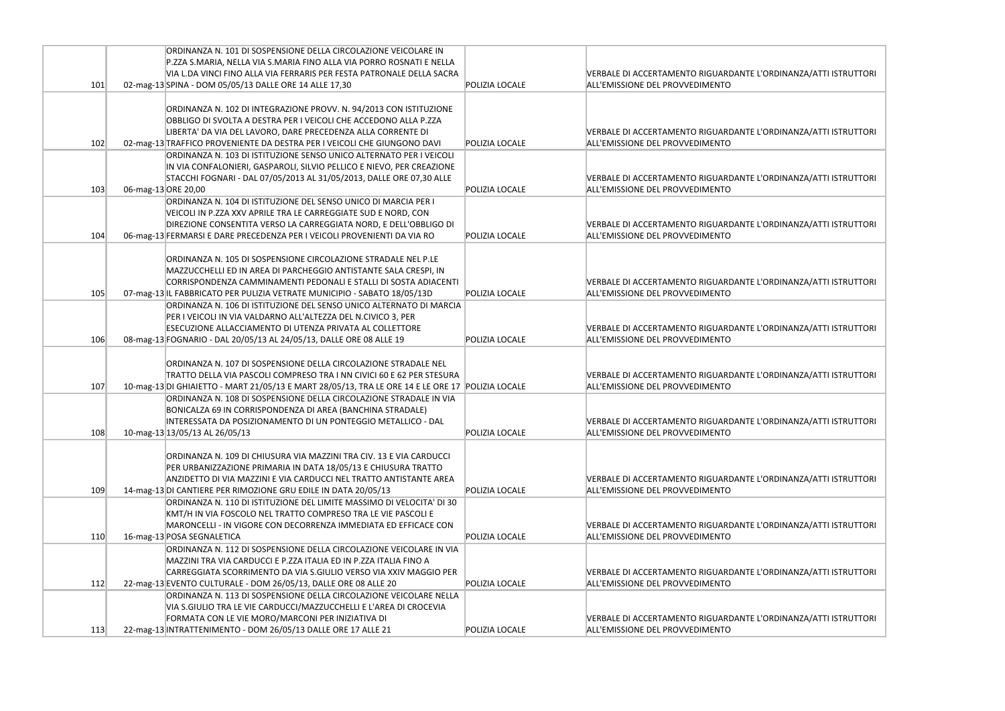|     | ORDINANZA N. 101 DI SOSPENSIONE DELLA CIRCOLAZIONE VEICOLARE IN                                                                                                                                                                                                                    |                       |                                                                               |
|-----|------------------------------------------------------------------------------------------------------------------------------------------------------------------------------------------------------------------------------------------------------------------------------------|-----------------------|-------------------------------------------------------------------------------|
|     | P.ZZA S.MARIA, NELLA VIA S.MARIA FINO ALLA VIA PORRO ROSNATI E NELLA<br>VIA L.DA VINCI FINO ALLA VIA FERRARIS PER FESTA PATRONALE DELLA SACRA                                                                                                                                      |                       | VERBALE DI ACCERTAMENTO RIGUARDANTE                                           |
| 101 | 02-mag-13 SPINA - DOM 05/05/13 DALLE ORE 14 ALLE 17,30                                                                                                                                                                                                                             | POLIZIA LOCALE        | ALL'EMISSIONE DEL PROVVEDIMENTO                                               |
|     | ORDINANZA N. 102 DI INTEGRAZIONE PROVV. N. 94/2013 CON ISTITUZIONE<br>OBBLIGO DI SVOLTA A DESTRA PER I VEICOLI CHE ACCEDONO ALLA P.ZZA<br>LIBERTA' DA VIA DEL LAVORO, DARE PRECEDENZA ALLA CORRENTE DI                                                                             |                       | <b>VERBALE DI ACCERTAMENTO RIGUARDANTE</b>                                    |
| 102 | 02-mag-13 TRAFFICO PROVENIENTE DA DESTRA PER I VEICOLI CHE GIUNGONO DAVI                                                                                                                                                                                                           | POLIZIA LOCALE        | ALL'EMISSIONE DEL PROVVEDIMENTO                                               |
| 103 | ORDINANZA N. 103 DI ISTITUZIONE SENSO UNICO ALTERNATO PER I VEICOLI<br>IN VIA CONFALONIERI, GASPAROLI, SILVIO PELLICO E NIEVO, PER CREAZIONE<br>STACCHI FOGNARI - DAL 07/05/2013 AL 31/05/2013, DALLE ORE 07,30 ALLE<br>06-mag-13 ORE 20,00                                        | <b>POLIZIA LOCALE</b> | VERBALE DI ACCERTAMENTO RIGUARDANTE<br>ALL'EMISSIONE DEL PROVVEDIMENTO        |
|     | ORDINANZA N. 104 DI ISTITUZIONE DEL SENSO UNICO DI MARCIA PER I<br>VEICOLI IN P.ZZA XXV APRILE TRA LE CARREGGIATE SUD E NORD, CON<br>DIREZIONE CONSENTITA VERSO LA CARREGGIATA NORD, E DELL'OBBLIGO DI                                                                             |                       | VERBALE DI ACCERTAMENTO RIGUARDANTE                                           |
| 104 | 06-mag-13 FERMARSI E DARE PRECEDENZA PER I VEICOLI PROVENIENTI DA VIA RO                                                                                                                                                                                                           | POLIZIA LOCALE        | ALL'EMISSIONE DEL PROVVEDIMENTO                                               |
| 105 | ORDINANZA N. 105 DI SOSPENSIONE CIRCOLAZIONE STRADALE NEL P.LE<br>MAZZUCCHELLI ED IN AREA DI PARCHEGGIO ANTISTANTE SALA CRESPI, IN<br>CORRISPONDENZA CAMMINAMENTI PEDONALI E STALLI DI SOSTA ADIACENTI<br>07-mag-13 IL FABBRICATO PER PULIZIA VETRATE MUNICIPIO - SABATO 18/05/13D | POLIZIA LOCALE        | <b>VERBALE DI ACCERTAMENTO RIGUARDANTE</b><br>ALL'EMISSIONE DEL PROVVEDIMENTO |
| 106 | ORDINANZA N. 106 DI ISTITUZIONE DEL SENSO UNICO ALTERNATO DI MARCIA<br>PER I VEICOLI IN VIA VALDARNO ALL'ALTEZZA DEL N.CIVICO 3, PER<br>ESECUZIONE ALLACCIAMENTO DI UTENZA PRIVATA AL COLLETTORE<br>08-mag-13 FOGNARIO - DAL 20/05/13 AL 24/05/13, DALLE ORE 08 ALLE 19            | POLIZIA LOCALE        | <b>VERBALE DI ACCERTAMENTO RIGUARDANTE</b><br>ALL'EMISSIONE DEL PROVVEDIMENTO |
| 107 | ORDINANZA N. 107 DI SOSPENSIONE DELLA CIRCOLAZIONE STRADALE NEL<br>TRATTO DELLA VIA PASCOLI COMPRESO TRA I NN CIVICI 60 E 62 PER STESURA<br>10-mag-13 DI GHIAIETTO - MART 21/05/13 E MART 28/05/13, TRA LE ORE 14 E LE ORE 17 POLIZIA LOCALE                                       |                       | VERBALE DI ACCERTAMENTO RIGUARDANTE<br>ALL'EMISSIONE DEL PROVVEDIMENTO        |
| 108 | ORDINANZA N. 108 DI SOSPENSIONE DELLA CIRCOLAZIONE STRADALE IN VIA<br>BONICALZA 69 IN CORRISPONDENZA DI AREA (BANCHINA STRADALE)<br>INTERESSATA DA POSIZIONAMENTO DI UN PONTEGGIO METALLICO - DAL<br>10-mag-13 13/05/13 AL 26/05/13                                                | POLIZIA LOCALE        | VERBALE DI ACCERTAMENTO RIGUARDANTE<br>ALL'EMISSIONE DEL PROVVEDIMENTO        |
| 109 | ORDINANZA N. 109 DI CHIUSURA VIA MAZZINI TRA CIV. 13 E VIA CARDUCCI<br>PER URBANIZZAZIONE PRIMARIA IN DATA 18/05/13 E CHIUSURA TRATTO<br>ANZIDETTO DI VIA MAZZINI E VIA CARDUCCI NEL TRATTO ANTISTANTE AREA<br>14-mag-13 DI CANTIERE PER RIMOZIONE GRU EDILE IN DATA 20/05/13      | POLIZIA LOCALE        | VERBALE DI ACCERTAMENTO RIGUARDANTE<br>ALL'EMISSIONE DEL PROVVEDIMENTO        |
| 110 | ORDINANZA N. 110 DI ISTITUZIONE DEL LIMITE MASSIMO DI VELOCITA' DI 30<br>KMT/H IN VIA FOSCOLO NEL TRATTO COMPRESO TRA LE VIE PASCOLI E<br>MARONCELLI - IN VIGORE CON DECORRENZA IMMEDIATA ED EFFICACE CON<br>16-mag-13 POSA SEGNALETICA                                            | POLIZIA LOCALE        | VERBALE DI ACCERTAMENTO RIGUARDANTE<br>ALL'EMISSIONE DEL PROVVEDIMENTO        |
| 112 | ORDINANZA N. 112 DI SOSPENSIONE DELLA CIRCOLAZIONE VEICOLARE IN VIA<br>MAZZINI TRA VIA CARDUCCI E P.ZZA ITALIA ED IN P.ZZA ITALIA FINO A<br>CARREGGIATA SCORRIMENTO DA VIA S.GIULIO VERSO VIA XXIV MAGGIO PER<br>22-mag-13 EVENTO CULTURALE - DOM 26/05/13, DALLE ORE 08 ALLE 20   | POLIZIA LOCALE        | VERBALE DI ACCERTAMENTO RIGUARDANTE<br>ALL'EMISSIONE DEL PROVVEDIMENTO        |
| 113 | ORDINANZA N. 113 DI SOSPENSIONE DELLA CIRCOLAZIONE VEICOLARE NELLA<br>VIA S.GIULIO TRA LE VIE CARDUCCI/MAZZUCCHELLI E L'AREA DI CROCEVIA<br>FORMATA CON LE VIE MORO/MARCONI PER INIZIATIVA DI<br>22-mag-13 INTRATTENIMENTO - DOM 26/05/13 DALLE ORE 17 ALLE 21                     | POLIZIA LOCALE        | VERBALE DI ACCERTAMENTO RIGUARDANTE<br>ALL'EMISSIONE DEL PROVVEDIMENTO        |

L'ORDINANZA/ATTI ISTRUTTORI

L'ORDINANZA/ATTI ISTRUTTORI

L'ORDINANZA/ATTI ISTRUTTORI

L'ORDINANZA/ATTI ISTRUTTORI

L'ORDINANZA/ATTI ISTRUTTORI

L'ORDINANZA/ATTI ISTRUTTORI

L'ORDINANZA/ATTI ISTRUTTORI

L'ORDINANZA/ATTI ISTRUTTORI

L'ORDINANZA/ATTI ISTRUTTORI

L'ORDINANZA/ATTI ISTRUTTORI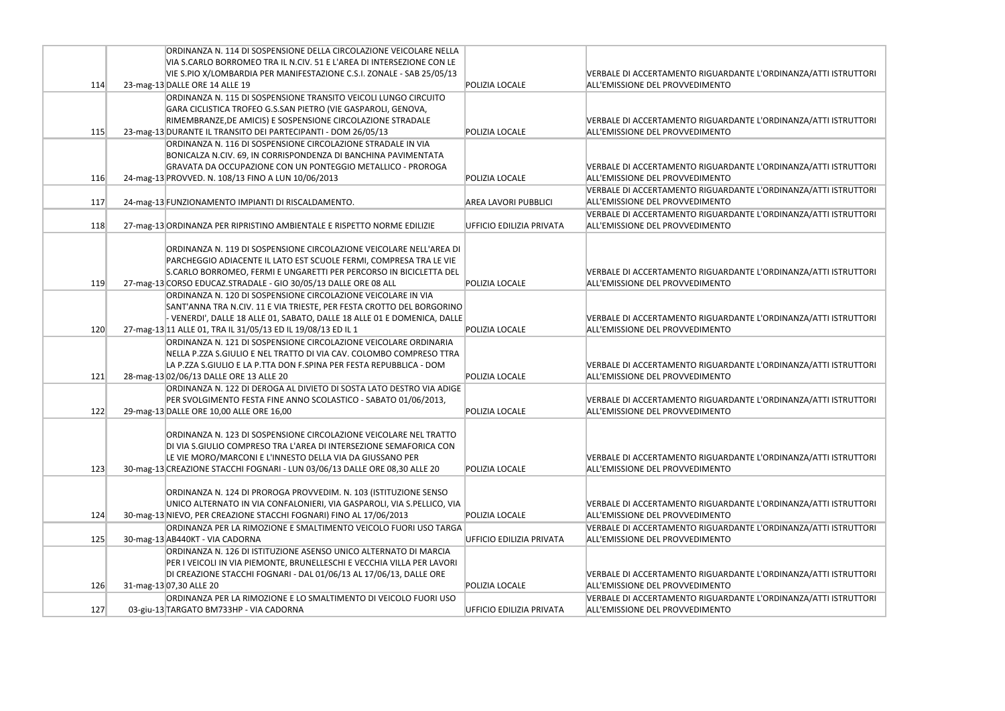|     | ORDINANZA N. 114 DI SOSPENSIONE DELLA CIRCOLAZIONE VEICOLARE NELLA         |                             |                                            |
|-----|----------------------------------------------------------------------------|-----------------------------|--------------------------------------------|
|     | VIA S.CARLO BORROMEO TRA IL N.CIV. 51 E L'AREA DI INTERSEZIONE CON LE      |                             |                                            |
|     | VIE S.PIO X/LOMBARDIA PER MANIFESTAZIONE C.S.I. ZONALE - SAB 25/05/13      |                             | <b>VERBALE DI ACCERTAMENTO RIGUARDANTE</b> |
| 114 | 23-mag-13 DALLE ORE 14 ALLE 19                                             | <b>POLIZIA LOCALE</b>       | ALL'EMISSIONE DEL PROVVEDIMENTO            |
|     | ORDINANZA N. 115 DI SOSPENSIONE TRANSITO VEICOLI LUNGO CIRCUITO            |                             |                                            |
|     | GARA CICLISTICA TROFEO G.S.SAN PIETRO (VIE GASPAROLI, GENOVA,              |                             |                                            |
|     | RIMEMBRANZE, DE AMICIS) E SOSPENSIONE CIRCOLAZIONE STRADALE                |                             | <b>VERBALE DI ACCERTAMENTO RIGUARDANTE</b> |
| 115 | 23-mag-13 DURANTE IL TRANSITO DEI PARTECIPANTI - DOM 26/05/13              | <b>POLIZIA LOCALE</b>       | ALL'EMISSIONE DEL PROVVEDIMENTO            |
|     | ORDINANZA N. 116 DI SOSPENSIONE CIRCOLAZIONE STRADALE IN VIA               |                             |                                            |
|     | BONICALZA N.CIV. 69, IN CORRISPONDENZA DI BANCHINA PAVIMENTATA             |                             |                                            |
|     | GRAVATA DA OCCUPAZIONE CON UN PONTEGGIO METALLICO - PROROGA                |                             | <b>VERBALE DI ACCERTAMENTO RIGUARDANTE</b> |
| 116 | 24-mag-13 PROVVED. N. 108/13 FINO A LUN 10/06/2013                         | POLIZIA LOCALE              | ALL'EMISSIONE DEL PROVVEDIMENTO            |
|     |                                                                            |                             | <b>VERBALE DI ACCERTAMENTO RIGUARDANTE</b> |
| 117 | 24-mag-13 FUNZIONAMENTO IMPIANTI DI RISCALDAMENTO.                         | <b>AREA LAVORI PUBBLICI</b> | ALL'EMISSIONE DEL PROVVEDIMENTO            |
|     |                                                                            |                             | VERBALE DI ACCERTAMENTO RIGUARDANTE        |
| 118 | 27-mag-13 ORDINANZA PER RIPRISTINO AMBIENTALE E RISPETTO NORME EDILIZIE    | UFFICIO EDILIZIA PRIVATA    | ALL'EMISSIONE DEL PROVVEDIMENTO            |
|     |                                                                            |                             |                                            |
|     | ORDINANZA N. 119 DI SOSPENSIONE CIRCOLAZIONE VEICOLARE NELL'AREA DI        |                             |                                            |
|     | PARCHEGGIO ADIACENTE IL LATO EST SCUOLE FERMI, COMPRESA TRA LE VIE         |                             |                                            |
|     | S.CARLO BORROMEO, FERMI E UNGARETTI PER PERCORSO IN BICICLETTA DEL         |                             | <b>VERBALE DI ACCERTAMENTO RIGUARDANTE</b> |
| 119 | 27-mag-13 CORSO EDUCAZ.STRADALE - GIO 30/05/13 DALLE ORE 08 ALL            | <b>POLIZIA LOCALE</b>       | ALL'EMISSIONE DEL PROVVEDIMENTO            |
|     | ORDINANZA N. 120 DI SOSPENSIONE CIRCOLAZIONE VEICOLARE IN VIA              |                             |                                            |
|     | SANT'ANNA TRA N.CIV. 11 E VIA TRIESTE, PER FESTA CROTTO DEL BORGORINO      |                             |                                            |
|     | - VENERDI', DALLE 18 ALLE 01, SABATO, DALLE 18 ALLE 01 E DOMENICA, DALLE   |                             | <b>VERBALE DI ACCERTAMENTO RIGUARDANTE</b> |
| 120 | 27-mag-13 11 ALLE 01, TRA IL 31/05/13 ED IL 19/08/13 ED IL 1               | POLIZIA LOCALE              | ALL'EMISSIONE DEL PROVVEDIMENTO            |
|     | ORDINANZA N. 121 DI SOSPENSIONE CIRCOLAZIONE VEICOLARE ORDINARIA           |                             |                                            |
|     | NELLA P.ZZA S.GIULIO E NEL TRATTO DI VIA CAV. COLOMBO COMPRESO TTRA        |                             |                                            |
|     | LA P.ZZA S.GIULIO E LA P.TTA DON F.SPINA PER FESTA REPUBBLICA - DOM        |                             | <b>VERBALE DI ACCERTAMENTO RIGUARDANTE</b> |
| 121 | 28-mag-13 02/06/13 DALLE ORE 13 ALLE 20                                    | <b>POLIZIA LOCALE</b>       | ALL'EMISSIONE DEL PROVVEDIMENTO            |
|     | ORDINANZA N. 122 DI DEROGA AL DIVIETO DI SOSTA LATO DESTRO VIA ADIGE       |                             |                                            |
|     | PER SVOLGIMENTO FESTA FINE ANNO SCOLASTICO - SABATO 01/06/2013,            |                             | VERBALE DI ACCERTAMENTO RIGUARDANTE        |
| 122 | 29-mag-13 DALLE ORE 10,00 ALLE ORE 16,00                                   | POLIZIA LOCALE              | ALL'EMISSIONE DEL PROVVEDIMENTO            |
|     |                                                                            |                             |                                            |
|     | ORDINANZA N. 123 DI SOSPENSIONE CIRCOLAZIONE VEICOLARE NEL TRATTO          |                             |                                            |
|     | DI VIA S.GIULIO COMPRESO TRA L'AREA DI INTERSEZIONE SEMAFORICA CON         |                             |                                            |
|     | LE VIE MORO/MARCONI E L'INNESTO DELLA VIA DA GIUSSANO PER                  |                             | <b>VERBALE DI ACCERTAMENTO RIGUARDANTE</b> |
| 123 | 30-mag-13 CREAZIONE STACCHI FOGNARI - LUN 03/06/13 DALLE ORE 08,30 ALLE 20 | POLIZIA LOCALE              | ALL'EMISSIONE DEL PROVVEDIMENTO            |
|     |                                                                            |                             |                                            |
|     | ORDINANZA N. 124 DI PROROGA PROVVEDIM. N. 103 (ISTITUZIONE SENSO           |                             |                                            |
|     | UNICO ALTERNATO IN VIA CONFALONIERI, VIA GASPAROLI, VIA S.PELLICO, VIA     |                             | <b>VERBALE DI ACCERTAMENTO RIGUARDANTE</b> |
| 124 | 30-mag-13 NIEVO, PER CREAZIONE STACCHI FOGNARI) FINO AL 17/06/2013         | POLIZIA LOCALE              | ALL'EMISSIONE DEL PROVVEDIMENTO            |
|     | ORDINANZA PER LA RIMOZIONE E SMALTIMENTO VEICOLO FUORI USO TARGA           |                             | <b>VERBALE DI ACCERTAMENTO RIGUARDANTE</b> |
| 125 | 30-mag-13 AB440KT - VIA CADORNA                                            | UFFICIO EDILIZIA PRIVATA    | ALL'EMISSIONE DEL PROVVEDIMENTO            |
|     | ORDINANZA N. 126 DI ISTITUZIONE ASENSO UNICO ALTERNATO DI MARCIA           |                             |                                            |
|     | PER I VEICOLI IN VIA PIEMONTE, BRUNELLESCHI E VECCHIA VILLA PER LAVORI     |                             |                                            |
|     | DI CREAZIONE STACCHI FOGNARI - DAL 01/06/13 AL 17/06/13, DALLE ORE         |                             | <b>VERBALE DI ACCERTAMENTO RIGUARDANTE</b> |
| 126 | 31-mag-13 07,30 ALLE 20                                                    | POLIZIA LOCALE              | ALL'EMISSIONE DEL PROVVEDIMENTO            |
|     | ORDINANZA PER LA RIMOZIONE E LO SMALTIMENTO DI VEICOLO FUORI USO           |                             | <b>VERBALE DI ACCERTAMENTO RIGUARDANTE</b> |
| 127 | 03-giu-13 TARGATO BM733HP - VIA CADORNA                                    | UFFICIO EDILIZIA PRIVATA    | ALL'EMISSIONE DEL PROVVEDIMENTO            |
|     |                                                                            |                             |                                            |

E L'ORDINANZA/ATTI ISTRUTTORI

E L'ORDINANZA/ATTI ISTRUTTORI

E L'ORDINANZA/ATTI ISTRUTTORI

E L'ORDINANZA/ATTI ISTRUTTORI

E L'ORDINANZA/ATTI ISTRUTTORI

E L'ORDINANZA/ATTI ISTRUTTORI

E L'ORDINANZA/ATTI ISTRUTTORI

E L'ORDINANZA/ATTI ISTRUTTORI

E L'ORDINANZA/ATTI ISTRUTTORI

E L'ORDINANZA/ATTI ISTRUTTORI

E L'ORDINANZA/ATTI ISTRUTTORI

L'ORDINANZA/ATTI ISTRUTTORI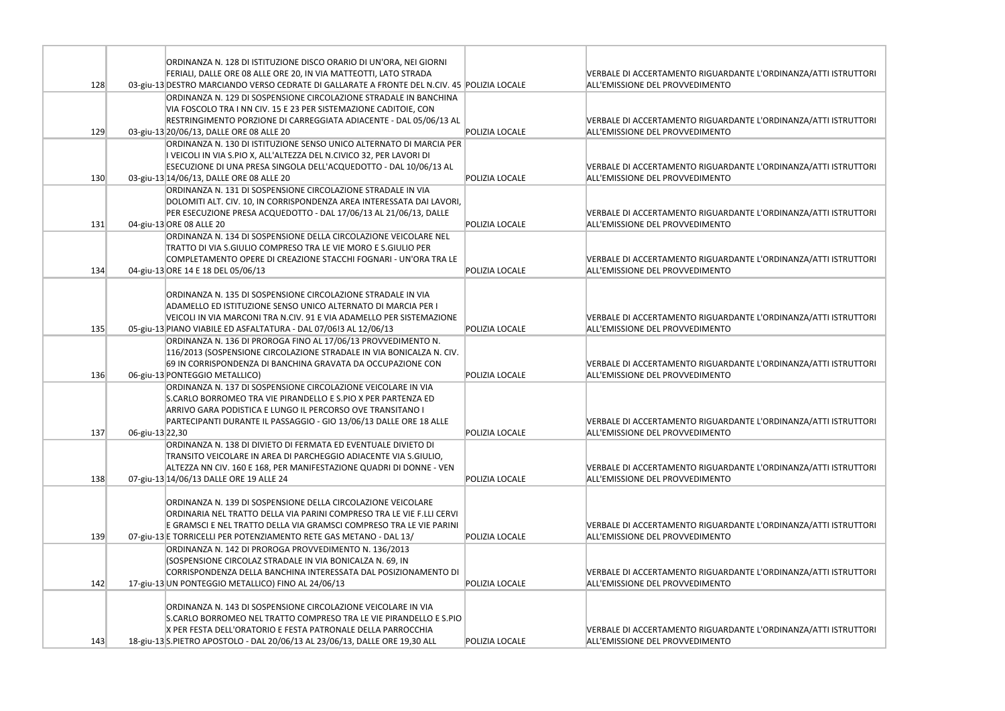|     |                 | ORDINANZA N. 128 DI ISTITUZIONE DISCO ORARIO DI UN'ORA, NEI GIORNI                          |                |                                                                        |
|-----|-----------------|---------------------------------------------------------------------------------------------|----------------|------------------------------------------------------------------------|
|     |                 | FERIALI, DALLE ORE 08 ALLE ORE 20, IN VIA MATTEOTTI, LATO STRADA                            |                | VERBALE DI ACCERTAMENTO RIGUARDANTE                                    |
| 128 |                 | 03-giu-13 DESTRO MARCIANDO VERSO CEDRATE DI GALLARATE A FRONTE DEL N.CIV. 45 POLIZIA LOCALE |                | ALL'EMISSIONE DEL PROVVEDIMENTO                                        |
|     |                 | ORDINANZA N. 129 DI SOSPENSIONE CIRCOLAZIONE STRADALE IN BANCHINA                           |                |                                                                        |
|     |                 | VIA FOSCOLO TRA I NN CIV. 15 E 23 PER SISTEMAZIONE CADITOIE, CON                            |                |                                                                        |
|     |                 | RESTRINGIMENTO PORZIONE DI CARREGGIATA ADIACENTE - DAL 05/06/13 AL                          |                | VERBALE DI ACCERTAMENTO RIGUARDANTE                                    |
| 129 |                 | 03-giu-13 20/06/13, DALLE ORE 08 ALLE 20                                                    | POLIZIA LOCALE | ALL'EMISSIONE DEL PROVVEDIMENTO                                        |
|     |                 | ORDINANZA N. 130 DI ISTITUZIONE SENSO UNICO ALTERNATO DI MARCIA PER                         |                |                                                                        |
|     |                 | I VEICOLI IN VIA S.PIO X, ALL'ALTEZZA DEL N.CIVICO 32, PER LAVORI DI                        |                |                                                                        |
|     |                 | ESECUZIONE DI UNA PRESA SINGOLA DELL'ACQUEDOTTO - DAL 10/06/13 AL                           |                | VERBALE DI ACCERTAMENTO RIGUARDANTE                                    |
| 130 |                 | 03-giu-13 14/06/13, DALLE ORE 08 ALLE 20                                                    | POLIZIA LOCALE | ALL'EMISSIONE DEL PROVVEDIMENTO                                        |
|     |                 | ORDINANZA N. 131 DI SOSPENSIONE CIRCOLAZIONE STRADALE IN VIA                                |                |                                                                        |
|     |                 | DOLOMITI ALT. CIV. 10, IN CORRISPONDENZA AREA INTERESSATA DAI LAVORI,                       |                |                                                                        |
|     |                 | PER ESECUZIONE PRESA ACQUEDOTTO - DAL 17/06/13 AL 21/06/13, DALLE                           |                | VERBALE DI ACCERTAMENTO RIGUARDANTE                                    |
| 131 |                 | 04-giu-13 ORE 08 ALLE 20                                                                    | POLIZIA LOCALE | ALL'EMISSIONE DEL PROVVEDIMENTO                                        |
|     |                 | ORDINANZA N. 134 DI SOSPENSIONE DELLA CIRCOLAZIONE VEICOLARE NEL                            |                |                                                                        |
|     |                 | TRATTO DI VIA S.GIULIO COMPRESO TRA LE VIE MORO E S.GIULIO PER                              |                |                                                                        |
|     |                 | COMPLETAMENTO OPERE DI CREAZIONE STACCHI FOGNARI - UN'ORA TRA LE                            |                | <b>VERBALE DI ACCERTAMENTO RIGUARDANTE</b>                             |
| 134 |                 | 04-giu-13 ORE 14 E 18 DEL 05/06/13                                                          | POLIZIA LOCALE | ALL'EMISSIONE DEL PROVVEDIMENTO                                        |
|     |                 |                                                                                             |                |                                                                        |
|     |                 | ORDINANZA N. 135 DI SOSPENSIONE CIRCOLAZIONE STRADALE IN VIA                                |                |                                                                        |
|     |                 | ADAMELLO ED ISTITUZIONE SENSO UNICO ALTERNATO DI MARCIA PER I                               |                |                                                                        |
|     |                 | VEICOLI IN VIA MARCONI TRA N.CIV. 91 E VIA ADAMELLO PER SISTEMAZIONE                        |                | <b>VERBALE DI ACCERTAMENTO RIGUARDANTE</b>                             |
| 135 |                 | 05-giu-13 PIANO VIABILE ED ASFALTATURA - DAL 07/06!3 AL 12/06/13                            | POLIZIA LOCALE | ALL'EMISSIONE DEL PROVVEDIMENTO                                        |
|     |                 | ORDINANZA N. 136 DI PROROGA FINO AL 17/06/13 PROVVEDIMENTO N.                               |                |                                                                        |
|     |                 | 116/2013 (SOSPENSIONE CIRCOLAZIONE STRADALE IN VIA BONICALZA N. CIV.                        |                |                                                                        |
|     |                 | 69 IN CORRISPONDENZA DI BANCHINA GRAVATA DA OCCUPAZIONE CON                                 |                | VERBALE DI ACCERTAMENTO RIGUARDANTE                                    |
| 136 |                 | 06-giu-13 PONTEGGIO METALLICO)                                                              | POLIZIA LOCALE | ALL'EMISSIONE DEL PROVVEDIMENTO                                        |
|     |                 | ORDINANZA N. 137 DI SOSPENSIONE CIRCOLAZIONE VEICOLARE IN VIA                               |                |                                                                        |
|     |                 | S.CARLO BORROMEO TRA VIE PIRANDELLO E S.PIO X PER PARTENZA ED                               |                |                                                                        |
|     |                 | ARRIVO GARA PODISTICA E LUNGO IL PERCORSO OVE TRANSITANO I                                  |                |                                                                        |
| 137 |                 | PARTECIPANTI DURANTE IL PASSAGGIO - GIO 13/06/13 DALLE ORE 18 ALLE                          | POLIZIA LOCALE | VERBALE DI ACCERTAMENTO RIGUARDANTE<br>ALL'EMISSIONE DEL PROVVEDIMENTO |
|     | 06-giu-13 22,30 | ORDINANZA N. 138 DI DIVIETO DI FERMATA ED EVENTUALE DIVIETO DI                              |                |                                                                        |
|     |                 | TRANSITO VEICOLARE IN AREA DI PARCHEGGIO ADIACENTE VIA S.GIULIO,                            |                |                                                                        |
|     |                 | ALTEZZA NN CIV. 160 E 168, PER MANIFESTAZIONE QUADRI DI DONNE - VEN                         |                | <b>VERBALE DI ACCERTAMENTO RIGUARDANTE</b>                             |
| 138 |                 | 07-giu-13 14/06/13 DALLE ORE 19 ALLE 24                                                     | POLIZIA LOCALE | ALL'EMISSIONE DEL PROVVEDIMENTO                                        |
|     |                 |                                                                                             |                |                                                                        |
|     |                 | ORDINANZA N. 139 DI SOSPENSIONE DELLA CIRCOLAZIONE VEICOLARE                                |                |                                                                        |
|     |                 | ORDINARIA NEL TRATTO DELLA VIA PARINI COMPRESO TRA LE VIE F.LLI CERVI                       |                |                                                                        |
|     |                 | E GRAMSCI E NEL TRATTO DELLA VIA GRAMSCI COMPRESO TRA LE VIE PARINI                         |                | VERBALE DI ACCERTAMENTO RIGUARDANTE                                    |
| 139 |                 | 07-giu-13 E TORRICELLI PER POTENZIAMENTO RETE GAS METANO - DAL 13/                          | POLIZIA LOCALE | ALL'EMISSIONE DEL PROVVEDIMENTO                                        |
|     |                 | ORDINANZA N. 142 DI PROROGA PROVVEDIMENTO N. 136/2013                                       |                |                                                                        |
|     |                 | (SOSPENSIONE CIRCOLAZ STRADALE IN VIA BONICALZA N. 69, IN                                   |                |                                                                        |
|     |                 | CORRISPONDENZA DELLA BANCHINA INTERESSATA DAL POSIZIONAMENTO DI                             |                | VERBALE DI ACCERTAMENTO RIGUARDANTE                                    |
| 142 |                 | 17-giu-13 UN PONTEGGIO METALLICO) FINO AL 24/06/13                                          | POLIZIA LOCALE | ALL'EMISSIONE DEL PROVVEDIMENTO                                        |
|     |                 |                                                                                             |                |                                                                        |
|     |                 | ORDINANZA N. 143 DI SOSPENSIONE CIRCOLAZIONE VEICOLARE IN VIA                               |                |                                                                        |
|     |                 | S.CARLO BORROMEO NEL TRATTO COMPRESO TRA LE VIE PIRANDELLO E S.PIO                          |                |                                                                        |
|     |                 | X PER FESTA DELL'ORATORIO E FESTA PATRONALE DELLA PARROCCHIA                                |                | VERBALE DI ACCERTAMENTO RIGUARDANTE                                    |
| 143 |                 | 18-giu-13 S.PIETRO APOSTOLO - DAL 20/06/13 AL 23/06/13, DALLE ORE 19,30 ALL                 | POLIZIA LOCALE | ALL'EMISSIONE DEL PROVVEDIMENTO                                        |

L'ORDINANZA/ATTI ISTRUTTORI

L'ORDINANZA/ATTI ISTRUTTORI

L'ORDINANZA/ATTI ISTRUTTORI

L'ORDINANZA/ATTI ISTRUTTORI

L'ORDINANZA/ATTI ISTRUTTORI

L'ORDINANZA/ATTI ISTRUTTORI

L'ORDINANZA/ATTI ISTRUTTORI

L'ORDINANZA/ATTI ISTRUTTORI

L'ORDINANZA/ATTI ISTRUTTORI

L'ORDINANZA/ATTI ISTRUTTORI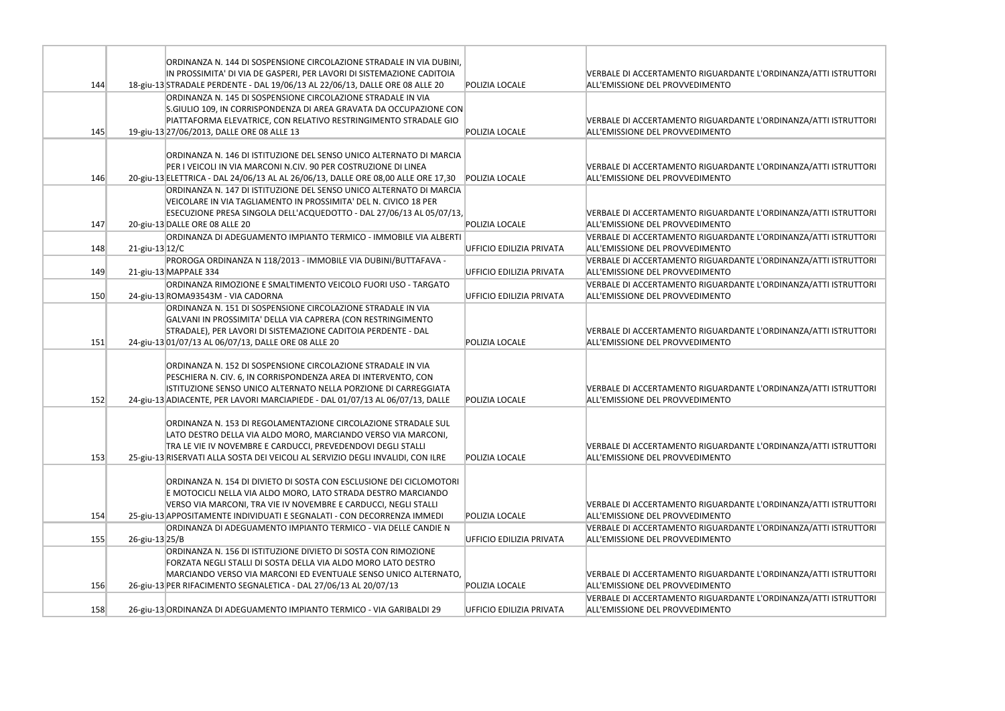|     |                   | ORDINANZA N. 144 DI SOSPENSIONE CIRCOLAZIONE STRADALE IN VIA DUBINI,              |                          |                                            |
|-----|-------------------|-----------------------------------------------------------------------------------|--------------------------|--------------------------------------------|
|     |                   | IN PROSSIMITA' DI VIA DE GASPERI, PER LAVORI DI SISTEMAZIONE CADITOIA             |                          | <b>VERBALE DI ACCERTAMENTO RIGUARDANTE</b> |
| 144 |                   | 18-giu-13 STRADALE PERDENTE - DAL 19/06/13 AL 22/06/13, DALLE ORE 08 ALLE 20      | POLIZIA LOCALE           | ALL'EMISSIONE DEL PROVVEDIMENTO            |
|     |                   | ORDINANZA N. 145 DI SOSPENSIONE CIRCOLAZIONE STRADALE IN VIA                      |                          |                                            |
|     |                   | S.GIULIO 109, IN CORRISPONDENZA DI AREA GRAVATA DA OCCUPAZIONE CON                |                          |                                            |
|     |                   | PIATTAFORMA ELEVATRICE, CON RELATIVO RESTRINGIMENTO STRADALE GIO                  |                          | VERBALE DI ACCERTAMENTO RIGUARDANTE        |
| 145 |                   | 19-giu-13 27/06/2013, DALLE ORE 08 ALLE 13                                        | POLIZIA LOCALE           | ALL'EMISSIONE DEL PROVVEDIMENTO            |
|     |                   |                                                                                   |                          |                                            |
|     |                   | ORDINANZA N. 146 DI ISTITUZIONE DEL SENSO UNICO ALTERNATO DI MARCIA               |                          |                                            |
|     |                   | PER I VEICOLI IN VIA MARCONI N.CIV. 90 PER COSTRUZIONE DI LINEA                   |                          | VERBALE DI ACCERTAMENTO RIGUARDANTE        |
| 146 |                   | 20-giu-13 ELETTRICA - DAL 24/06/13 AL AL 26/06/13, DALLE ORE 08,00 ALLE ORE 17,30 | POLIZIA LOCALE           | ALL'EMISSIONE DEL PROVVEDIMENTO            |
|     |                   | ORDINANZA N. 147 DI ISTITUZIONE DEL SENSO UNICO ALTERNATO DI MARCIA               |                          |                                            |
|     |                   | VEICOLARE IN VIA TAGLIAMENTO IN PROSSIMITA' DEL N. CIVICO 18 PER                  |                          |                                            |
|     |                   | ESECUZIONE PRESA SINGOLA DELL'ACQUEDOTTO - DAL 27/06/13 AL 05/07/13,              |                          | <b>VERBALE DI ACCERTAMENTO RIGUARDANTE</b> |
| 147 |                   | 20-giu-13 DALLE ORE 08 ALLE 20                                                    | POLIZIA LOCALE           | ALL'EMISSIONE DEL PROVVEDIMENTO            |
|     |                   | ORDINANZA DI ADEGUAMENTO IMPIANTO TERMICO - IMMOBILE VIA ALBERTI                  |                          | <b>VERBALE DI ACCERTAMENTO RIGUARDANTE</b> |
| 148 | $21$ -giu-13 12/C |                                                                                   | UFFICIO EDILIZIA PRIVATA | ALL'EMISSIONE DEL PROVVEDIMENTO            |
|     |                   | PROROGA ORDINANZA N 118/2013 - IMMOBILE VIA DUBINI/BUTTAFAVA -                    |                          | VERBALE DI ACCERTAMENTO RIGUARDANTE        |
| 149 |                   | 21-giu-13 MAPPALE 334                                                             | UFFICIO EDILIZIA PRIVATA | ALL'EMISSIONE DEL PROVVEDIMENTO            |
|     |                   | ORDINANZA RIMOZIONE E SMALTIMENTO VEICOLO FUORI USO - TARGATO                     |                          | VERBALE DI ACCERTAMENTO RIGUARDANTE        |
| 150 |                   | 24-giu-13 ROMA93543M - VIA CADORNA                                                | UFFICIO EDILIZIA PRIVATA | ALL'EMISSIONE DEL PROVVEDIMENTO            |
|     |                   | ORDINANZA N. 151 DI SOSPENSIONE CIRCOLAZIONE STRADALE IN VIA                      |                          |                                            |
|     |                   | GALVANI IN PROSSIMITA' DELLA VIA CAPRERA (CON RESTRINGIMENTO                      |                          |                                            |
|     |                   | STRADALE), PER LAVORI DI SISTEMAZIONE CADITOIA PERDENTE - DAL                     |                          | <b>VERBALE DI ACCERTAMENTO RIGUARDANTE</b> |
| 151 |                   | 24-giu-13 01/07/13 AL 06/07/13, DALLE ORE 08 ALLE 20                              | POLIZIA LOCALE           | ALL'EMISSIONE DEL PROVVEDIMENTO            |
|     |                   |                                                                                   |                          |                                            |
|     |                   | ORDINANZA N. 152 DI SOSPENSIONE CIRCOLAZIONE STRADALE IN VIA                      |                          |                                            |
|     |                   | PESCHIERA N. CIV. 6, IN CORRISPONDENZA AREA DI INTERVENTO, CON                    |                          |                                            |
|     |                   | ISTITUZIONE SENSO UNICO ALTERNATO NELLA PORZIONE DI CARREGGIATA                   |                          | VERBALE DI ACCERTAMENTO RIGUARDANTE        |
| 152 |                   | 24-giu-13 ADIACENTE, PER LAVORI MARCIAPIEDE - DAL 01/07/13 AL 06/07/13, DALLE     | POLIZIA LOCALE           | ALL'EMISSIONE DEL PROVVEDIMENTO            |
|     |                   |                                                                                   |                          |                                            |
|     |                   | ORDINANZA N. 153 DI REGOLAMENTAZIONE CIRCOLAZIONE STRADALE SUL                    |                          |                                            |
|     |                   | LATO DESTRO DELLA VIA ALDO MORO, MARCIANDO VERSO VIA MARCONI,                     |                          |                                            |
|     |                   | TRA LE VIE IV NOVEMBRE E CARDUCCI, PREVEDENDOVI DEGLI STALLI                      |                          | VERBALE DI ACCERTAMENTO RIGUARDANTE        |
| 153 |                   | 25-giu-13 RISERVATI ALLA SOSTA DEI VEICOLI AL SERVIZIO DEGLI INVALIDI, CON ILRE   | POLIZIA LOCALE           | ALL'EMISSIONE DEL PROVVEDIMENTO            |
|     |                   |                                                                                   |                          |                                            |
|     |                   | ORDINANZA N. 154 DI DIVIETO DI SOSTA CON ESCLUSIONE DEI CICLOMOTORI               |                          |                                            |
|     |                   | E MOTOCICLI NELLA VIA ALDO MORO, LATO STRADA DESTRO MARCIANDO                     |                          |                                            |
|     |                   | VERSO VIA MARCONI, TRA VIE IV NOVEMBRE E CARDUCCI, NEGLI STALLI                   |                          | VERBALE DI ACCERTAMENTO RIGUARDANTE        |
| 154 |                   | 25-giu-13 APPOSITAMENTE INDIVIDUATI E SEGNALATI - CON DECORRENZA IMMEDI           | POLIZIA LOCALE           | ALL'EMISSIONE DEL PROVVEDIMENTO            |
|     |                   | ORDINANZA DI ADEGUAMENTO IMPIANTO TERMICO - VIA DELLE CANDIE N                    |                          | VERBALE DI ACCERTAMENTO RIGUARDANTE        |
| 155 | 26-giu-13 25/B    |                                                                                   | UFFICIO EDILIZIA PRIVATA | ALL'EMISSIONE DEL PROVVEDIMENTO            |
|     |                   | ORDINANZA N. 156 DI ISTITUZIONE DIVIETO DI SOSTA CON RIMOZIONE                    |                          |                                            |
|     |                   | FORZATA NEGLI STALLI DI SOSTA DELLA VIA ALDO MORO LATO DESTRO                     |                          |                                            |
|     |                   | MARCIANDO VERSO VIA MARCONI ED EVENTUALE SENSO UNICO ALTERNATO,                   |                          | VERBALE DI ACCERTAMENTO RIGUARDANTE        |
| 156 |                   | 26-giu-13 PER RIFACIMENTO SEGNALETICA - DAL 27/06/13 AL 20/07/13                  | POLIZIA LOCALE           | ALL'EMISSIONE DEL PROVVEDIMENTO            |
|     |                   |                                                                                   |                          | VERBALE DI ACCERTAMENTO RIGUARDANTE        |
| 158 |                   | 26-giu-13 ORDINANZA DI ADEGUAMENTO IMPIANTO TERMICO - VIA GARIBALDI 29            | UFFICIO EDILIZIA PRIVATA | ALL'EMISSIONE DEL PROVVEDIMENTO            |
|     |                   |                                                                                   |                          |                                            |

L'ORDINANZA/ATTI ISTRUTTORI

L'ORDINANZA/ATTI ISTRUTTORI

L'ORDINANZA/ATTI ISTRUTTORI

L'ORDINANZA/ATTI ISTRUTTORI

L'ORDINANZA/ATTI ISTRUTTORI

L'ORDINANZA/ATTI ISTRUTTORI

L'ORDINANZA/ATTI ISTRUTTORI

L'ORDINANZA/ATTI ISTRUTTORI

L'ORDINANZA/ATTI ISTRUTTORI

L'ORDINANZA/ATTI ISTRUTTORI

L'ORDINANZA/ATTI ISTRUTTORI

L'ORDINANZA/ATTI ISTRUTTORI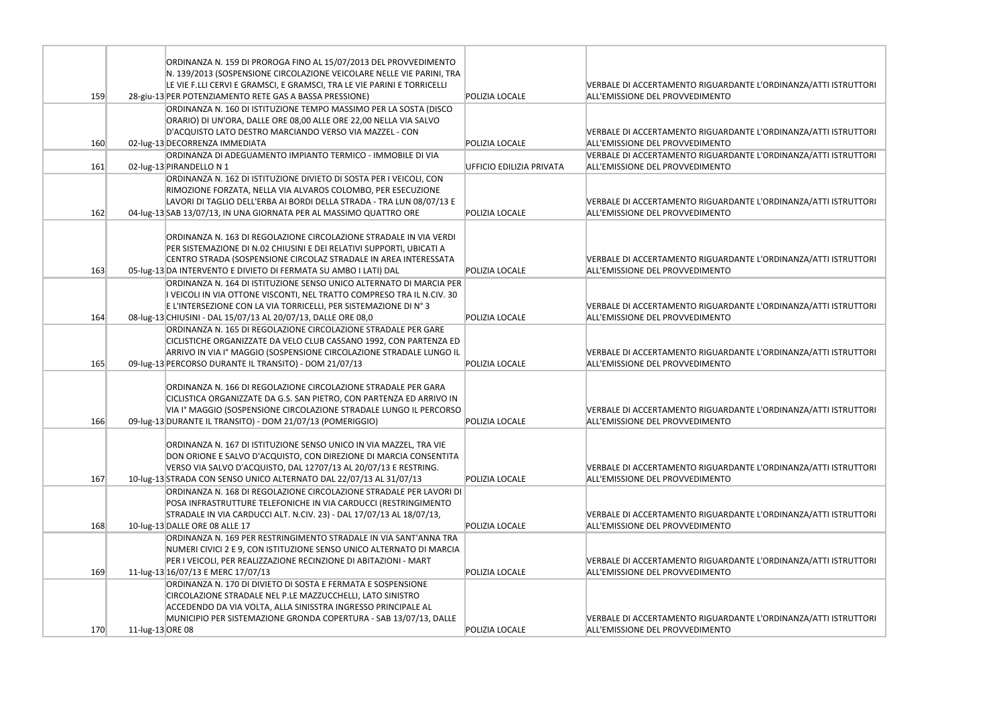|     |                  | ORDINANZA N. 159 DI PROROGA FINO AL 15/07/2013 DEL PROVVEDIMENTO<br>N. 139/2013 (SOSPENSIONE CIRCOLAZIONE VEICOLARE NELLE VIE PARINI, TRA<br>LE VIE F.LLI CERVI E GRAMSCI, E GRAMSCI, TRA LE VIE PARINI E TORRICELLI                                                               |                          | <b>VERBALE DI ACCERTAMENTO RIGUARDANTE</b>                                    |
|-----|------------------|------------------------------------------------------------------------------------------------------------------------------------------------------------------------------------------------------------------------------------------------------------------------------------|--------------------------|-------------------------------------------------------------------------------|
| 159 |                  | 28-giu-13 PER POTENZIAMENTO RETE GAS A BASSA PRESSIONE)                                                                                                                                                                                                                            | <b>POLIZIA LOCALE</b>    | ALL'EMISSIONE DEL PROVVEDIMENTO                                               |
| 160 |                  | ORDINANZA N. 160 DI ISTITUZIONE TEMPO MASSIMO PER LA SOSTA (DISCO<br>ORARIO) DI UN'ORA, DALLE ORE 08,00 ALLE ORE 22,00 NELLA VIA SALVO<br>D'ACQUISTO LATO DESTRO MARCIANDO VERSO VIA MAZZEL - CON<br>02-lug-13 DECORRENZA IMMEDIATA                                                | <b>POLIZIA LOCALE</b>    | <b>VERBALE DI ACCERTAMENTO RIGUARDANTE</b><br>ALL'EMISSIONE DEL PROVVEDIMENTO |
| 161 |                  | ORDINANZA DI ADEGUAMENTO IMPIANTO TERMICO - IMMOBILE DI VIA<br>02-lug-13 PIRANDELLO N 1                                                                                                                                                                                            | UFFICIO EDILIZIA PRIVATA | <b>VERBALE DI ACCERTAMENTO RIGUARDANTE</b><br>ALL'EMISSIONE DEL PROVVEDIMENTO |
| 162 |                  | ORDINANZA N. 162 DI ISTITUZIONE DIVIETO DI SOSTA PER I VEICOLI, CON<br>RIMOZIONE FORZATA, NELLA VIA ALVAROS COLOMBO, PER ESECUZIONE<br>LAVORI DI TAGLIO DELL'ERBA AI BORDI DELLA STRADA - TRA LUN 08/07/13 E<br>04-lug-13 SAB 13/07/13, IN UNA GIORNATA PER AL MASSIMO QUATTRO ORE | POLIZIA LOCALE           | <b>VERBALE DI ACCERTAMENTO RIGUARDANTE</b><br>ALL'EMISSIONE DEL PROVVEDIMENTO |
| 163 |                  | ORDINANZA N. 163 DI REGOLAZIONE CIRCOLAZIONE STRADALE IN VIA VERDI<br>PER SISTEMAZIONE DI N.02 CHIUSINI E DEI RELATIVI SUPPORTI, UBICATI A<br>CENTRO STRADA (SOSPENSIONE CIRCOLAZ STRADALE IN AREA INTERESSATA<br>05-lug-13 DA INTERVENTO E DIVIETO DI FERMATA SU AMBO I LATI) DAL | POLIZIA LOCALE           | <b>VERBALE DI ACCERTAMENTO RIGUARDANTE</b><br>ALL'EMISSIONE DEL PROVVEDIMENTO |
| 164 |                  | ORDINANZA N. 164 DI ISTITUZIONE SENSO UNICO ALTERNATO DI MARCIA PER<br>I VEICOLI IN VIA OTTONE VISCONTI, NEL TRATTO COMPRESO TRA IL N.CIV. 30<br>E L'INTERSEZIONE CON LA VIA TORRICELLI, PER SISTEMAZIONE DI N°3<br>08-lug-13 CHIUSINI - DAL 15/07/13 AL 20/07/13, DALLE ORE 08,0  | POLIZIA LOCALE           | VERBALE DI ACCERTAMENTO RIGUARDANTE<br>ALL'EMISSIONE DEL PROVVEDIMENTO        |
| 165 |                  | ORDINANZA N. 165 DI REGOLAZIONE CIRCOLAZIONE STRADALE PER GARE<br>CICLISTICHE ORGANIZZATE DA VELO CLUB CASSANO 1992, CON PARTENZA ED<br>ARRIVO IN VIA Iº MAGGIO (SOSPENSIONE CIRCOLAZIONE STRADALE LUNGO IL<br>09-lug-13 PERCORSO DURANTE IL TRANSITO) - DOM 21/07/13              | POLIZIA LOCALE           | VERBALE DI ACCERTAMENTO RIGUARDANTE<br>ALL'EMISSIONE DEL PROVVEDIMENTO        |
| 166 |                  | ORDINANZA N. 166 DI REGOLAZIONE CIRCOLAZIONE STRADALE PER GARA<br>CICLISTICA ORGANIZZATE DA G.S. SAN PIETRO, CON PARTENZA ED ARRIVO IN<br>VIA I° MAGGIO (SOSPENSIONE CIRCOLAZIONE STRADALE LUNGO IL PERCORSO<br>09-lug-13 DURANTE IL TRANSITO) - DOM 21/07/13 (POMERIGGIO)         | POLIZIA LOCALE           | <b>VERBALE DI ACCERTAMENTO RIGUARDANTE</b><br>ALL'EMISSIONE DEL PROVVEDIMENTO |
| 167 |                  | ORDINANZA N. 167 DI ISTITUZIONE SENSO UNICO IN VIA MAZZEL, TRA VIE<br>DON ORIONE E SALVO D'ACQUISTO, CON DIREZIONE DI MARCIA CONSENTITA<br>VERSO VIA SALVO D'ACQUISTO, DAL 12707/13 AL 20/07/13 E RESTRING.<br>10-lug-13 STRADA CON SENSO UNICO ALTERNATO DAL 22/07/13 AL 31/07/13 | POLIZIA LOCALE           | <b>VERBALE DI ACCERTAMENTO RIGUARDANTE</b><br>ALL'EMISSIONE DEL PROVVEDIMENTO |
| 168 |                  | ORDINANZA N. 168 DI REGOLAZIONE CIRCOLAZIONE STRADALE PER LAVORI DI<br>POSA INFRASTRUTTURE TELEFONICHE IN VIA CARDUCCI (RESTRINGIMENTO<br>STRADALE IN VIA CARDUCCI ALT. N.CIV. 23) - DAL 17/07/13 AL 18/07/13,<br>10-lug-13 DALLE ORE 08 ALLE 17                                   | POLIZIA LOCALE           | <b>VERBALE DI ACCERTAMENTO RIGUARDANTE</b><br>ALL'EMISSIONE DEL PROVVEDIMENTO |
| 169 |                  | ORDINANZA N. 169 PER RESTRINGIMENTO STRADALE IN VIA SANT'ANNA TRA<br>NUMERI CIVICI 2 E 9, CON ISTITUZIONE SENSO UNICO ALTERNATO DI MARCIA<br>PER I VEICOLI, PER REALIZZAZIONE RECINZIONE DI ABITAZIONI - MART<br>11-lug-13 16/07/13 E MERC 17/07/13                                | <b>POLIZIA LOCALE</b>    | <b>VERBALE DI ACCERTAMENTO RIGUARDANTE</b><br>ALL'EMISSIONE DEL PROVVEDIMENTO |
| 170 | 11-lug-13 ORE 08 | ORDINANZA N. 170 DI DIVIETO DI SOSTA E FERMATA E SOSPENSIONE<br>CIRCOLAZIONE STRADALE NEL P.LE MAZZUCCHELLI, LATO SINISTRO<br>ACCEDENDO DA VIA VOLTA, ALLA SINISSTRA INGRESSO PRINCIPALE AL<br>MUNICIPIO PER SISTEMAZIONE GRONDA COPERTURA - SAB 13/07/13, DALLE                   | POLIZIA LOCALE           | <b>VERBALE DI ACCERTAMENTO RIGUARDANTE</b><br>ALL'EMISSIONE DEL PROVVEDIMENTO |
|     |                  |                                                                                                                                                                                                                                                                                    |                          |                                                                               |

## E L'ORDINANZA/ATTI ISTRUTTORI

E L'ORDINANZA/ATTI ISTRUTTORI

E L'ORDINANZA/ATTI ISTRUTTORI

E L'ORDINANZA/ATTI ISTRUTTORI

E L'ORDINANZA/ATTI ISTRUTTORI

E L'ORDINANZA/ATTI ISTRUTTORI

E L'ORDINANZA/ATTI ISTRUTTORI

E L'ORDINANZA/ATTI ISTRUTTORI

E L'ORDINANZA/ATTI ISTRUTTORI

E L'ORDINANZA/ATTI ISTRUTTORI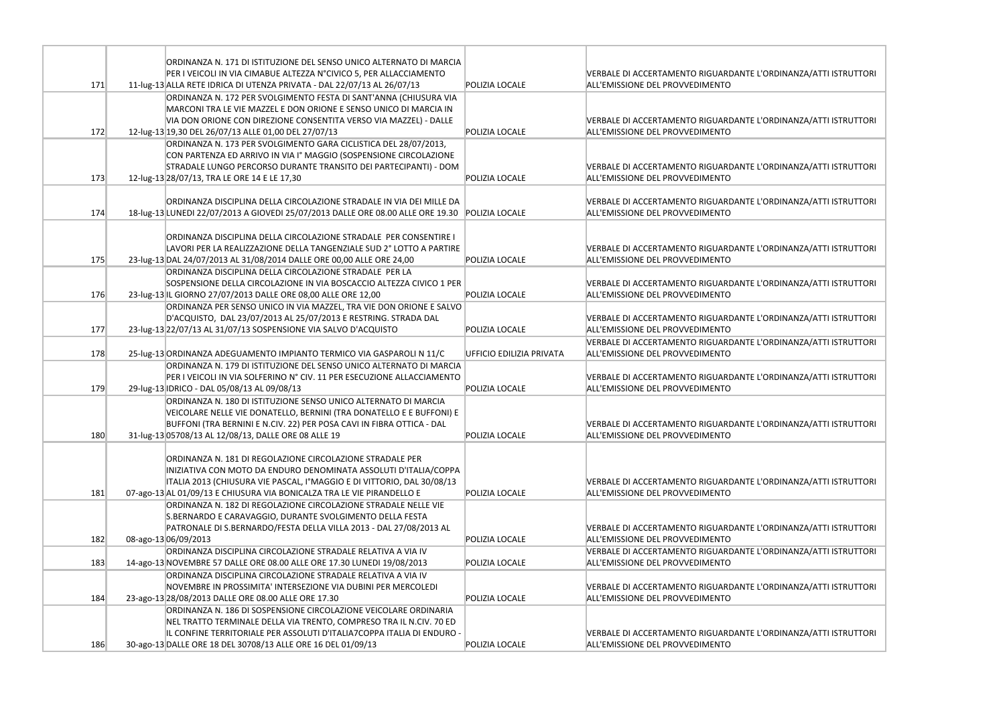|     | ORDINANZA N. 171 DI ISTITUZIONE DEL SENSO UNICO ALTERNATO DI MARCIA                                                                           |                          |                                            |
|-----|-----------------------------------------------------------------------------------------------------------------------------------------------|--------------------------|--------------------------------------------|
|     | PER I VEICOLI IN VIA CIMABUE ALTEZZA N°CIVICO 5, PER ALLACCIAMENTO                                                                            |                          | <b>VERBALE DI ACCERTAMENTO RIGUARDANTE</b> |
| 171 | 11-lug-13 ALLA RETE IDRICA DI UTENZA PRIVATA - DAL 22/07/13 AL 26/07/13                                                                       | <b>POLIZIA LOCALE</b>    | ALL'EMISSIONE DEL PROVVEDIMENTO            |
|     | ORDINANZA N. 172 PER SVOLGIMENTO FESTA DI SANT'ANNA (CHIUSURA VIA                                                                             |                          |                                            |
|     | MARCONI TRA LE VIE MAZZEL E DON ORIONE E SENSO UNICO DI MARCIA IN                                                                             |                          |                                            |
|     | VIA DON ORIONE CON DIREZIONE CONSENTITA VERSO VIA MAZZEL) - DALLE                                                                             |                          | <b>VERBALE DI ACCERTAMENTO RIGUARDANTE</b> |
| 172 | 12-lug-13 19,30 DEL 26/07/13 ALLE 01,00 DEL 27/07/13                                                                                          | <b>POLIZIA LOCALE</b>    | ALL'EMISSIONE DEL PROVVEDIMENTO            |
|     | ORDINANZA N. 173 PER SVOLGIMENTO GARA CICLISTICA DEL 28/07/2013,                                                                              |                          |                                            |
|     | CON PARTENZA ED ARRIVO IN VIA Iº MAGGIO (SOSPENSIONE CIRCOLAZIONE                                                                             |                          |                                            |
|     | STRADALE LUNGO PERCORSO DURANTE TRANSITO DEI PARTECIPANTI) - DOM                                                                              |                          | <b>VERBALE DI ACCERTAMENTO RIGUARDANTE</b> |
| 173 | 12-lug-13 28/07/13, TRA LE ORE 14 E LE 17,30                                                                                                  | POLIZIA LOCALE           | ALL'EMISSIONE DEL PROVVEDIMENTO            |
|     |                                                                                                                                               |                          |                                            |
|     | ORDINANZA DISCIPLINA DELLA CIRCOLAZIONE STRADALE IN VIA DEI MILLE DA                                                                          |                          | VERBALE DI ACCERTAMENTO RIGUARDANTE        |
| 174 | 18-lug-13 LUNEDI 22/07/2013 A GIOVEDI 25/07/2013 DALLE ORE 08.00 ALLE ORE 19.30                                                               | <b>POLIZIA LOCALE</b>    | ALL'EMISSIONE DEL PROVVEDIMENTO            |
|     |                                                                                                                                               |                          |                                            |
|     | ORDINANZA DISCIPLINA DELLA CIRCOLAZIONE STRADALE PER CONSENTIRE I                                                                             |                          | <b>VERBALE DI ACCERTAMENTO RIGUARDANTE</b> |
| 175 | LAVORI PER LA REALIZZAZIONE DELLA TANGENZIALE SUD 2° LOTTO A PARTIRE<br>23-lug-13 DAL 24/07/2013 AL 31/08/2014 DALLE ORE 00,00 ALLE ORE 24,00 | POLIZIA LOCALE           | ALL'EMISSIONE DEL PROVVEDIMENTO            |
|     | ORDINANZA DISCIPLINA DELLA CIRCOLAZIONE STRADALE PER LA                                                                                       |                          |                                            |
|     | SOSPENSIONE DELLA CIRCOLAZIONE IN VIA BOSCACCIO ALTEZZA CIVICO 1 PER                                                                          |                          | VERBALE DI ACCERTAMENTO RIGUARDANTE        |
| 176 | 23-lug-13 IL GIORNO 27/07/2013 DALLE ORE 08,00 ALLE ORE 12,00                                                                                 | POLIZIA LOCALE           | ALL'EMISSIONE DEL PROVVEDIMENTO            |
|     | ORDINANZA PER SENSO UNICO IN VIA MAZZEL, TRA VIE DON ORIONE E SALVO                                                                           |                          |                                            |
|     | D'ACQUISTO, DAL 23/07/2013 AL 25/07/2013 E RESTRING. STRADA DAL                                                                               |                          | VERBALE DI ACCERTAMENTO RIGUARDANTE        |
| 177 | 23-lug-13 22/07/13 AL 31/07/13 SOSPENSIONE VIA SALVO D'ACQUISTO                                                                               | POLIZIA LOCALE           | ALL'EMISSIONE DEL PROVVEDIMENTO            |
|     |                                                                                                                                               |                          | VERBALE DI ACCERTAMENTO RIGUARDANTE        |
| 178 | 25-lug-13 ORDINANZA ADEGUAMENTO IMPIANTO TERMICO VIA GASPAROLI N 11/C                                                                         | UFFICIO EDILIZIA PRIVATA | ALL'EMISSIONE DEL PROVVEDIMENTO            |
|     | ORDINANZA N. 179 DI ISTITUZIONE DEL SENSO UNICO ALTERNATO DI MARCIA                                                                           |                          |                                            |
|     | PER I VEICOLI IN VIA SOLFERINO N° CIV. 11 PER ESECUZIONE ALLACCIAMENTO                                                                        |                          | <b>VERBALE DI ACCERTAMENTO RIGUARDANTE</b> |
| 179 | 29-lug-13 IDRICO - DAL 05/08/13 AL 09/08/13                                                                                                   | <b>POLIZIA LOCALE</b>    | ALL'EMISSIONE DEL PROVVEDIMENTO            |
|     | ORDINANZA N. 180 DI ISTITUZIONE SENSO UNICO ALTERNATO DI MARCIA                                                                               |                          |                                            |
|     | VEICOLARE NELLE VIE DONATELLO, BERNINI (TRA DONATELLO E E BUFFONI) E                                                                          |                          |                                            |
|     | BUFFONI (TRA BERNINI E N.CIV. 22) PER POSA CAVI IN FIBRA OTTICA - DAL                                                                         |                          | VERBALE DI ACCERTAMENTO RIGUARDANTE        |
| 180 | 31-lug-13 05708/13 AL 12/08/13, DALLE ORE 08 ALLE 19                                                                                          | <b>POLIZIA LOCALE</b>    | ALL'EMISSIONE DEL PROVVEDIMENTO            |
|     |                                                                                                                                               |                          |                                            |
|     | ORDINANZA N. 181 DI REGOLAZIONE CIRCOLAZIONE STRADALE PER                                                                                     |                          |                                            |
|     | INIZIATIVA CON MOTO DA ENDURO DENOMINATA ASSOLUTI D'ITALIA/COPPA                                                                              |                          |                                            |
| 181 | ITALIA 2013 (CHIUSURA VIE PASCAL, I°MAGGIO E DI VITTORIO, DAL 30/08/13                                                                        | POLIZIA LOCALE           | <b>VERBALE DI ACCERTAMENTO RIGUARDANTE</b> |
|     | 07-ago-13 AL 01/09/13 E CHIUSURA VIA BONICALZA TRA LE VIE PIRANDELLO E<br>ORDINANZA N. 182 DI REGOLAZIONE CIRCOLAZIONE STRADALE NELLE VIE     |                          | ALL'EMISSIONE DEL PROVVEDIMENTO            |
|     | S.BERNARDO E CARAVAGGIO, DURANTE SVOLGIMENTO DELLA FESTA                                                                                      |                          |                                            |
|     | PATRONALE DI S.BERNARDO/FESTA DELLA VILLA 2013 - DAL 27/08/2013 AL                                                                            |                          | <b>VERBALE DI ACCERTAMENTO RIGUARDANTE</b> |
| 182 | 08-ago-13 06/09/2013                                                                                                                          | POLIZIA LOCALE           | ALL'EMISSIONE DEL PROVVEDIMENTO            |
|     | ORDINANZA DISCIPLINA CIRCOLAZIONE STRADALE RELATIVA A VIA IV                                                                                  |                          | VERBALE DI ACCERTAMENTO RIGUARDANTE        |
| 183 | 14-ago-13 NOVEMBRE 57 DALLE ORE 08.00 ALLE ORE 17.30 LUNEDI 19/08/2013                                                                        | <b>POLIZIA LOCALE</b>    | ALL'EMISSIONE DEL PROVVEDIMENTO            |
|     | ORDINANZA DISCIPLINA CIRCOLAZIONE STRADALE RELATIVA A VIA IV                                                                                  |                          |                                            |
|     |                                                                                                                                               |                          | <b>VERBALE DI ACCERTAMENTO RIGUARDANTE</b> |
|     | NOVEMBRE IN PROSSIMITA' INTERSEZIONE VIA DUBINI PER MERCOLEDI                                                                                 |                          |                                            |
| 184 | 23-ago-13 28/08/2013 DALLE ORE 08.00 ALLE ORE 17.30                                                                                           | <b>POLIZIA LOCALE</b>    | ALL'EMISSIONE DEL PROVVEDIMENTO            |
|     | ORDINANZA N. 186 DI SOSPENSIONE CIRCOLAZIONE VEICOLARE ORDINARIA                                                                              |                          |                                            |
|     | NEL TRATTO TERMINALE DELLA VIA TRENTO, COMPRESO TRA IL N.CIV. 70 ED                                                                           |                          |                                            |
|     | IL CONFINE TERRITORIALE PER ASSOLUTI D'ITALIA7COPPA ITALIA DI ENDURO -                                                                        |                          | <b>VERBALE DI ACCERTAMENTO RIGUARDANTE</b> |

E L'ORDINANZA/ATTI ISTRUTTORI

E L'ORDINANZA/ATTI ISTRUTTORI

E L'ORDINANZA/ATTI ISTRUTTORI

E L'ORDINANZA/ATTI ISTRUTTORI

E L'ORDINANZA/ATTI ISTRUTTORI

E L'ORDINANZA/ATTI ISTRUTTORI

E L'ORDINANZA/ATTI ISTRUTTORI

E L'ORDINANZA/ATTI ISTRUTTORI

E L'ORDINANZA/ATTI ISTRUTTORI

E L'ORDINANZA/ATTI ISTRUTTORI

E L'ORDINANZA/ATTI ISTRUTTORI

E L'ORDINANZA/ATTI ISTRUTTORI

E L'ORDINANZA/ATTI ISTRUTTORI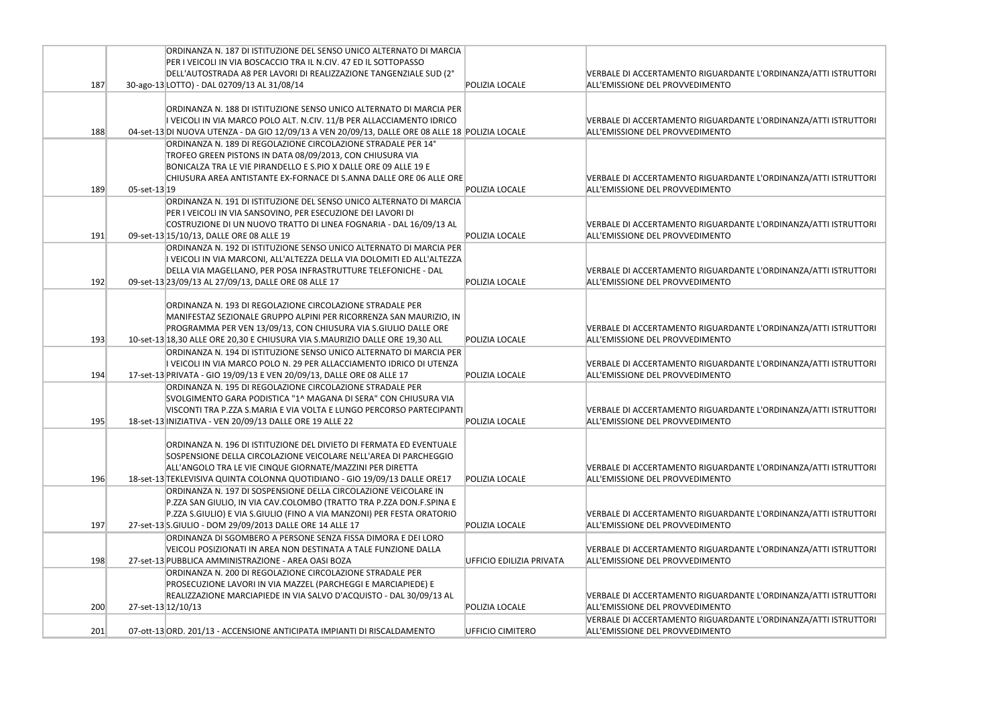|     | ORDINANZA N. 187 DI ISTITUZIONE DEL SENSO UNICO ALTERNATO DI MARCIA<br>PER I VEICOLI IN VIA BOSCACCIO TRA IL N.CIV. 47 ED IL SOTTOPASSO                                                                                                                                            |                          |                                                                               |
|-----|------------------------------------------------------------------------------------------------------------------------------------------------------------------------------------------------------------------------------------------------------------------------------------|--------------------------|-------------------------------------------------------------------------------|
|     | DELL'AUTOSTRADA A8 PER LAVORI DI REALIZZAZIONE TANGENZIALE SUD (2°                                                                                                                                                                                                                 |                          | <b>VERBALE DI ACCERTAMENTO RIGUARDANTE</b>                                    |
| 187 | 30-ago-13 LOTTO) - DAL 02709/13 AL 31/08/14                                                                                                                                                                                                                                        | <b>POLIZIA LOCALE</b>    | ALL'EMISSIONE DEL PROVVEDIMENTO                                               |
|     | ORDINANZA N. 188 DI ISTITUZIONE SENSO UNICO ALTERNATO DI MARCIA PER<br>I VEICOLI IN VIA MARCO POLO ALT. N.CIV. 11/B PER ALLACCIAMENTO IDRICO                                                                                                                                       |                          | <b>VERBALE DI ACCERTAMENTO RIGUARDANTE</b>                                    |
| 188 | 04-set-13 DI NUOVA UTENZA - DA GIO 12/09/13 A VEN 20/09/13, DALLE ORE 08 ALLE 18 POLIZIA LOCALE                                                                                                                                                                                    |                          | ALL'EMISSIONE DEL PROVVEDIMENTO                                               |
|     | ORDINANZA N. 189 DI REGOLAZIONE CIRCOLAZIONE STRADALE PER 14°<br>TROFEO GREEN PISTONS IN DATA 08/09/2013, CON CHIUSURA VIA<br>BONICALZA TRA LE VIE PIRANDELLO E S.PIO X DALLE ORE 09 ALLE 19 E<br>CHIUSURA AREA ANTISTANTE EX-FORNACE DI S.ANNA DALLE ORE 06 ALLE ORE              |                          | <b>VERBALE DI ACCERTAMENTO RIGUARDANTE</b>                                    |
| 189 | $05$ -set-13 19                                                                                                                                                                                                                                                                    | <b>POLIZIA LOCALE</b>    | ALL'EMISSIONE DEL PROVVEDIMENTO                                               |
| 191 | ORDINANZA N. 191 DI ISTITUZIONE DEL SENSO UNICO ALTERNATO DI MARCIA<br>PER I VEICOLI IN VIA SANSOVINO, PER ESECUZIONE DEI LAVORI DI<br>COSTRUZIONE DI UN NUOVO TRATTO DI LINEA FOGNARIA - DAL 16/09/13 AL<br>09-set-13 15/10/13, DALLE ORE 08 ALLE 19                              | POLIZIA LOCALE           | <b>VERBALE DI ACCERTAMENTO RIGUARDANTE</b><br>ALL'EMISSIONE DEL PROVVEDIMENTO |
| 192 | ORDINANZA N. 192 DI ISTITUZIONE SENSO UNICO ALTERNATO DI MARCIA PER<br>I VEICOLI IN VIA MARCONI, ALL'ALTEZZA DELLA VIA DOLOMITI ED ALL'ALTEZZA<br>DELLA VIA MAGELLANO, PER POSA INFRASTRUTTURE TELEFONICHE - DAL<br>09-set-13 23/09/13 AL 27/09/13, DALLE ORE 08 ALLE 17           | POLIZIA LOCALE           | VERBALE DI ACCERTAMENTO RIGUARDANTE<br>ALL'EMISSIONE DEL PROVVEDIMENTO        |
| 193 | ORDINANZA N. 193 DI REGOLAZIONE CIRCOLAZIONE STRADALE PER<br>MANIFESTAZ SEZIONALE GRUPPO ALPINI PER RICORRENZA SAN MAURIZIO, IN<br>PROGRAMMA PER VEN 13/09/13, CON CHIUSURA VIA S.GIULIO DALLE ORE<br>10-set-13 18,30 ALLE ORE 20,30 E CHIUSURA VIA S.MAURIZIO DALLE ORE 19,30 ALL | POLIZIA LOCALE           | <b>VERBALE DI ACCERTAMENTO RIGUARDANTE</b><br>ALL'EMISSIONE DEL PROVVEDIMENTO |
| 194 | ORDINANZA N. 194 DI ISTITUZIONE SENSO UNICO ALTERNATO DI MARCIA PER<br>I VEICOLI IN VIA MARCO POLO N. 29 PER ALLACCIAMENTO IDRICO DI UTENZA<br>17-set-13 PRIVATA - GIO 19/09/13 E VEN 20/09/13, DALLE ORE 08 ALLE 17                                                               | POLIZIA LOCALE           | <b>VERBALE DI ACCERTAMENTO RIGUARDANTE</b><br>ALL'EMISSIONE DEL PROVVEDIMENTO |
| 195 | ORDINANZA N. 195 DI REGOLAZIONE CIRCOLAZIONE STRADALE PER<br>SVOLGIMENTO GARA PODISTICA "1^ MAGANA DI SERA" CON CHIUSURA VIA<br>VISCONTI TRA P.ZZA S.MARIA E VIA VOLTA E LUNGO PERCORSO PARTECIPANTI<br>18-set-13 INIZIATIVA - VEN 20/09/13 DALLE ORE 19 ALLE 22                   | POLIZIA LOCALE           | <b>VERBALE DI ACCERTAMENTO RIGUARDANTE</b><br>ALL'EMISSIONE DEL PROVVEDIMENTO |
| 196 | ORDINANZA N. 196 DI ISTITUZIONE DEL DIVIETO DI FERMATA ED EVENTUALE<br>SOSPENSIONE DELLA CIRCOLAZIONE VEICOLARE NELL'AREA DI PARCHEGGIO<br>ALL'ANGOLO TRA LE VIE CINQUE GIORNATE/MAZZINI PER DIRETTA<br>18-set-13 TEKLEVISIVA QUINTA COLONNA QUOTIDIANO - GIO 19/09/13 DALLE ORE17 | <b>POLIZIA LOCALE</b>    | <b>VERBALE DI ACCERTAMENTO RIGUARDANTE</b><br>ALL'EMISSIONE DEL PROVVEDIMENTO |
| 197 | ORDINANZA N. 197 DI SOSPENSIONE DELLA CIRCOLAZIONE VEICOLARE IN<br>P.ZZA SAN GIULIO, IN VIA CAV.COLOMBO (TRATTO TRA P.ZZA DON.F.SPINA E<br>P.ZZA S.GIULIO) E VIA S.GIULIO (FINO A VIA MANZONI) PER FESTA ORATORIO<br>27-set-13 S.GIULIO - DOM 29/09/2013 DALLE ORE 14 ALLE 17      | <b>POLIZIA LOCALF</b>    | <b>VERBALE DI ACCERTAMENTO RIGUARDANTE</b><br>ALL'EMISSIONE DEL PROVVEDIMENTO |
| 198 | ORDINANZA DI SGOMBERO A PERSONE SENZA FISSA DIMORA E DEI LORO<br>VEICOLI POSIZIONATI IN AREA NON DESTINATA A TALE FUNZIONE DALLA<br>27-set-13 PUBBLICA AMMINISTRAZIONE - AREA OASI BOZA                                                                                            | UFFICIO EDILIZIA PRIVATA | <b>VERBALE DI ACCERTAMENTO RIGUARDANTE</b><br>ALL'EMISSIONE DEL PROVVEDIMENTO |
|     | ORDINANZA N. 200 DI REGOLAZIONE CIRCOLAZIONE STRADALE PER<br>PROSECUZIONE LAVORI IN VIA MAZZEL (PARCHEGGI E MARCIAPIEDE) E<br>REALIZZAZIONE MARCIAPIEDE IN VIA SALVO D'ACQUISTO - DAL 30/09/13 AL                                                                                  |                          | <b>VERBALE DI ACCERTAMENTO RIGUARDANTE</b>                                    |
| 200 | 27-set-13 12/10/13                                                                                                                                                                                                                                                                 | <b>POLIZIA LOCALE</b>    | ALL'EMISSIONE DEL PROVVEDIMENTO                                               |
| 201 | 07-ott-13 ORD. 201/13 - ACCENSIONE ANTICIPATA IMPIANTI DI RISCALDAMENTO                                                                                                                                                                                                            | <b>UFFICIO CIMITERO</b>  | <b>VERBALE DI ACCERTAMENTO RIGUARDANTE</b><br>ALL'EMISSIONE DEL PROVVEDIMENTO |

E L'ORDINANZA/ATTI ISTRUTTORI

E L'ORDINANZA/ATTI ISTRUTTORI

E L'ORDINANZA/ATTI ISTRUTTORI

E L'ORDINANZA/ATTI ISTRUTTORI

E L'ORDINANZA/ATTI ISTRUTTORI

E L'ORDINANZA/ATTI ISTRUTTORI

E L'ORDINANZA/ATTI ISTRUTTORI

E L'ORDINANZA/ATTI ISTRUTTORI

E L'ORDINANZA/ATTI ISTRUTTORI

E L'ORDINANZA/ATTI ISTRUTTORI

E L'ORDINANZA/ATTI ISTRUTTORI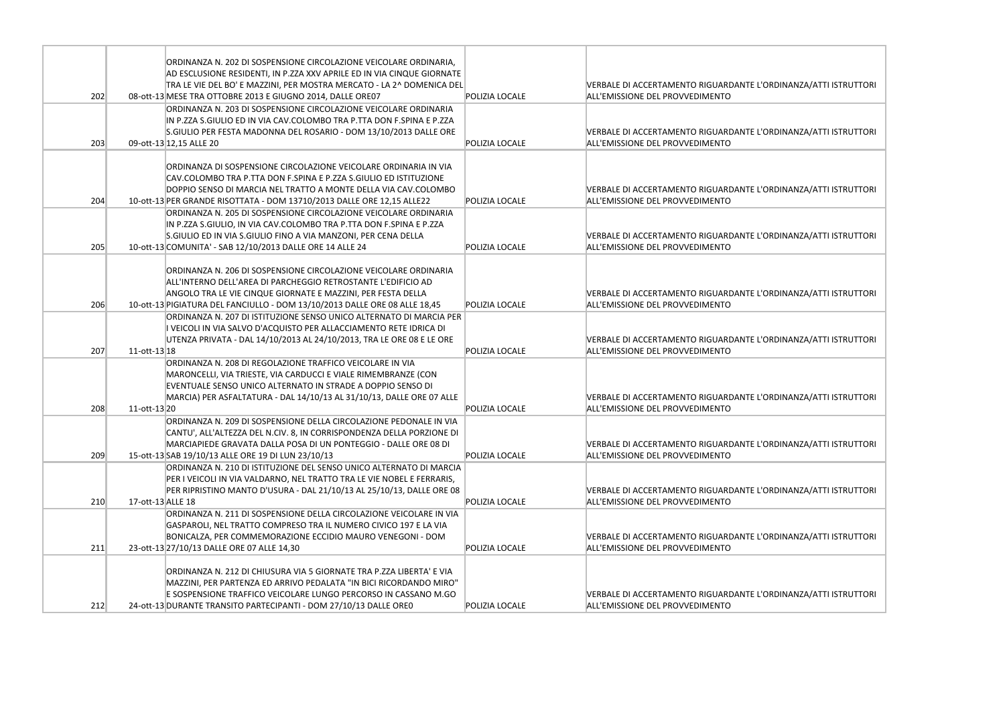|     |                   | ORDINANZA N. 202 DI SOSPENSIONE CIRCOLAZIONE VEICOLARE ORDINARIA,                                                                           |                |                                            |
|-----|-------------------|---------------------------------------------------------------------------------------------------------------------------------------------|----------------|--------------------------------------------|
|     |                   | AD ESCLUSIONE RESIDENTI, IN P.ZZA XXV APRILE ED IN VIA CINQUE GIORNATE                                                                      |                |                                            |
|     |                   | TRA LE VIE DEL BO' E MAZZINI, PER MOSTRA MERCATO - LA 2^ DOMENICA DEL                                                                       |                | VERBALE DI ACCERTAMENTO RIGUARDANTE        |
| 202 |                   | 08-ott-13 MESE TRA OTTOBRE 2013 E GIUGNO 2014, DALLE ORE07                                                                                  | POLIZIA LOCALE | ALL'EMISSIONE DEL PROVVEDIMENTO            |
|     |                   | ORDINANZA N. 203 DI SOSPENSIONE CIRCOLAZIONE VEICOLARE ORDINARIA                                                                            |                |                                            |
|     |                   | IN P.ZZA S.GIULIO ED IN VIA CAV.COLOMBO TRA P.TTA DON F.SPINA E P.ZZA                                                                       |                |                                            |
|     |                   | S.GIULIO PER FESTA MADONNA DEL ROSARIO - DOM 13/10/2013 DALLE ORE                                                                           |                | <b>VERBALE DI ACCERTAMENTO RIGUARDANTE</b> |
| 203 |                   | 09-ott-13 12,15 ALLE 20                                                                                                                     | POLIZIA LOCALE | ALL'EMISSIONE DEL PROVVEDIMENTO            |
|     |                   |                                                                                                                                             |                |                                            |
|     |                   | ORDINANZA DI SOSPENSIONE CIRCOLAZIONE VEICOLARE ORDINARIA IN VIA                                                                            |                |                                            |
|     |                   | CAV.COLOMBO TRA P.TTA DON F.SPINA E P.ZZA S.GIULIO ED ISTITUZIONE                                                                           |                |                                            |
|     |                   | DOPPIO SENSO DI MARCIA NEL TRATTO A MONTE DELLA VIA CAV.COLOMBO                                                                             |                | <b>VERBALE DI ACCERTAMENTO RIGUARDANTE</b> |
| 204 |                   | 10-ott-13 PER GRANDE RISOTTATA - DOM 13710/2013 DALLE ORE 12,15 ALLE22                                                                      | POLIZIA LOCALE | ALL'EMISSIONE DEL PROVVEDIMENTO            |
|     |                   | ORDINANZA N. 205 DI SOSPENSIONE CIRCOLAZIONE VEICOLARE ORDINARIA                                                                            |                |                                            |
|     |                   | IN P.ZZA S.GIULIO, IN VIA CAV.COLOMBO TRA P.TTA DON F.SPINA E P.ZZA                                                                         |                |                                            |
|     |                   | S.GIULIO ED IN VIA S.GIULIO FINO A VIA MANZONI, PER CENA DELLA                                                                              |                | <b>VERBALE DI ACCERTAMENTO RIGUARDANTE</b> |
| 205 |                   | 10-ott-13 COMUNITA' - SAB 12/10/2013 DALLE ORE 14 ALLE 24                                                                                   | POLIZIA LOCALE | ALL'EMISSIONE DEL PROVVEDIMENTO            |
|     |                   |                                                                                                                                             |                |                                            |
|     |                   | ORDINANZA N. 206 DI SOSPENSIONE CIRCOLAZIONE VEICOLARE ORDINARIA                                                                            |                |                                            |
|     |                   | ALL'INTERNO DELL'AREA DI PARCHEGGIO RETROSTANTE L'EDIFICIO AD                                                                               |                |                                            |
|     |                   | ANGOLO TRA LE VIE CINQUE GIORNATE E MAZZINI, PER FESTA DELLA                                                                                |                | <b>VERBALE DI ACCERTAMENTO RIGUARDANTE</b> |
| 206 |                   | 10-ott-13 PIGIATURA DEL FANCIULLO - DOM 13/10/2013 DALLE ORE 08 ALLE 18,45                                                                  | POLIZIA LOCALE | ALL'EMISSIONE DEL PROVVEDIMENTO            |
|     |                   | ORDINANZA N. 207 DI ISTITUZIONE SENSO UNICO ALTERNATO DI MARCIA PER                                                                         |                |                                            |
|     |                   | I VEICOLI IN VIA SALVO D'ACQUISTO PER ALLACCIAMENTO RETE IDRICA DI<br>UTENZA PRIVATA - DAL 14/10/2013 AL 24/10/2013, TRA LE ORE 08 E LE ORE |                | VERBALE DI ACCERTAMENTO RIGUARDANTE        |
| 207 | $11-ott-13 18$    |                                                                                                                                             | POLIZIA LOCALE | ALL'EMISSIONE DEL PROVVEDIMENTO            |
|     |                   | ORDINANZA N. 208 DI REGOLAZIONE TRAFFICO VEICOLARE IN VIA                                                                                   |                |                                            |
|     |                   | MARONCELLI, VIA TRIESTE, VIA CARDUCCI E VIALE RIMEMBRANZE (CON                                                                              |                |                                            |
|     |                   | EVENTUALE SENSO UNICO ALTERNATO IN STRADE A DOPPIO SENSO DI                                                                                 |                |                                            |
|     |                   | MARCIA) PER ASFALTATURA - DAL 14/10/13 AL 31/10/13, DALLE ORE 07 ALLE                                                                       |                | VERBALE DI ACCERTAMENTO RIGUARDANTE        |
| 208 | 11-ott-13 20      |                                                                                                                                             | POLIZIA LOCALE | ALL'EMISSIONE DEL PROVVEDIMENTO            |
|     |                   | ORDINANZA N. 209 DI SOSPENSIONE DELLA CIRCOLAZIONE PEDONALE IN VIA                                                                          |                |                                            |
|     |                   | CANTU', ALL'ALTEZZA DEL N.CIV. 8, IN CORRISPONDENZA DELLA PORZIONE DI                                                                       |                |                                            |
|     |                   | MARCIAPIEDE GRAVATA DALLA POSA DI UN PONTEGGIO - DALLE ORE 08 DI                                                                            |                | VERBALE DI ACCERTAMENTO RIGUARDANTE        |
| 209 |                   | 15-ott-13 SAB 19/10/13 ALLE ORE 19 DI LUN 23/10/13                                                                                          | POLIZIA LOCALE | ALL'EMISSIONE DEL PROVVEDIMENTO            |
|     |                   | ORDINANZA N. 210 DI ISTITUZIONE DEL SENSO UNICO ALTERNATO DI MARCIA                                                                         |                |                                            |
|     |                   | PER I VEICOLI IN VIA VALDARNO, NEL TRATTO TRA LE VIE NOBEL E FERRARIS,                                                                      |                |                                            |
|     |                   | PER RIPRISTINO MANTO D'USURA - DAL 21/10/13 AL 25/10/13, DALLE ORE 08                                                                       |                | <b>VERBALE DI ACCERTAMENTO RIGUARDANTE</b> |
| 210 | 17-ott-13 ALLE 18 |                                                                                                                                             | POLIZIA LOCALE | ALL'EMISSIONE DEL PROVVEDIMENTO            |
|     |                   | ORDINANZA N. 211 DI SOSPENSIONE DELLA CIRCOLAZIONE VEICOLARE IN VIA                                                                         |                |                                            |
|     |                   | GASPAROLI, NEL TRATTO COMPRESO TRA IL NUMERO CIVICO 197 E LA VIA                                                                            |                |                                            |
|     |                   | BONICALZA, PER COMMEMORAZIONE ECCIDIO MAURO VENEGONI - DOM                                                                                  |                | VERBALE DI ACCERTAMENTO RIGUARDANTE        |
| 211 |                   | 23-ott-13 27/10/13 DALLE ORE 07 ALLE 14,30                                                                                                  | POLIZIA LOCALE | ALL'EMISSIONE DEL PROVVEDIMENTO            |
|     |                   |                                                                                                                                             |                |                                            |
|     |                   | ORDINANZA N. 212 DI CHIUSURA VIA 5 GIORNATE TRA P.ZZA LIBERTA' E VIA                                                                        |                |                                            |
|     |                   | MAZZINI, PER PARTENZA ED ARRIVO PEDALATA "IN BICI RICORDANDO MIRO"                                                                          |                |                                            |
|     |                   | E SOSPENSIONE TRAFFICO VEICOLARE LUNGO PERCORSO IN CASSANO M.GO                                                                             |                | <b>VERBALE DI ACCERTAMENTO RIGUARDANTE</b> |
| 212 |                   | 24-ott-13 DURANTE TRANSITO PARTECIPANTI - DOM 27/10/13 DALLE OREO                                                                           | POLIZIA LOCALE | ALL'EMISSIONE DEL PROVVEDIMENTO            |

E L'ORDINANZA/ATTI ISTRUTTORI

E L'ORDINANZA/ATTI ISTRUTTORI

E L'ORDINANZA/ATTI ISTRUTTORI

E L'ORDINANZA/ATTI ISTRUTTORI

E L'ORDINANZA/ATTI ISTRUTTORI

E L'ORDINANZA/ATTI ISTRUTTORI

E L'ORDINANZA/ATTI ISTRUTTORI

E L'ORDINANZA/ATTI ISTRUTTORI

E L'ORDINANZA/ATTI ISTRUTTORI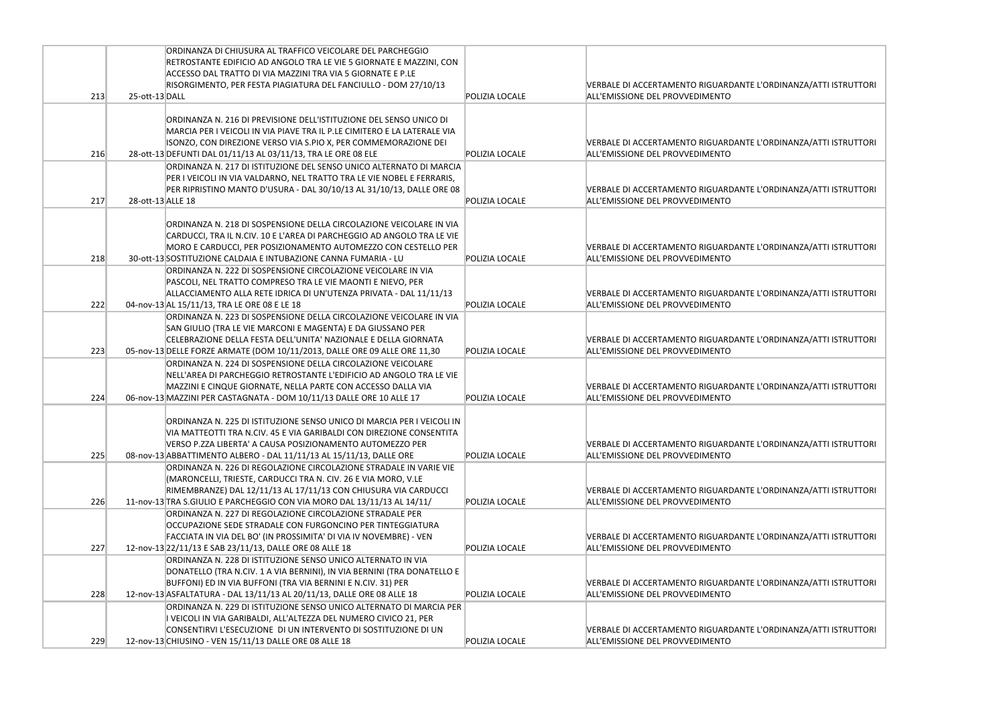|     |                   | ORDINANZA DI CHIUSURA AL TRAFFICO VEICOLARE DEL PARCHEGGIO                |                       |                                            |
|-----|-------------------|---------------------------------------------------------------------------|-----------------------|--------------------------------------------|
|     |                   | RETROSTANTE EDIFICIO AD ANGOLO TRA LE VIE 5 GIORNATE E MAZZINI, CON       |                       |                                            |
|     |                   | ACCESSO DAL TRATTO DI VIA MAZZINI TRA VIA 5 GIORNATE E P.LE               |                       |                                            |
|     |                   | RISORGIMENTO, PER FESTA PIAGIATURA DEL FANCIULLO - DOM 27/10/13           |                       | VERBALE DI ACCERTAMENTO RIGUARDANTE        |
| 213 | 25-ott-13 DALL    |                                                                           | POLIZIA LOCALF        | ALL'EMISSIONE DEL PROVVEDIMENTO            |
|     |                   |                                                                           |                       |                                            |
|     |                   | ORDINANZA N. 216 DI PREVISIONE DELL'ISTITUZIONE DEL SENSO UNICO DI        |                       |                                            |
|     |                   | MARCIA PER I VEICOLI IN VIA PIAVE TRA IL P.LE CIMITERO E LA LATERALE VIA  |                       |                                            |
|     |                   | ISONZO, CON DIREZIONE VERSO VIA S.PIO X, PER COMMEMORAZIONE DEI           |                       | VERBALE DI ACCERTAMENTO RIGUARDANTE        |
| 216 |                   | 28-ott-13 DEFUNTI DAL 01/11/13 AL 03/11/13, TRA LE ORE 08 ELE             | POLIZIA LOCALE        | ALL'EMISSIONE DEL PROVVEDIMENTO            |
|     |                   | ORDINANZA N. 217 DI ISTITUZIONE DEL SENSO UNICO ALTERNATO DI MARCIA       |                       |                                            |
|     |                   | PER I VEICOLI IN VIA VALDARNO, NEL TRATTO TRA LE VIE NOBEL E FERRARIS,    |                       |                                            |
|     |                   | PER RIPRISTINO MANTO D'USURA - DAL 30/10/13 AL 31/10/13, DALLE ORE 08     |                       | VERBALE DI ACCERTAMENTO RIGUARDANTE        |
| 217 | 28-ott-13 ALLE 18 |                                                                           | POLIZIA LOCALE        | ALL'EMISSIONE DEL PROVVEDIMENTO            |
|     |                   |                                                                           |                       |                                            |
|     |                   | ORDINANZA N. 218 DI SOSPENSIONE DELLA CIRCOLAZIONE VEICOLARE IN VIA       |                       |                                            |
|     |                   | CARDUCCI, TRA IL N.CIV. 10 E L'AREA DI PARCHEGGIO AD ANGOLO TRA LE VIE    |                       |                                            |
|     |                   | MORO E CARDUCCI, PER POSIZIONAMENTO AUTOMEZZO CON CESTELLO PER            |                       | VERBALE DI ACCERTAMENTO RIGUARDANTE        |
| 218 |                   | 30-ott-13 SOSTITUZIONE CALDAIA E INTUBAZIONE CANNA FUMARIA - LU           | POLIZIA LOCALE        | ALL'EMISSIONE DEL PROVVEDIMENTO            |
|     |                   | ORDINANZA N. 222 DI SOSPENSIONE CIRCOLAZIONE VEICOLARE IN VIA             |                       |                                            |
|     |                   | PASCOLI, NEL TRATTO COMPRESO TRA LE VIE MAONTI E NIEVO, PER               |                       |                                            |
|     |                   | ALLACCIAMENTO ALLA RETE IDRICA DI UN'UTENZA PRIVATA - DAL 11/11/13        |                       | VERBALE DI ACCERTAMENTO RIGUARDANTE        |
| 222 |                   | 04-nov-13 AL 15/11/13, TRA LE ORE 08 E LE 18                              | POLIZIA LOCALE        | ALL'EMISSIONE DEL PROVVEDIMENTO            |
|     |                   | ORDINANZA N. 223 DI SOSPENSIONE DELLA CIRCOLAZIONE VEICOLARE IN VIA       |                       |                                            |
|     |                   | SAN GIULIO (TRA LE VIE MARCONI E MAGENTA) E DA GIUSSANO PER               |                       |                                            |
|     |                   | CELEBRAZIONE DELLA FESTA DELL'UNITA' NAZIONALE E DELLA GIORNATA           |                       | <b>VERBALE DI ACCERTAMENTO RIGUARDANTE</b> |
| 223 |                   | 05-nov-13 DELLE FORZE ARMATE (DOM 10/11/2013, DALLE ORE 09 ALLE ORE 11,30 | POLIZIA LOCALE        | ALL'EMISSIONE DEL PROVVEDIMENTO            |
|     |                   | ORDINANZA N. 224 DI SOSPENSIONE DELLA CIRCOLAZIONE VEICOLARE              |                       |                                            |
|     |                   | NELL'AREA DI PARCHEGGIO RETROSTANTE L'EDIFICIO AD ANGOLO TRA LE VIE       |                       |                                            |
|     |                   | MAZZINI E CINQUE GIORNATE, NELLA PARTE CON ACCESSO DALLA VIA              |                       | VERBALE DI ACCERTAMENTO RIGUARDANTE        |
| 224 |                   | 06-nov-13 MAZZINI PER CASTAGNATA - DOM 10/11/13 DALLE ORE 10 ALLE 17      | POLIZIA LOCALE        | ALL'EMISSIONE DEL PROVVEDIMENTO            |
|     |                   |                                                                           |                       |                                            |
|     |                   | IORDINANZA N. 225 DI ISTITUZIONE SENSO UNICO DI MARCIA PER I VEICOLI IN   |                       |                                            |
|     |                   | VIA MATTEOTTI TRA N.CIV. 45 E VIA GARIBALDI CON DIREZIONE CONSENTITA      |                       |                                            |
|     |                   | VERSO P.ZZA LIBERTA' A CAUSA POSIZIONAMENTO AUTOMEZZO PER                 |                       | VERBALE DI ACCERTAMENTO RIGUARDANTE        |
| 225 |                   | 08-nov-13 ABBATTIMENTO ALBERO - DAL 11/11/13 AL 15/11/13, DALLE ORE       | POLIZIA LOCALE        | ALL'EMISSIONE DEL PROVVEDIMENTO            |
|     |                   | ORDINANZA N. 226 DI REGOLAZIONE CIRCOLAZIONE STRADALE IN VARIE VIE        |                       |                                            |
|     |                   | MARONCELLI, TRIESTE, CARDUCCI TRA N. CIV. 26 E VIA MORO, V.LE             |                       |                                            |
|     |                   | RIMEMBRANZE) DAL 12/11/13 AL 17/11/13 CON CHIUSURA VIA CARDUCCI           |                       | VERBALE DI ACCERTAMENTO RIGUARDANTE        |
| 226 |                   | 11-nov-13 TRA S.GIULIO E PARCHEGGIO CON VIA MORO DAL 13/11/13 AL 14/11/   | POLIZIA LOCALE        | ALL'EMISSIONE DEL PROVVEDIMENTO            |
|     |                   | ORDINANZA N. 227 DI REGOLAZIONE CIRCOLAZIONE STRADALE PER                 |                       |                                            |
|     |                   | OCCUPAZIONE SEDE STRADALE CON FURGONCINO PER TINTEGGIATURA                |                       |                                            |
|     |                   | FACCIATA IN VIA DEL BO' (IN PROSSIMITA' DI VIA IV NOVEMBRE) - VEN         |                       | VERBALE DI ACCERTAMENTO RIGUARDANTE        |
| 227 |                   | 12-nov-13 22/11/13 E SAB 23/11/13, DALLE ORE 08 ALLE 18                   | <b>POLIZIA LOCALE</b> | ALL'EMISSIONE DEL PROVVEDIMENTO            |
|     |                   | ORDINANZA N. 228 DI ISTITUZIONE SENSO UNICO ALTERNATO IN VIA              |                       |                                            |
|     |                   | DONATELLO (TRA N.CIV. 1 A VIA BERNINI), IN VIA BERNINI (TRA DONATELLO E   |                       |                                            |
|     |                   | BUFFONI) ED IN VIA BUFFONI (TRA VIA BERNINI E N.CIV. 31) PER              |                       | VERBALE DI ACCERTAMENTO RIGUARDANTE        |
| 228 |                   | 12-nov-13 ASFALTATURA - DAL 13/11/13 AL 20/11/13, DALLE ORE 08 ALLE 18    | POLIZIA LOCALE        | ALL'EMISSIONE DEL PROVVEDIMENTO            |
|     |                   | ORDINANZA N. 229 DI ISTITUZIONE SENSO UNICO ALTERNATO DI MARCIA PER       |                       |                                            |
|     |                   | I VEICOLI IN VIA GARIBALDI, ALL'ALTEZZA DEL NUMERO CIVICO 21, PER         |                       |                                            |
|     |                   | CONSENTIRVI L'ESECUZIONE DI UN INTERVENTO DI SOSTITUZIONE DI UN           |                       | VERBALE DI ACCERTAMENTO RIGUARDANTE        |
| 229 |                   | 12-nov-13 CHIUSINO - VEN 15/11/13 DALLE ORE 08 ALLE 18                    | POLIZIA LOCALE        | ALL'EMISSIONE DEL PROVVEDIMENTO            |
|     |                   |                                                                           |                       |                                            |

L'ORDINANZA/ATTI ISTRUTTORI

L'ORDINANZA/ATTI ISTRUTTORI

L'ORDINANZA/ATTI ISTRUTTORI

L'ORDINANZA/ATTI ISTRUTTORI

L'ORDINANZA/ATTI ISTRUTTORI

L'ORDINANZA/ATTI ISTRUTTORI

L'ORDINANZA/ATTI ISTRUTTORI

L'ORDINANZA/ATTI ISTRUTTORI

L'ORDINANZA/ATTI ISTRUTTORI

L'ORDINANZA/ATTI ISTRUTTORI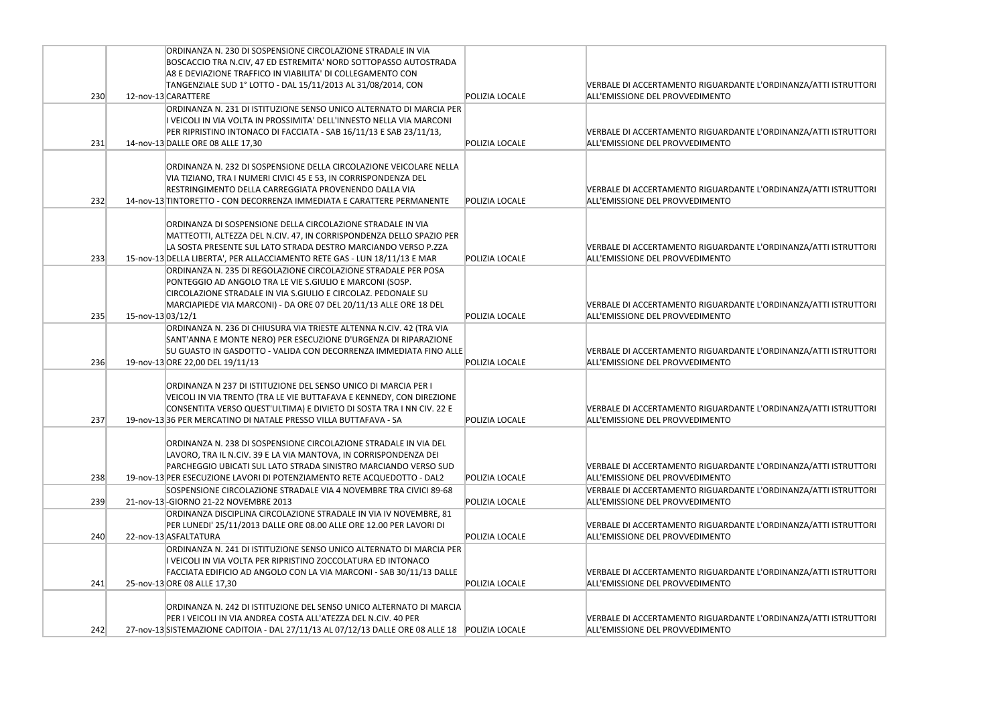|     |                   | ORDINANZA N. 230 DI SOSPENSIONE CIRCOLAZIONE STRADALE IN VIA                                                                             |                       |                                                                               |
|-----|-------------------|------------------------------------------------------------------------------------------------------------------------------------------|-----------------------|-------------------------------------------------------------------------------|
|     |                   | BOSCACCIO TRA N.CIV, 47 ED ESTREMITA' NORD SOTTOPASSO AUTOSTRADA                                                                         |                       |                                                                               |
|     |                   | A8 E DEVIAZIONE TRAFFICO IN VIABILITA' DI COLLEGAMENTO CON<br>TANGENZIALE SUD 1° LOTTO - DAL 15/11/2013 AL 31/08/2014, CON               |                       | <b>VERBALE DI ACCERTAMENTO RIGUARDANTE</b>                                    |
| 230 |                   | 12-nov-13 CARATTERE                                                                                                                      | POLIZIA LOCALE        | ALL'EMISSIONE DEL PROVVEDIMENTO                                               |
|     |                   | ORDINANZA N. 231 DI ISTITUZIONE SENSO UNICO ALTERNATO DI MARCIA PER                                                                      |                       |                                                                               |
|     |                   | I VEICOLI IN VIA VOLTA IN PROSSIMITA' DELL'INNESTO NELLA VIA MARCONI                                                                     |                       |                                                                               |
|     |                   | PER RIPRISTINO INTONACO DI FACCIATA - SAB 16/11/13 E SAB 23/11/13,                                                                       |                       | VERBALE DI ACCERTAMENTO RIGUARDANTE                                           |
| 231 |                   | 14-nov-13 DALLE ORE 08 ALLE 17,30                                                                                                        | POLIZIA LOCALE        | ALL'EMISSIONE DEL PROVVEDIMENTO                                               |
|     |                   |                                                                                                                                          |                       |                                                                               |
|     |                   | ORDINANZA N. 232 DI SOSPENSIONE DELLA CIRCOLAZIONE VEICOLARE NELLA                                                                       |                       |                                                                               |
|     |                   | VIA TIZIANO, TRA I NUMERI CIVICI 45 E 53, IN CORRISPONDENZA DEL                                                                          |                       |                                                                               |
| 232 |                   | RESTRINGIMENTO DELLA CARREGGIATA PROVENENDO DALLA VIA<br>14-nov-13 TINTORETTO - CON DECORRENZA IMMEDIATA E CARATTERE PERMANENTE          | <b>POLIZIA LOCALE</b> | <b>VERBALE DI ACCERTAMENTO RIGUARDANTE</b><br>ALL'EMISSIONE DEL PROVVEDIMENTO |
|     |                   |                                                                                                                                          |                       |                                                                               |
|     |                   | ORDINANZA DI SOSPENSIONE DELLA CIRCOLAZIONE STRADALE IN VIA                                                                              |                       |                                                                               |
|     |                   | MATTEOTTI, ALTEZZA DEL N.CIV. 47, IN CORRISPONDENZA DELLO SPAZIO PER                                                                     |                       |                                                                               |
|     |                   | LA SOSTA PRESENTE SUL LATO STRADA DESTRO MARCIANDO VERSO P.ZZA                                                                           |                       | <b>VERBALE DI ACCERTAMENTO RIGUARDANTE</b>                                    |
| 233 |                   | 15-nov-13 DELLA LIBERTA', PER ALLACCIAMENTO RETE GAS - LUN 18/11/13 E MAR                                                                | <b>POLIZIA LOCALE</b> | ALL'EMISSIONE DEL PROVVEDIMENTO                                               |
|     |                   | ORDINANZA N. 235 DI REGOLAZIONE CIRCOLAZIONE STRADALE PER POSA                                                                           |                       |                                                                               |
|     |                   | PONTEGGIO AD ANGOLO TRA LE VIE S.GIULIO E MARCONI (SOSP.                                                                                 |                       |                                                                               |
|     |                   | CIRCOLAZIONE STRADALE IN VIA S.GIULIO E CIRCOLAZ. PEDONALE SU                                                                            |                       | <b>VERBALE DI ACCERTAMENTO RIGUARDANTE</b>                                    |
| 235 | 15-nov-13 03/12/1 | MARCIAPIEDE VIA MARCONI) - DA ORE 07 DEL 20/11/13 ALLE ORE 18 DEL                                                                        | POLIZIA LOCALE        | ALL'EMISSIONE DEL PROVVEDIMENTO                                               |
|     |                   | ORDINANZA N. 236 DI CHIUSURA VIA TRIESTE ALTENNA N.CIV. 42 (TRA VIA                                                                      |                       |                                                                               |
|     |                   | SANT'ANNA E MONTE NERO) PER ESECUZIONE D'URGENZA DI RIPARAZIONE                                                                          |                       |                                                                               |
|     |                   | SU GUASTO IN GASDOTTO - VALIDA CON DECORRENZA IMMEDIATA FINO ALLE                                                                        |                       | <b>VERBALE DI ACCERTAMENTO RIGUARDANTE</b>                                    |
| 236 |                   | 19-nov-13 ORE 22,00 DEL 19/11/13                                                                                                         | POLIZIA LOCALE        | ALL'EMISSIONE DEL PROVVEDIMENTO                                               |
|     |                   |                                                                                                                                          |                       |                                                                               |
|     |                   | ORDINANZA N 237 DI ISTITUZIONE DEL SENSO UNICO DI MARCIA PER I                                                                           |                       |                                                                               |
|     |                   | VEICOLI IN VIA TRENTO (TRA LE VIE BUTTAFAVA E KENNEDY, CON DIREZIONE                                                                     |                       |                                                                               |
| 237 |                   | CONSENTITA VERSO QUEST'ULTIMA) E DIVIETO DI SOSTA TRA I NN CIV. 22 E<br>19-nov-13 36 PER MERCATINO DI NATALE PRESSO VILLA BUTTAFAVA - SA | POLIZIA LOCALE        | <b>VERBALE DI ACCERTAMENTO RIGUARDANTE</b><br>ALL'EMISSIONE DEL PROVVEDIMENTO |
|     |                   |                                                                                                                                          |                       |                                                                               |
|     |                   | ORDINANZA N. 238 DI SOSPENSIONE CIRCOLAZIONE STRADALE IN VIA DEL                                                                         |                       |                                                                               |
|     |                   | LAVORO, TRA IL N.CIV. 39 E LA VIA MANTOVA, IN CORRISPONDENZA DEI                                                                         |                       |                                                                               |
|     |                   | PARCHEGGIO UBICATI SUL LATO STRADA SINISTRO MARCIANDO VERSO SUD                                                                          |                       | VERBALE DI ACCERTAMENTO RIGUARDANTE                                           |
| 238 |                   | 19-nov-13 PER ESECUZIONE LAVORI DI POTENZIAMENTO RETE ACQUEDOTTO - DAL2                                                                  | POLIZIA LOCALE        | ALL'EMISSIONE DEL PROVVEDIMENTO                                               |
|     |                   | SOSPENSIONE CIRCOLAZIONE STRADALE VIA 4 NOVEMBRE TRA CIVICI 89-68                                                                        |                       | VERBALE DI ACCERTAMENTO RIGUARDANTE                                           |
| 239 |                   | 21-nov-13-GIORNO 21-22 NOVEMBRE 2013                                                                                                     | POLIZIA LOCALE        | ALL'EMISSIONE DEL PROVVEDIMENTO                                               |
|     |                   | ORDINANZA DISCIPLINA CIRCOLAZIONE STRADALE IN VIA IV NOVEMBRE, 81                                                                        |                       |                                                                               |
| 240 |                   | PER LUNEDI' 25/11/2013 DALLE ORE 08.00 ALLE ORE 12.00 PER LAVORI DI<br>22-nov-13 ASFALTATURA                                             | <b>POLIZIA LOCALE</b> | VERBALE DI ACCERTAMENTO RIGUARDANTE<br>ALL'EMISSIONE DEL PROVVEDIMENTO        |
|     |                   | ORDINANZA N. 241 DI ISTITUZIONE SENSO UNICO ALTERNATO DI MARCIA PER                                                                      |                       |                                                                               |
|     |                   | I VEICOLI IN VIA VOLTA PER RIPRISTINO ZOCCOLATURA ED INTONACO                                                                            |                       |                                                                               |
|     |                   | FACCIATA EDIFICIO AD ANGOLO CON LA VIA MARCONI - SAB 30/11/13 DALLE                                                                      |                       | VERBALE DI ACCERTAMENTO RIGUARDANTE                                           |
| 241 |                   | 25-nov-13 ORE 08 ALLE 17,30                                                                                                              | POLIZIA LOCALE        | ALL'EMISSIONE DEL PROVVEDIMENTO                                               |
|     |                   |                                                                                                                                          |                       |                                                                               |
|     |                   | ORDINANZA N. 242 DI ISTITUZIONE DEL SENSO UNICO ALTERNATO DI MARCIA                                                                      |                       |                                                                               |
|     |                   | PER I VEICOLI IN VIA ANDREA COSTA ALL'ATEZZA DEL N.CIV. 40 PER                                                                           |                       | VERBALE DI ACCERTAMENTO RIGUARDANTE                                           |
| 242 |                   | 27-nov-13 SISTEMAZIONE CADITOIA - DAL 27/11/13 AL 07/12/13 DALLE ORE 08 ALLE 18 POLIZIA LOCALE                                           |                       | ALL'EMISSIONE DEL PROVVEDIMENTO                                               |

E L'ORDINANZA/ATTI ISTRUTTORI

E L'ORDINANZA/ATTI ISTRUTTORI

E L'ORDINANZA/ATTI ISTRUTTORI

E L'ORDINANZA/ATTI ISTRUTTORI

E L'ORDINANZA/ATTI ISTRUTTORI

E L'ORDINANZA/ATTI ISTRUTTORI

E L'ORDINANZA/ATTI ISTRUTTORI

E L'ORDINANZA/ATTI ISTRUTTORI

E L'ORDINANZA/ATTI ISTRUTTORI

E L'ORDINANZA/ATTI ISTRUTTORI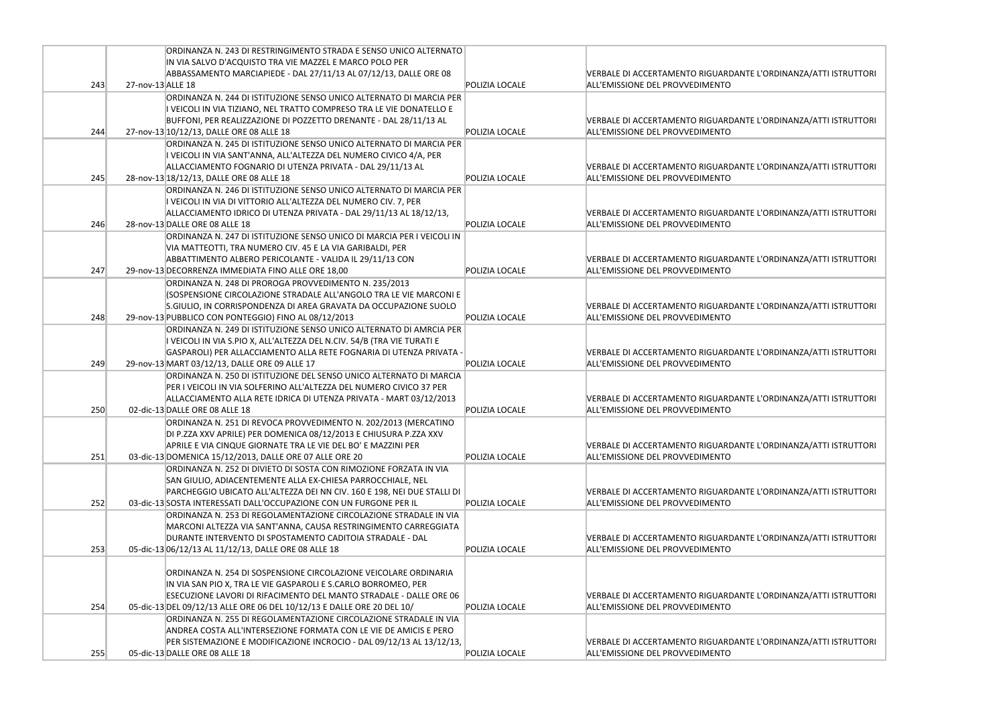|     | ORDINANZA N. 243 DI RESTRINGIMENTO STRADA E SENSO UNICO ALTERNATO                                                    |                |                                                                        |
|-----|----------------------------------------------------------------------------------------------------------------------|----------------|------------------------------------------------------------------------|
|     | IN VIA SALVO D'ACQUISTO TRA VIE MAZZEL E MARCO POLO PER                                                              |                |                                                                        |
|     | ABBASSAMENTO MARCIAPIEDE - DAL 27/11/13 AL 07/12/13, DALLE ORE 08                                                    |                | <b>VERBALE DI ACCERTAMENTO RIGUARDANTE</b>                             |
| 243 | 27-nov-13 ALLE 18                                                                                                    | POLIZIA LOCALE | ALL'EMISSIONE DEL PROVVEDIMENTO                                        |
|     | ORDINANZA N. 244 DI ISTITUZIONE SENSO UNICO ALTERNATO DI MARCIA PER                                                  |                |                                                                        |
|     | I VEICOLI IN VIA TIZIANO, NEL TRATTO COMPRESO TRA LE VIE DONATELLO E                                                 |                |                                                                        |
|     | BUFFONI, PER REALIZZAZIONE DI POZZETTO DRENANTE - DAL 28/11/13 AL                                                    |                | VERBALE DI ACCERTAMENTO RIGUARDANTE                                    |
| 244 | 27-nov-13 10/12/13, DALLE ORE 08 ALLE 18                                                                             | POLIZIA LOCALE | ALL'EMISSIONE DEL PROVVEDIMENTO                                        |
|     | ORDINANZA N. 245 DI ISTITUZIONE SENSO UNICO ALTERNATO DI MARCIA PER                                                  |                |                                                                        |
|     | I VEICOLI IN VIA SANT'ANNA, ALL'ALTEZZA DEL NUMERO CIVICO 4/A, PER                                                   |                |                                                                        |
|     | ALLACCIAMENTO FOGNARIO DI UTENZA PRIVATA - DAL 29/11/13 AL                                                           |                | VERBALE DI ACCERTAMENTO RIGUARDANTE                                    |
| 245 | 28-nov-13 18/12/13, DALLE ORE 08 ALLE 18                                                                             | POLIZIA LOCALE | ALL'EMISSIONE DEL PROVVEDIMENTO                                        |
|     | ORDINANZA N. 246 DI ISTITUZIONE SENSO UNICO ALTERNATO DI MARCIA PER                                                  |                |                                                                        |
|     | I VEICOLI IN VIA DI VITTORIO ALL'ALTEZZA DEL NUMERO CIV. 7, PER                                                      |                |                                                                        |
|     | ALLACCIAMENTO IDRICO DI UTENZA PRIVATA - DAL 29/11/13 AL 18/12/13,                                                   | POLIZIA LOCALE | VERBALE DI ACCERTAMENTO RIGUARDANTE<br>ALL'EMISSIONE DEL PROVVEDIMENTO |
| 246 | 28-nov-13 DALLE ORE 08 ALLE 18                                                                                       |                |                                                                        |
|     | ORDINANZA N. 247 DI ISTITUZIONE SENSO UNICO DI MARCIA PER I VEICOLI IN                                               |                |                                                                        |
|     | VIA MATTEOTTI, TRA NUMERO CIV. 45 E LA VIA GARIBALDI, PER                                                            |                |                                                                        |
| 247 | ABBATTIMENTO ALBERO PERICOLANTE - VALIDA IL 29/11/13 CON<br>29-nov-13 DECORRENZA IMMEDIATA FINO ALLE ORE 18,00       | POLIZIA LOCALE | VERBALE DI ACCERTAMENTO RIGUARDANTE<br>ALL'EMISSIONE DEL PROVVEDIMENTO |
|     |                                                                                                                      |                |                                                                        |
|     | ORDINANZA N. 248 DI PROROGA PROVVEDIMENTO N. 235/2013                                                                |                |                                                                        |
|     | (SOSPENSIONE CIRCOLAZIONE STRADALE ALL'ANGOLO TRA LE VIE MARCONI E                                                   |                |                                                                        |
| 248 | S.GIULIO, IN CORRISPONDENZA DI AREA GRAVATA DA OCCUPAZIONE SUOLO                                                     | POLIZIA LOCALE | VERBALE DI ACCERTAMENTO RIGUARDANTE<br>ALL'EMISSIONE DEL PROVVEDIMENTO |
|     | 29-nov-13 PUBBLICO CON PONTEGGIO) FINO AL 08/12/2013                                                                 |                |                                                                        |
|     | ORDINANZA N. 249 DI ISTITUZIONE SENSO UNICO ALTERNATO DI AMRCIA PER                                                  |                |                                                                        |
|     | I VEICOLI IN VIA S.PIO X, ALL'ALTEZZA DEL N.CIV. 54/B (TRA VIE TURATI E                                              |                |                                                                        |
| 249 | GASPAROLI) PER ALLACCIAMENTO ALLA RETE FOGNARIA DI UTENZA PRIVATA -<br>29-nov-13 MART 03/12/13, DALLE ORE 09 ALLE 17 | POLIZIA LOCALE | VERBALE DI ACCERTAMENTO RIGUARDANTE<br>ALL'EMISSIONE DEL PROVVEDIMENTO |
|     | ORDINANZA N. 250 DI ISTITUZIONE DEL SENSO UNICO ALTERNATO DI MARCIA                                                  |                |                                                                        |
|     | PER I VEICOLI IN VIA SOLFERINO ALL'ALTEZZA DEL NUMERO CIVICO 37 PER                                                  |                |                                                                        |
|     | ALLACCIAMENTO ALLA RETE IDRICA DI UTENZA PRIVATA - MART 03/12/2013                                                   |                | <b>VERBALE DI ACCERTAMENTO RIGUARDANTE</b>                             |
| 250 | 02-dic-13 DALLE ORE 08 ALLE 18                                                                                       | POLIZIA LOCALE | ALL'EMISSIONE DEL PROVVEDIMENTO                                        |
|     | ORDINANZA N. 251 DI REVOCA PROVVEDIMENTO N. 202/2013 (MERCATINO                                                      |                |                                                                        |
|     | DI P.ZZA XXV APRILE) PER DOMENICA 08/12/2013 E CHIUSURA P.ZZA XXV                                                    |                |                                                                        |
|     | APRILE E VIA CINQUE GIORNATE TRA LE VIE DEL BO' E MAZZINI PER                                                        |                | VERBALE DI ACCERTAMENTO RIGUARDANTE                                    |
| 251 | 03-dic-13 DOMENICA 15/12/2013, DALLE ORE 07 ALLE ORE 20                                                              | POLIZIA LOCALE | ALL'EMISSIONE DEL PROVVEDIMENTO                                        |
|     | ORDINANZA N. 252 DI DIVIETO DI SOSTA CON RIMOZIONE FORZATA IN VIA                                                    |                |                                                                        |
|     | SAN GIULIO, ADIACENTEMENTE ALLA EX-CHIESA PARROCCHIALE, NEL                                                          |                |                                                                        |
|     | PARCHEGGIO UBICATO ALL'ALTEZZA DEI NN CIV. 160 E 198, NEI DUE STALLI DI                                              |                | <b>VERBALE DI ACCERTAMENTO RIGUARDANTE</b>                             |
| 252 | 03-dic-13 SOSTA INTERESSATI DALL'OCCUPAZIONE CON UN FURGONE PER IL                                                   | POLIZIA LOCALE | ALL'EMISSIONE DEL PROVVEDIMENTO                                        |
|     | ORDINANZA N. 253 DI REGOLAMENTAZIONE CIRCOLAZIONE STRADALE IN VIA                                                    |                |                                                                        |
|     | MARCONI ALTEZZA VIA SANT'ANNA, CAUSA RESTRINGIMENTO CARREGGIATA                                                      |                |                                                                        |
|     | DURANTE INTERVENTO DI SPOSTAMENTO CADITOIA STRADALE - DAL                                                            |                | VERBALE DI ACCERTAMENTO RIGUARDANTE                                    |
| 253 | 05-dic-13 06/12/13 AL 11/12/13, DALLE ORE 08 ALLE 18                                                                 | POLIZIA LOCALE | ALL'EMISSIONE DEL PROVVEDIMENTO                                        |
|     |                                                                                                                      |                |                                                                        |
|     | ORDINANZA N. 254 DI SOSPENSIONE CIRCOLAZIONE VEICOLARE ORDINARIA                                                     |                |                                                                        |
|     | IN VIA SAN PIO X, TRA LE VIE GASPAROLI E S.CARLO BORROMEO, PER                                                       |                |                                                                        |
|     | ESECUZIONE LAVORI DI RIFACIMENTO DEL MANTO STRADALE - DALLE ORE 06                                                   |                | VERBALE DI ACCERTAMENTO RIGUARDANTE                                    |
| 254 | 05-dic-13 DEL 09/12/13 ALLE ORE 06 DEL 10/12/13 E DALLE ORE 20 DEL 10/                                               | POLIZIA LOCALE | ALL'EMISSIONE DEL PROVVEDIMENTO                                        |
|     | ORDINANZA N. 255 DI REGOLAMENTAZIONE CIRCOLAZIONE STRADALE IN VIA                                                    |                |                                                                        |
|     | ANDREA COSTA ALL'INTERSEZIONE FORMATA CON LE VIE DE AMICIS E PERO                                                    |                |                                                                        |
|     | PER SISTEMAZIONE E MODIFICAZIONE INCROCIO - DAL 09/12/13 AL 13/12/13,                                                |                | VERBALE DI ACCERTAMENTO RIGUARDANTE                                    |
| 255 | 05-dic-13 DALLE ORE 08 ALLE 18                                                                                       | POLIZIA LOCALE | ALL'EMISSIONE DEL PROVVEDIMENTO                                        |
|     |                                                                                                                      |                |                                                                        |

L'ORDINANZA/ATTI ISTRUTTORI

L'ORDINANZA/ATTI ISTRUTTORI

L'ORDINANZA/ATTI ISTRUTTORI

L'ORDINANZA/ATTI ISTRUTTORI

L'ORDINANZA/ATTI ISTRUTTORI

L'ORDINANZA/ATTI ISTRUTTORI

L'ORDINANZA/ATTI ISTRUTTORI

L'ORDINANZA/ATTI ISTRUTTORI

L'ORDINANZA/ATTI ISTRUTTORI

L'ORDINANZA/ATTI ISTRUTTORI

L'ORDINANZA/ATTI ISTRUTTORI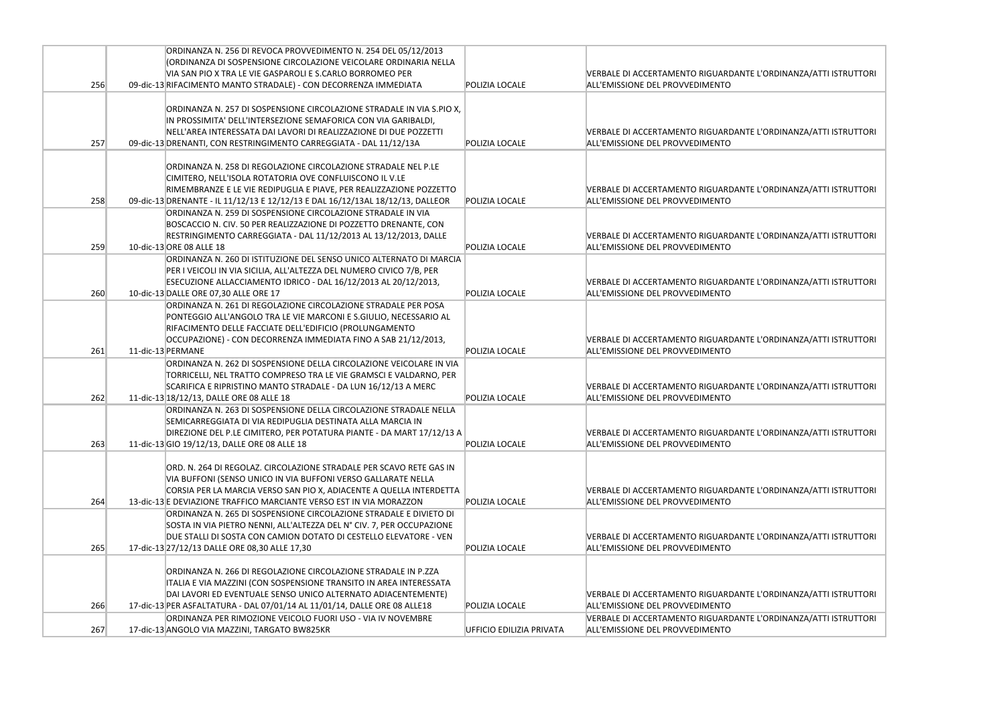|     | ORDINANZA N. 256 DI REVOCA PROVVEDIMENTO N. 254 DEL 05/12/2013                                                                             |                          |                                                                               |
|-----|--------------------------------------------------------------------------------------------------------------------------------------------|--------------------------|-------------------------------------------------------------------------------|
|     | (ORDINANZA DI SOSPENSIONE CIRCOLAZIONE VEICOLARE ORDINARIA NELLA                                                                           |                          |                                                                               |
|     | VIA SAN PIO X TRA LE VIE GASPAROLI E S.CARLO BORROMEO PER                                                                                  |                          | <b>VERBALE DI ACCERTAMENTO RIGUARDANTE</b>                                    |
| 256 | 09-dic-13 RIFACIMENTO MANTO STRADALE) - CON DECORRENZA IMMEDIATA                                                                           | POLIZIA LOCALE           | ALL'EMISSIONE DEL PROVVEDIMENTO                                               |
|     |                                                                                                                                            |                          |                                                                               |
|     | ORDINANZA N. 257 DI SOSPENSIONE CIRCOLAZIONE STRADALE IN VIA S.PIO X,<br>IN PROSSIMITA' DELL'INTERSEZIONE SEMAFORICA CON VIA GARIBALDI,    |                          |                                                                               |
|     | NELL'AREA INTERESSATA DAI LAVORI DI REALIZZAZIONE DI DUE POZZETTI                                                                          |                          | <b>VERBALE DI ACCERTAMENTO RIGUARDANTE</b>                                    |
| 257 | 09-dic-13 DRENANTI, CON RESTRINGIMENTO CARREGGIATA - DAL 11/12/13A                                                                         | POLIZIA LOCALE           | ALL'EMISSIONE DEL PROVVEDIMENTO                                               |
|     |                                                                                                                                            |                          |                                                                               |
|     | ORDINANZA N. 258 DI REGOLAZIONE CIRCOLAZIONE STRADALE NEL P.LE                                                                             |                          |                                                                               |
|     | CIMITERO, NELL'ISOLA ROTATORIA OVE CONFLUISCONO IL V.LE                                                                                    |                          |                                                                               |
|     | RIMEMBRANZE E LE VIE REDIPUGLIA E PIAVE, PER REALIZZAZIONE POZZETTO                                                                        |                          | <b>VERBALE DI ACCERTAMENTO RIGUARDANTE</b>                                    |
| 258 | 09-dic-13 DRENANTE - IL 11/12/13 E 12/12/13 E DAL 16/12/13AL 18/12/13, DALLEOR                                                             | POLIZIA LOCALE           | ALL'EMISSIONE DEL PROVVEDIMENTO                                               |
|     | ORDINANZA N. 259 DI SOSPENSIONE CIRCOLAZIONE STRADALE IN VIA                                                                               |                          |                                                                               |
|     | BOSCACCIO N. CIV. 50 PER REALIZZAZIONE DI POZZETTO DRENANTE, CON                                                                           |                          |                                                                               |
|     | RESTRINGIMENTO CARREGGIATA - DAL 11/12/2013 AL 13/12/2013, DALLE                                                                           |                          | <b>VERBALE DI ACCERTAMENTO RIGUARDANTE</b>                                    |
| 259 | 10-dic-13 ORE 08 ALLE 18                                                                                                                   | POLIZIA LOCALE           | ALL'EMISSIONE DEL PROVVEDIMENTO                                               |
|     | ORDINANZA N. 260 DI ISTITUZIONE DEL SENSO UNICO ALTERNATO DI MARCIA                                                                        |                          |                                                                               |
|     | PER I VEICOLI IN VIA SICILIA, ALL'ALTEZZA DEL NUMERO CIVICO 7/B, PER                                                                       |                          |                                                                               |
| 260 | ESECUZIONE ALLACCIAMENTO IDRICO - DAL 16/12/2013 AL 20/12/2013,<br>10-dic-13 DALLE ORE 07,30 ALLE ORE 17                                   | POLIZIA LOCALE           | <b>VERBALE DI ACCERTAMENTO RIGUARDANTE</b><br>ALL'EMISSIONE DEL PROVVEDIMENTO |
|     | ORDINANZA N. 261 DI REGOLAZIONE CIRCOLAZIONE STRADALE PER POSA                                                                             |                          |                                                                               |
|     | PONTEGGIO ALL'ANGOLO TRA LE VIE MARCONI E S.GIULIO, NECESSARIO AL                                                                          |                          |                                                                               |
|     | RIFACIMENTO DELLE FACCIATE DELL'EDIFICIO (PROLUNGAMENTO                                                                                    |                          |                                                                               |
|     | OCCUPAZIONE) - CON DECORRENZA IMMEDIATA FINO A SAB 21/12/2013,                                                                             |                          | <b>VERBALE DI ACCERTAMENTO RIGUARDANTE</b>                                    |
| 261 | 11-dic-13 PERMANE                                                                                                                          | POLIZIA LOCALE           | ALL'EMISSIONE DEL PROVVEDIMENTO                                               |
|     | ORDINANZA N. 262 DI SOSPENSIONE DELLA CIRCOLAZIONE VEICOLARE IN VIA                                                                        |                          |                                                                               |
|     | TORRICELLI, NEL TRATTO COMPRESO TRA LE VIE GRAMSCI E VALDARNO, PER                                                                         |                          |                                                                               |
|     | SCARIFICA E RIPRISTINO MANTO STRADALE - DA LUN 16/12/13 A MERC                                                                             |                          | <b>VERBALE DI ACCERTAMENTO RIGUARDANTE</b>                                    |
| 262 | 11-dic-13 18/12/13, DALLE ORE 08 ALLE 18                                                                                                   | POLIZIA LOCALE           | ALL'EMISSIONE DEL PROVVEDIMENTO                                               |
|     | ORDINANZA N. 263 DI SOSPENSIONE DELLA CIRCOLAZIONE STRADALE NELLA                                                                          |                          |                                                                               |
|     | SEMICARREGGIATA DI VIA REDIPUGLIA DESTINATA ALLA MARCIA IN                                                                                 |                          |                                                                               |
|     | DIREZIONE DEL P.LE CIMITERO, PER POTATURA PIANTE - DA MART 17/12/13 A                                                                      |                          | <b>VERBALE DI ACCERTAMENTO RIGUARDANTE</b>                                    |
| 263 | 11-dic-13 GIO 19/12/13, DALLE ORE 08 ALLE 18                                                                                               | POLIZIA LOCALE           | ALL'EMISSIONE DEL PROVVEDIMENTO                                               |
|     | ORD. N. 264 DI REGOLAZ. CIRCOLAZIONE STRADALE PER SCAVO RETE GAS IN                                                                        |                          |                                                                               |
|     | VIA BUFFONI (SENSO UNICO IN VIA BUFFONI VERSO GALLARATE NELLA                                                                              |                          |                                                                               |
|     | CORSIA PER LA MARCIA VERSO SAN PIO X, ADIACENTE A QUELLA INTERDETTA                                                                        |                          | <b>VERBALE DI ACCERTAMENTO RIGUARDANTE</b>                                    |
| 264 | 13-dic-13 E DEVIAZIONE TRAFFICO MARCIANTE VERSO EST IN VIA MORAZZON                                                                        | POLIZIA LOCALE           | ALL'EMISSIONE DEL PROVVEDIMENTO                                               |
|     | ORDINANZA N. 265 DI SOSPENSIONE CIRCOLAZIONE STRADALE E DIVIETO DI                                                                         |                          |                                                                               |
|     | SOSTA IN VIA PIETRO NENNI, ALL'ALTEZZA DEL N° CIV. 7, PER OCCUPAZIONE                                                                      |                          |                                                                               |
|     | DUE STALLI DI SOSTA CON CAMION DOTATO DI CESTELLO ELEVATORE - VEN                                                                          |                          | <b>VERBALE DI ACCERTAMENTO RIGUARDANTE</b>                                    |
| 265 | 17-dic-13 27/12/13 DALLE ORE 08,30 ALLE 17,30                                                                                              | POLIZIA LOCALE           | ALL'EMISSIONE DEL PROVVEDIMENTO                                               |
|     |                                                                                                                                            |                          |                                                                               |
|     | ORDINANZA N. 266 DI REGOLAZIONE CIRCOLAZIONE STRADALE IN P.ZZA                                                                             |                          |                                                                               |
|     | ITALIA E VIA MAZZINI (CON SOSPENSIONE TRANSITO IN AREA INTERESSATA                                                                         |                          |                                                                               |
| 266 | DAI LAVORI ED EVENTUALE SENSO UNICO ALTERNATO ADIACENTEMENTE)<br>17-dic-13 PER ASFALTATURA - DAL 07/01/14 AL 11/01/14, DALLE ORE 08 ALLE18 | POLIZIA LOCALE           | <b>VERBALE DI ACCERTAMENTO RIGUARDANTE</b><br>ALL'EMISSIONE DEL PROVVEDIMENTO |
|     | ORDINANZA PER RIMOZIONE VEICOLO FUORI USO - VIA IV NOVEMBRE                                                                                |                          | <b>VERBALE DI ACCERTAMENTO RIGUARDANTE</b>                                    |
| 267 | 17-dic-13 ANGOLO VIA MAZZINI, TARGATO BW825KR                                                                                              | UFFICIO EDILIZIA PRIVATA | ALL'EMISSIONE DEL PROVVEDIMENTO                                               |
|     |                                                                                                                                            |                          |                                                                               |

E L'ORDINANZA/ATTI ISTRUTTORI

E L'ORDINANZA/ATTI ISTRUTTORI

E L'ORDINANZA/ATTI ISTRUTTORI

E L'ORDINANZA/ATTI ISTRUTTORI

L'ORDINANZA/ATTI ISTRUTTORI

E L'ORDINANZA/ATTI ISTRUTTORI

E L'ORDINANZA/ATTI ISTRUTTORI

E L'ORDINANZA/ATTI ISTRUTTORI

E L'ORDINANZA/ATTI ISTRUTTORI

E L'ORDINANZA/ATTI ISTRUTTORI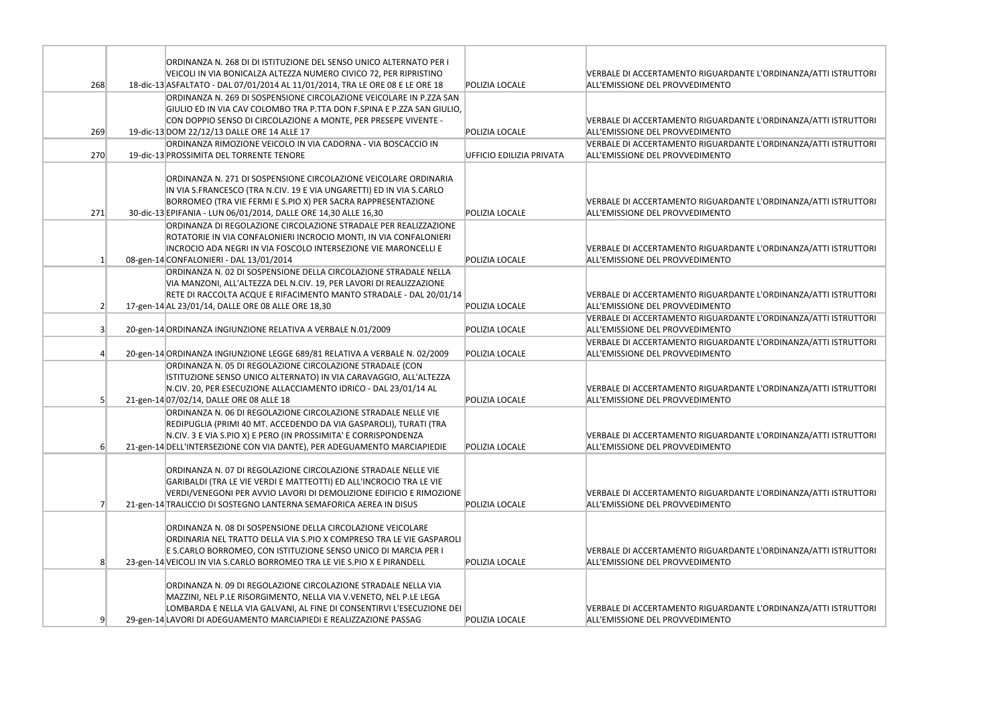|                | ORDINANZA N. 268 DI DI ISTITUZIONE DEL SENSO UNICO ALTERNATO PER I            |                          |                                                                        |
|----------------|-------------------------------------------------------------------------------|--------------------------|------------------------------------------------------------------------|
|                | VEICOLI IN VIA BONICALZA ALTEZZA NUMERO CIVICO 72, PER RIPRISTINO             |                          | VERBALE DI ACCERTAMENTO RIGUARDANTE                                    |
| 268            | 18-dic-13 ASFALTATO - DAL 07/01/2014 AL 11/01/2014, TRA LE ORE 08 E LE ORE 18 | POLIZIA LOCALE           | ALL'EMISSIONE DEL PROVVEDIMENTO                                        |
|                | ORDINANZA N. 269 DI SOSPENSIONE CIRCOLAZIONE VEICOLARE IN P.ZZA SAN           |                          |                                                                        |
|                | GIULIO ED IN VIA CAV COLOMBO TRA P.TTA DON F.SPINA E P.ZZA SAN GIULIO,        |                          |                                                                        |
|                | CON DOPPIO SENSO DI CIRCOLAZIONE A MONTE, PER PRESEPE VIVENTE -               |                          | VERBALE DI ACCERTAMENTO RIGUARDANTE                                    |
| 269            | 19-dic-13 DOM 22/12/13 DALLE ORE 14 ALLE 17                                   | POLIZIA LOCALE           | ALL'EMISSIONE DEL PROVVEDIMENTO                                        |
|                | ORDINANZA RIMOZIONE VEICOLO IN VIA CADORNA - VIA BOSCACCIO IN                 |                          | <b>VERBALE DI ACCERTAMENTO RIGUARDANTE</b>                             |
| 270            | 19-dic-13 PROSSIMITA DEL TORRENTE TENORE                                      | UFFICIO EDILIZIA PRIVATA | ALL'EMISSIONE DEL PROVVEDIMENTO                                        |
|                |                                                                               |                          |                                                                        |
|                | ORDINANZA N. 271 DI SOSPENSIONE CIRCOLAZIONE VEICOLARE ORDINARIA              |                          |                                                                        |
|                | IN VIA S.FRANCESCO (TRA N.CIV. 19 E VIA UNGARETTI) ED IN VIA S.CARLO          |                          |                                                                        |
|                | BORROMEO (TRA VIE FERMI E S.PIO X) PER SACRA RAPPRESENTAZIONE                 |                          |                                                                        |
|                |                                                                               | POLIZIA LOCALE           | VERBALE DI ACCERTAMENTO RIGUARDANTE<br>ALL'EMISSIONE DEL PROVVEDIMENTO |
| 271            | 30-dic-13 EPIFANIA - LUN 06/01/2014, DALLE ORE 14,30 ALLE 16,30               |                          |                                                                        |
|                | ORDINANZA DI REGOLAZIONE CIRCOLAZIONE STRADALE PER REALIZZAZIONE              |                          |                                                                        |
|                | ROTATORIE IN VIA CONFALONIERI INCROCIO MONTI, IN VIA CONFALONIERI             |                          |                                                                        |
|                | INCROCIO ADA NEGRI IN VIA FOSCOLO INTERSEZIONE VIE MARONCELLI E               |                          | VERBALE DI ACCERTAMENTO RIGUARDANTE                                    |
| $\mathbf{1}$   | 08-gen-14 CONFALONIERI - DAL 13/01/2014                                       | POLIZIA LOCALE           | ALL'EMISSIONE DEL PROVVEDIMENTO                                        |
|                | ORDINANZA N. 02 DI SOSPENSIONE DELLA CIRCOLAZIONE STRADALE NELLA              |                          |                                                                        |
|                | VIA MANZONI, ALL'ALTEZZA DEL N.CIV. 19, PER LAVORI DI REALIZZAZIONE           |                          |                                                                        |
|                | RETE DI RACCOLTA ACQUE E RIFACIMENTO MANTO STRADALE - DAL 20/01/14            |                          | VERBALE DI ACCERTAMENTO RIGUARDANTE                                    |
| $\overline{2}$ | 17-gen-14 AL 23/01/14, DALLE ORE 08 ALLE ORE 18,30                            | POLIZIA LOCALE           | ALL'EMISSIONE DEL PROVVEDIMENTO                                        |
|                |                                                                               |                          | VERBALE DI ACCERTAMENTO RIGUARDANTE                                    |
| 3 <sup>l</sup> | 20-gen-14 ORDINANZA INGIUNZIONE RELATIVA A VERBALE N.01/2009                  | POLIZIA LOCALE           | ALL'EMISSIONE DEL PROVVEDIMENTO                                        |
|                |                                                                               |                          | VERBALE DI ACCERTAMENTO RIGUARDANTE                                    |
|                | 20-gen-14 ORDINANZA INGIUNZIONE LEGGE 689/81 RELATIVA A VERBALE N. 02/2009    | POLIZIA LOCALE           | ALL'EMISSIONE DEL PROVVEDIMENTO                                        |
|                | ORDINANZA N. 05 DI REGOLAZIONE CIRCOLAZIONE STRADALE (CON                     |                          |                                                                        |
|                | ISTITUZIONE SENSO UNICO ALTERNATO) IN VIA CARAVAGGIO, ALL'ALTEZZA             |                          |                                                                        |
|                | N.CIV. 20, PER ESECUZIONE ALLACCIAMENTO IDRICO - DAL 23/01/14 AL              |                          | VERBALE DI ACCERTAMENTO RIGUARDANTE                                    |
| 5              | 21-gen-14 07/02/14, DALLE ORE 08 ALLE 18                                      | POLIZIA LOCALE           | ALL'EMISSIONE DEL PROVVEDIMENTO                                        |
|                | ORDINANZA N. 06 DI REGOLAZIONE CIRCOLAZIONE STRADALE NELLE VIE                |                          |                                                                        |
|                | REDIPUGLIA (PRIMI 40 MT. ACCEDENDO DA VIA GASPAROLI), TURATI (TRA             |                          |                                                                        |
|                | N.CIV. 3 E VIA S.PIO X) E PERO (IN PROSSIMITA' E CORRISPONDENZA               |                          | VERBALE DI ACCERTAMENTO RIGUARDANTE                                    |
| $6 \mid$       | 21-gen-14 DELL'INTERSEZIONE CON VIA DANTE), PER ADEGUAMENTO MARCIAPIEDIE      | POLIZIA LOCALE           | ALL'EMISSIONE DEL PROVVEDIMENTO                                        |
|                |                                                                               |                          |                                                                        |
|                | ORDINANZA N. 07 DI REGOLAZIONE CIRCOLAZIONE STRADALE NELLE VIE                |                          |                                                                        |
|                | GARIBALDI (TRA LE VIE VERDI E MATTEOTTI) ED ALL'INCROCIO TRA LE VIE           |                          |                                                                        |
|                | VERDI/VENEGONI PER AVVIO LAVORI DI DEMOLIZIONE EDIFICIO E RIMOZIONE           |                          | VERBALE DI ACCERTAMENTO RIGUARDANTE                                    |
|                | 21-gen-14 TRALICCIO DI SOSTEGNO LANTERNA SEMAFORICA AEREA IN DISUS            | POLIZIA LOCALE           | ALL'EMISSIONE DEL PROVVEDIMENTO                                        |
|                |                                                                               |                          |                                                                        |
|                | ORDINANZA N. 08 DI SOSPENSIONE DELLA CIRCOLAZIONE VEICOLARE                   |                          |                                                                        |
|                | ORDINARIA NEL TRATTO DELLA VIA S.PIO X COMPRESO TRA LE VIE GASPAROLI          |                          |                                                                        |
|                | E S.CARLO BORROMEO, CON ISTITUZIONE SENSO UNICO DI MARCIA PER I               |                          | VERBALE DI ACCERTAMENTO RIGUARDANTE                                    |
| 8              | 23-gen-14 VEICOLI IN VIA S.CARLO BORROMEO TRA LE VIE S.PIO X E PIRANDELL      | POLIZIA LOCALE           | ALL'EMISSIONE DEL PROVVEDIMENTO                                        |
|                |                                                                               |                          |                                                                        |
|                | ORDINANZA N. 09 DI REGOLAZIONE CIRCOLAZIONE STRADALE NELLA VIA                |                          |                                                                        |
|                | MAZZINI, NEL P.LE RISORGIMENTO, NELLA VIA V.VENETO, NEL P.LE LEGA             |                          |                                                                        |
|                | LOMBARDA E NELLA VIA GALVANI, AL FINE DI CONSENTIRVI L'ESECUZIONE DEI         |                          | VERBALE DI ACCERTAMENTO RIGUARDANTE                                    |
| 9              | 29-gen-14 LAVORI DI ADEGUAMENTO MARCIAPIEDI E REALIZZAZIONE PASSAG            | POLIZIA LOCALE           | ALL'EMISSIONE DEL PROVVEDIMENTO                                        |
|                |                                                                               |                          |                                                                        |

L'ORDINANZA/ATTI ISTRUTTORI

L'ORDINANZA/ATTI ISTRUTTORI

L'ORDINANZA/ATTI ISTRUTTORI

L'ORDINANZA/ATTI ISTRUTTORI

L'ORDINANZA/ATTI ISTRUTTORI

L'ORDINANZA/ATTI ISTRUTTORI

L'ORDINANZA/ATTI ISTRUTTORI

L'ORDINANZA/ATTI ISTRUTTORI

L'ORDINANZA/ATTI ISTRUTTORI

L'ORDINANZA/ATTI ISTRUTTORI

L'ORDINANZA/ATTI ISTRUTTORI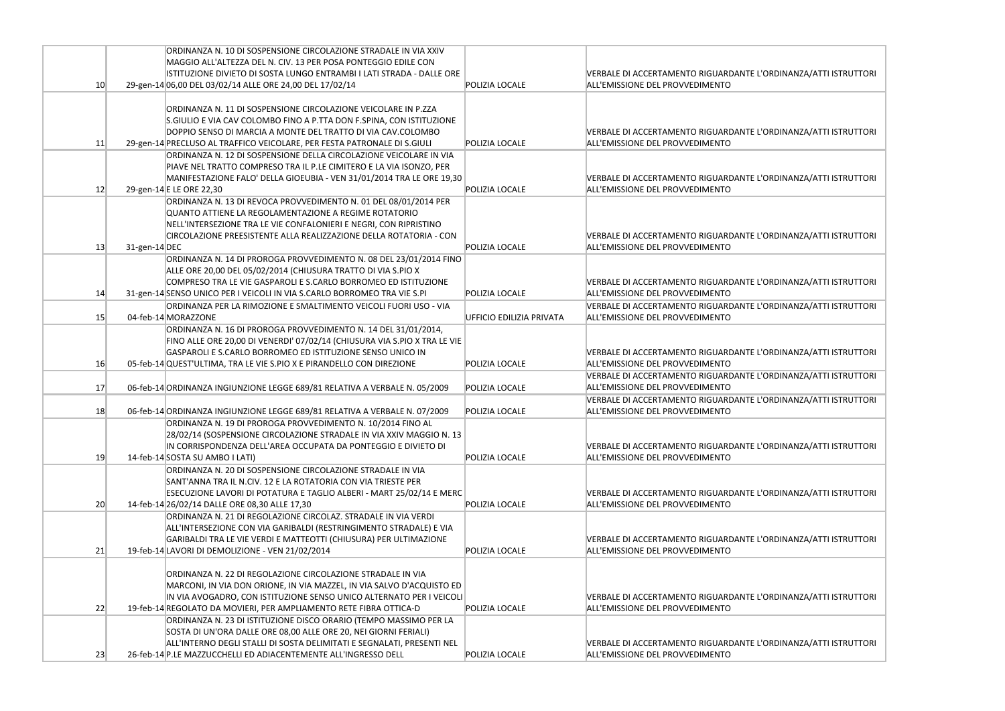|                 |               | ORDINANZA N. 10 DI SOSPENSIONE CIRCOLAZIONE STRADALE IN VIA XXIV<br>MAGGIO ALL'ALTEZZA DEL N. CIV. 13 PER POSA PONTEGGIO EDILE CON                                                                                                                                                 |                          |                                                                               |
|-----------------|---------------|------------------------------------------------------------------------------------------------------------------------------------------------------------------------------------------------------------------------------------------------------------------------------------|--------------------------|-------------------------------------------------------------------------------|
| 10 <sup>°</sup> |               | ISTITUZIONE DIVIETO DI SOSTA LUNGO ENTRAMBI I LATI STRADA - DALLE ORE<br>29-gen-14 06,00 DEL 03/02/14 ALLE ORE 24,00 DEL 17/02/14                                                                                                                                                  | POLIZIA LOCALE           | <b>VERBALE DI ACCERTAMENTO RIGUARDANTE</b><br>ALL'EMISSIONE DEL PROVVEDIMENTO |
| 11              |               | ORDINANZA N. 11 DI SOSPENSIONE CIRCOLAZIONE VEICOLARE IN P.ZZA<br>S.GIULIO E VIA CAV COLOMBO FINO A P.TTA DON F.SPINA, CON ISTITUZIONE<br>DOPPIO SENSO DI MARCIA A MONTE DEL TRATTO DI VIA CAV.COLOMBO<br>29-gen-14 PRECLUSO AL TRAFFICO VEICOLARE, PER FESTA PATRONALE DI S.GIULI | POLIZIA LOCALE           | VERBALE DI ACCERTAMENTO RIGUARDANTE<br>ALL'EMISSIONE DEL PROVVEDIMENTO        |
|                 |               | ORDINANZA N. 12 DI SOSPENSIONE DELLA CIRCOLAZIONE VEICOLARE IN VIA<br>PIAVE NEL TRATTO COMPRESO TRA IL P.LE CIMITERO E LA VIA ISONZO, PER<br>MANIFESTAZIONE FALO' DELLA GIOEUBIA - VEN 31/01/2014 TRA LE ORE 19,30                                                                 |                          | <b>VERBALE DI ACCERTAMENTO RIGUARDANTE</b>                                    |
| 12              |               | 29-gen-14 E LE ORE 22,30                                                                                                                                                                                                                                                           | POLIZIA LOCALE           | ALL'EMISSIONE DEL PROVVEDIMENTO                                               |
| 13              | 31-gen-14 DEC | ORDINANZA N. 13 DI REVOCA PROVVEDIMENTO N. 01 DEL 08/01/2014 PER<br>QUANTO ATTIENE LA REGOLAMENTAZIONE A REGIME ROTATORIO<br>NELL'INTERSEZIONE TRA LE VIE CONFALONIERI E NEGRI, CON RIPRISTINO<br>CIRCOLAZIONE PREESISTENTE ALLA REALIZZAZIONE DELLA ROTATORIA - CON               | <b>POLIZIA LOCALE</b>    | <b>VERBALE DI ACCERTAMENTO RIGUARDANTE</b><br>ALL'EMISSIONE DEL PROVVEDIMENTO |
| 14              |               | ORDINANZA N. 14 DI PROROGA PROVVEDIMENTO N. 08 DEL 23/01/2014 FINO<br>ALLE ORE 20,00 DEL 05/02/2014 (CHIUSURA TRATTO DI VIA S.PIO X<br>COMPRESO TRA LE VIE GASPAROLI E S.CARLO BORROMEO ED ISTITUZIONE<br>31-gen-14 SENSO UNICO PER I VEICOLI IN VIA S.CARLO BORROMEO TRA VIE S.PI | POLIZIA LOCALE           | <b>VERBALE DI ACCERTAMENTO RIGUARDANTE</b><br>ALL'EMISSIONE DEL PROVVEDIMENTO |
|                 |               | ORDINANZA PER LA RIMOZIONE E SMALTIMENTO VEICOLI FUORI USO - VIA                                                                                                                                                                                                                   |                          | <b>VERBALE DI ACCERTAMENTO RIGUARDANTE</b>                                    |
| 15              |               | 04-feb-14 MORAZZONE                                                                                                                                                                                                                                                                | UFFICIO EDILIZIA PRIVATA | ALL'EMISSIONE DEL PROVVEDIMENTO                                               |
|                 |               | ORDINANZA N. 16 DI PROROGA PROVVEDIMENTO N. 14 DEL 31/01/2014,<br>FINO ALLE ORE 20,00 DI VENERDI' 07/02/14 (CHIUSURA VIA S.PIO X TRA LE VIE<br>GASPAROLI E S.CARLO BORROMEO ED ISTITUZIONE SENSO UNICO IN                                                                          |                          | <b>VERBALE DI ACCERTAMENTO RIGUARDANTE</b>                                    |
| 16              |               | 05-feb-14 QUEST'ULTIMA, TRA LE VIE S.PIO X E PIRANDELLO CON DIREZIONE                                                                                                                                                                                                              | POLIZIA LOCALE           | ALL'EMISSIONE DEL PROVVEDIMENTO                                               |
| 17              |               | 06-feb-14 ORDINANZA INGIUNZIONE LEGGE 689/81 RELATIVA A VERBALE N. 05/2009                                                                                                                                                                                                         | POLIZIA LOCALE           | <b>VERBALE DI ACCERTAMENTO RIGUARDANTE</b><br>ALL'EMISSIONE DEL PROVVEDIMENTO |
| 18              |               | 06-feb-14 ORDINANZA INGIUNZIONE LEGGE 689/81 RELATIVA A VERBALE N. 07/2009                                                                                                                                                                                                         | POLIZIA LOCALE           | VERBALE DI ACCERTAMENTO RIGUARDANTE<br>ALL'EMISSIONE DEL PROVVEDIMENTO        |
| 19              |               | ORDINANZA N. 19 DI PROROGA PROVVEDIMENTO N. 10/2014 FINO AL<br>28/02/14 (SOSPENSIONE CIRCOLAZIONE STRADALE IN VIA XXIV MAGGIO N. 13<br>IN CORRISPONDENZA DELL'AREA OCCUPATA DA PONTEGGIO E DIVIETO DI<br>14-feb-14 SOSTA SU AMBO I LATI)                                           | POLIZIA LOCALE           | <b>VERBALE DI ACCERTAMENTO RIGUARDANTE</b><br>ALL'EMISSIONE DEL PROVVEDIMENTO |
| 20              |               | ORDINANZA N. 20 DI SOSPENSIONE CIRCOLAZIONE STRADALE IN VIA<br>SANT'ANNA TRA IL N.CIV. 12 E LA ROTATORIA CON VIA TRIESTE PER<br>ESECUZIONE LAVORI DI POTATURA E TAGLIO ALBERI - MART 25/02/14 E MERC<br>14-feb-14 26/02/14 DALLE ORE 08,30 ALLE 17,30                              | POLIZIA LOCALE           | <b>VERBALE DI ACCERTAMENTO RIGUARDANTE</b><br>ALL'EMISSIONE DEL PROVVEDIMENTO |
|                 |               | ORDINANZA N. 21 DI REGOLAZIONE CIRCOLAZ. STRADALE IN VIA VERDI<br>ALL'INTERSEZIONE CON VIA GARIBALDI (RESTRINGIMENTO STRADALE) E VIA<br>GARIBALDI TRA LE VIE VERDI E MATTEOTTI (CHIUSURA) PER ULTIMAZIONE                                                                          |                          | <b>VERBALE DI ACCERTAMENTO RIGUARDANTE</b>                                    |
| 21              |               | 19-feb-14 LAVORI DI DEMOLIZIONE - VEN 21/02/2014                                                                                                                                                                                                                                   | POLIZIA LOCALE           | ALL'EMISSIONE DEL PROVVEDIMENTO                                               |
| 22              |               | ORDINANZA N. 22 DI REGOLAZIONE CIRCOLAZIONE STRADALE IN VIA<br>MARCONI, IN VIA DON ORIONE, IN VIA MAZZEL, IN VIA SALVO D'ACQUISTO ED<br>IN VIA AVOGADRO, CON ISTITUZIONE SENSO UNICO ALTERNATO PER I VEICOLI<br>19-feb-14 REGOLATO DA MOVIERI, PER AMPLIAMENTO RETE FIBRA OTTICA-D | POLIZIA LOCALE           | <b>VERBALE DI ACCERTAMENTO RIGUARDANTE</b><br>ALL'EMISSIONE DEL PROVVEDIMENTO |
|                 |               | ORDINANZA N. 23 DI ISTITUZIONE DISCO ORARIO (TEMPO MASSIMO PER LA<br>SOSTA DI UN'ORA DALLE ORE 08,00 ALLE ORE 20, NEI GIORNI FERIALI)<br>ALL'INTERNO DEGLI STALLI DI SOSTA DELIMITATI E SEGNALATI, PRESENTI NEL                                                                    |                          | <b>VERBALE DI ACCERTAMENTO RIGUARDANTE</b>                                    |
| 23              |               | 26-feb-14 P.LE MAZZUCCHELLI ED ADIACENTEMENTE ALL'INGRESSO DELL                                                                                                                                                                                                                    | POLIZIA LOCALE           | ALL'EMISSIONE DEL PROVVEDIMENTO                                               |

E L'ORDINANZA/ATTI ISTRUTTORI

E L'ORDINANZA/ATTI ISTRUTTORI

E L'ORDINANZA/ATTI ISTRUTTORI

E L'ORDINANZA/ATTI ISTRUTTORI

E L'ORDINANZA/ATTI ISTRUTTORI

E L'ORDINANZA/ATTI ISTRUTTORI

E L'ORDINANZA/ATTI ISTRUTTORI

E L'ORDINANZA/ATTI ISTRUTTORI

E L'ORDINANZA/ATTI ISTRUTTORI

E L'ORDINANZA/ATTI ISTRUTTORI

E L'ORDINANZA/ATTI ISTRUTTORI

E L'ORDINANZA/ATTI ISTRUTTORI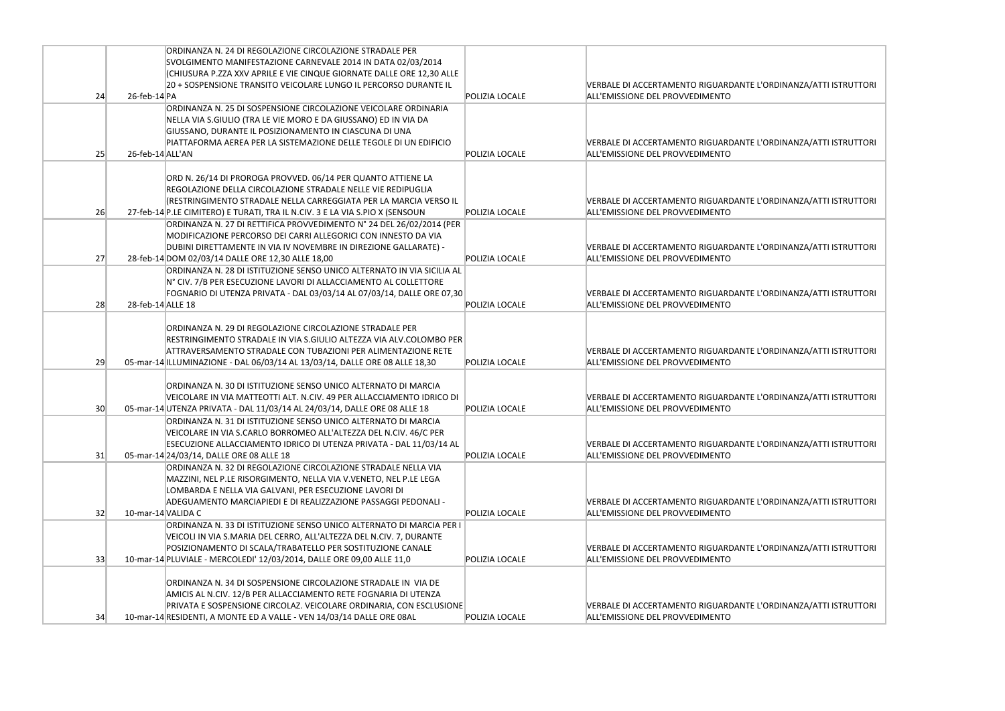|    |                    | ORDINANZA N. 24 DI REGOLAZIONE CIRCOLAZIONE STRADALE PER                                                                            |                       |                                                                               |
|----|--------------------|-------------------------------------------------------------------------------------------------------------------------------------|-----------------------|-------------------------------------------------------------------------------|
|    |                    | SVOLGIMENTO MANIFESTAZIONE CARNEVALE 2014 IN DATA 02/03/2014                                                                        |                       |                                                                               |
|    |                    | (CHIUSURA P.ZZA XXV APRILE E VIE CINQUE GIORNATE DALLE ORE 12,30 ALLE                                                               |                       |                                                                               |
|    |                    | 20 + SOSPENSIONE TRANSITO VEICOLARE LUNGO IL PERCORSO DURANTE IL                                                                    |                       | <b>VERBALE DI ACCERTAMENTO RIGUARDANTE</b>                                    |
| 24 | $26$ -feb-14 $ PA$ |                                                                                                                                     | POLIZIA LOCALE        | ALL'EMISSIONE DEL PROVVEDIMENTO                                               |
|    |                    | ORDINANZA N. 25 DI SOSPENSIONE CIRCOLAZIONE VEICOLARE ORDINARIA                                                                     |                       |                                                                               |
|    |                    | NELLA VIA S.GIULIO (TRA LE VIE MORO E DA GIUSSANO) ED IN VIA DA                                                                     |                       |                                                                               |
|    |                    | GIUSSANO, DURANTE IL POSIZIONAMENTO IN CIASCUNA DI UNA                                                                              |                       |                                                                               |
|    |                    | PIATTAFORMA AEREA PER LA SISTEMAZIONE DELLE TEGOLE DI UN EDIFICIO                                                                   |                       | VERBALE DI ACCERTAMENTO RIGUARDANTE                                           |
| 25 | 26-feb-14 ALL'AN   |                                                                                                                                     | POLIZIA LOCALE        | ALL'EMISSIONE DEL PROVVEDIMENTO                                               |
|    |                    |                                                                                                                                     |                       |                                                                               |
|    |                    | ORD N. 26/14 DI PROROGA PROVVED. 06/14 PER QUANTO ATTIENE LA                                                                        |                       |                                                                               |
|    |                    | REGOLAZIONE DELLA CIRCOLAZIONE STRADALE NELLE VIE REDIPUGLIA                                                                        |                       |                                                                               |
|    |                    | (RESTRINGIMENTO STRADALE NELLA CARREGGIATA PER LA MARCIA VERSO IL                                                                   |                       | VERBALE DI ACCERTAMENTO RIGUARDANTE                                           |
| 26 |                    | 27-feb-14 P.LE CIMITERO) E TURATI, TRA IL N.CIV. 3 E LA VIA S.PIO X (SENSOUN                                                        | <b>POLIZIA LOCALE</b> | ALL'EMISSIONE DEL PROVVEDIMENTO                                               |
|    |                    | ORDINANZA N. 27 DI RETTIFICA PROVVEDIMENTO N° 24 DEL 26/02/2014 (PER                                                                |                       |                                                                               |
|    |                    | MODIFICAZIONE PERCORSO DEI CARRI ALLEGORICI CON INNESTO DA VIA                                                                      |                       |                                                                               |
|    |                    | DUBINI DIRETTAMENTE IN VIA IV NOVEMBRE IN DIREZIONE GALLARATE) -                                                                    |                       | VERBALE DI ACCERTAMENTO RIGUARDANTE                                           |
| 27 |                    | 28-feb-14 DOM 02/03/14 DALLE ORE 12,30 ALLE 18,00                                                                                   | POLIZIA LOCALE        | ALL'EMISSIONE DEL PROVVEDIMENTO                                               |
|    |                    | ORDINANZA N. 28 DI ISTITUZIONE SENSO UNICO ALTERNATO IN VIA SICILIA AL                                                              |                       |                                                                               |
|    |                    | N° CIV. 7/B PER ESECUZIONE LAVORI DI ALLACCIAMENTO AL COLLETTORE                                                                    |                       |                                                                               |
|    |                    | FOGNARIO DI UTENZA PRIVATA - DAL 03/03/14 AL 07/03/14, DALLE ORE 07,30                                                              |                       | <b>VERBALE DI ACCERTAMENTO RIGUARDANTE</b>                                    |
| 28 | 28-feb-14 ALLE 18  |                                                                                                                                     | POLIZIA LOCALE        | ALL'EMISSIONE DEL PROVVEDIMENTO                                               |
|    |                    |                                                                                                                                     |                       |                                                                               |
|    |                    | ORDINANZA N. 29 DI REGOLAZIONE CIRCOLAZIONE STRADALE PER                                                                            |                       |                                                                               |
|    |                    | RESTRINGIMENTO STRADALE IN VIA S.GIULIO ALTEZZA VIA ALV.COLOMBO PER                                                                 |                       |                                                                               |
|    |                    | ATTRAVERSAMENTO STRADALE CON TUBAZIONI PER ALIMENTAZIONE RETE                                                                       |                       | VERBALE DI ACCERTAMENTO RIGUARDANTE                                           |
| 29 |                    | 05-mar-14 ILLUMINAZIONE - DAL 06/03/14 AL 13/03/14, DALLE ORE 08 ALLE 18,30                                                         | POLIZIA LOCALE        | ALL'EMISSIONE DEL PROVVEDIMENTO                                               |
|    |                    |                                                                                                                                     |                       |                                                                               |
|    |                    | ORDINANZA N. 30 DI ISTITUZIONE SENSO UNICO ALTERNATO DI MARCIA                                                                      |                       |                                                                               |
|    |                    | VEICOLARE IN VIA MATTEOTTI ALT. N.CIV. 49 PER ALLACCIAMENTO IDRICO DI                                                               |                       | VERBALE DI ACCERTAMENTO RIGUARDANTE                                           |
| 30 |                    | 05-mar-14 UTENZA PRIVATA - DAL 11/03/14 AL 24/03/14, DALLE ORE 08 ALLE 18                                                           | POLIZIA LOCALE        | ALL'EMISSIONE DEL PROVVEDIMENTO                                               |
|    |                    | ORDINANZA N. 31 DI ISTITUZIONE SENSO UNICO ALTERNATO DI MARCIA                                                                      |                       |                                                                               |
|    |                    | VEICOLARE IN VIA S.CARLO BORROMEO ALL'ALTEZZA DEL N.CIV. 46/C PER                                                                   |                       |                                                                               |
|    |                    | ESECUZIONE ALLACCIAMENTO IDRICO DI UTENZA PRIVATA - DAL 11/03/14 AL                                                                 |                       | <b>VERBALE DI ACCERTAMENTO RIGUARDANTE</b>                                    |
| 31 |                    | 05-mar-14 24/03/14, DALLE ORE 08 ALLE 18                                                                                            | <b>POLIZIA LOCALE</b> | ALL'EMISSIONE DEL PROVVEDIMENTO                                               |
|    |                    | ORDINANZA N. 32 DI REGOLAZIONE CIRCOLAZIONE STRADALE NELLA VIA                                                                      |                       |                                                                               |
|    |                    | MAZZINI, NEL P.LE RISORGIMENTO, NELLA VIA V.VENETO, NEL P.LE LEGA                                                                   |                       |                                                                               |
|    |                    | LOMBARDA E NELLA VIA GALVANI, PER ESECUZIONE LAVORI DI                                                                              |                       |                                                                               |
| 32 | 10-mar-14 VALIDA C | ADEGUAMENTO MARCIAPIEDI E DI REALIZZAZIONE PASSAGGI PEDONALI -                                                                      | <b>POLIZIA LOCALE</b> | <b>VERBALE DI ACCERTAMENTO RIGUARDANTE</b><br>ALL'EMISSIONE DEL PROVVEDIMENTO |
|    |                    | ORDINANZA N. 33 DI ISTITUZIONE SENSO UNICO ALTERNATO DI MARCIA PER I                                                                |                       |                                                                               |
|    |                    |                                                                                                                                     |                       |                                                                               |
|    |                    | VEICOLI IN VIA S.MARIA DEL CERRO, ALL'ALTEZZA DEL N.CIV. 7, DURANTE                                                                 |                       |                                                                               |
| 33 |                    | POSIZIONAMENTO DI SCALA/TRABATELLO PER SOSTITUZIONE CANALE<br>10-mar-14 PLUVIALE - MERCOLEDI' 12/03/2014, DALLE ORE 09,00 ALLE 11,0 | <b>POLIZIA LOCALE</b> | VERBALE DI ACCERTAMENTO RIGUARDANTE<br>ALL'EMISSIONE DEL PROVVEDIMENTO        |
|    |                    |                                                                                                                                     |                       |                                                                               |
|    |                    | ORDINANZA N. 34 DI SOSPENSIONE CIRCOLAZIONE STRADALE IN VIA DE                                                                      |                       |                                                                               |
|    |                    | AMICIS AL N.CIV. 12/B PER ALLACCIAMENTO RETE FOGNARIA DI UTENZA                                                                     |                       |                                                                               |
|    |                    | PRIVATA E SOSPENSIONE CIRCOLAZ. VEICOLARE ORDINARIA, CON ESCLUSIONE                                                                 |                       | VERBALE DI ACCERTAMENTO RIGUARDANTE                                           |
| 34 |                    | 10-mar-14 RESIDENTI, A MONTE ED A VALLE - VEN 14/03/14 DALLE ORE 08AL                                                               | <b>POLIZIA LOCALE</b> | ALL'EMISSIONE DEL PROVVEDIMENTO                                               |
|    |                    |                                                                                                                                     |                       |                                                                               |

E L'ORDINANZA/ATTI ISTRUTTORI

E L'ORDINANZA/ATTI ISTRUTTORI

E L'ORDINANZA/ATTI ISTRUTTORI

E L'ORDINANZA/ATTI ISTRUTTORI

E L'ORDINANZA/ATTI ISTRUTTORI

E L'ORDINANZA/ATTI ISTRUTTORI

E L'ORDINANZA/ATTI ISTRUTTORI

E L'ORDINANZA/ATTI ISTRUTTORI

E L'ORDINANZA/ATTI ISTRUTTORI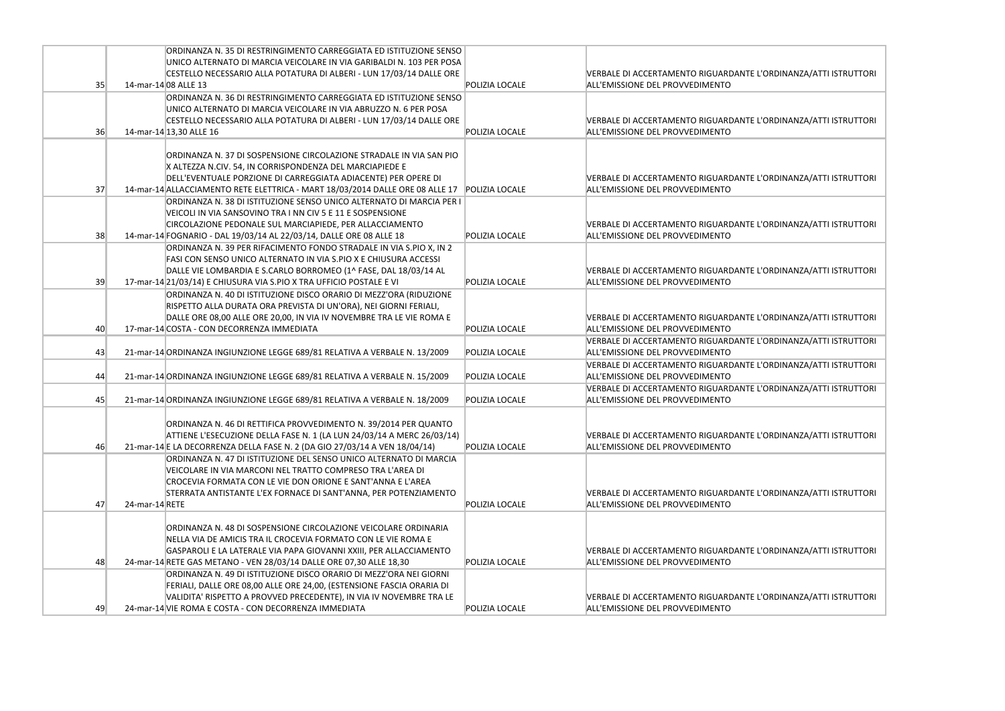|    | ORDINANZA N. 35 DI RESTRINGIMENTO CARREGGIATA ED ISTITUZIONE SENSO<br>UNICO ALTERNATO DI MARCIA VEICOLARE IN VIA GARIBALDI N. 103 PER POSA            |                       |                                                                        |
|----|-------------------------------------------------------------------------------------------------------------------------------------------------------|-----------------------|------------------------------------------------------------------------|
|    | CESTELLO NECESSARIO ALLA POTATURA DI ALBERI - LUN 17/03/14 DALLE ORE                                                                                  |                       | <b>VERBALE DI ACCERTAMENTO RIGUARDANTE</b>                             |
| 35 | 14-mar-14 08 ALLE 13                                                                                                                                  | POLIZIA LOCALE        | ALL'EMISSIONE DEL PROVVEDIMENTO                                        |
|    | ORDINANZA N. 36 DI RESTRINGIMENTO CARREGGIATA ED ISTITUZIONE SENSO                                                                                    |                       |                                                                        |
|    | UNICO ALTERNATO DI MARCIA VEICOLARE IN VIA ABRUZZO N. 6 PER POSA                                                                                      |                       |                                                                        |
|    | CESTELLO NECESSARIO ALLA POTATURA DI ALBERI - LUN 17/03/14 DALLE ORE                                                                                  |                       | <b>VERBALE DI ACCERTAMENTO RIGUARDANTE</b>                             |
| 36 | 14-mar-14 13,30 ALLE 16                                                                                                                               | POLIZIA LOCALE        | ALL'EMISSIONE DEL PROVVEDIMENTO                                        |
|    |                                                                                                                                                       |                       |                                                                        |
|    | ORDINANZA N. 37 DI SOSPENSIONE CIRCOLAZIONE STRADALE IN VIA SAN PIO                                                                                   |                       |                                                                        |
|    | X ALTEZZA N.CIV. 54, IN CORRISPONDENZA DEL MARCIAPIEDE E                                                                                              |                       |                                                                        |
|    | DELL'EVENTUALE PORZIONE DI CARREGGIATA ADIACENTE) PER OPERE DI                                                                                        |                       | VERBALE DI ACCERTAMENTO RIGUARDANTE                                    |
| 37 | 14-mar-14 ALLACCIAMENTO RETE ELETTRICA - MART 18/03/2014 DALLE ORE 08 ALLE 17<br>ORDINANZA N. 38 DI ISTITUZIONE SENSO UNICO ALTERNATO DI MARCIA PER I | POLIZIA LOCALE        | ALL'EMISSIONE DEL PROVVEDIMENTO                                        |
|    | VEICOLI IN VIA SANSOVINO TRA I NN CIV 5 E 11 E SOSPENSIONE                                                                                            |                       |                                                                        |
|    | CIRCOLAZIONE PEDONALE SUL MARCIAPIEDE, PER ALLACCIAMENTO                                                                                              |                       | VERBALE DI ACCERTAMENTO RIGUARDANTE                                    |
| 38 | 14-mar-14 FOGNARIO - DAL 19/03/14 AL 22/03/14, DALLE ORE 08 ALLE 18                                                                                   | POLIZIA LOCALE        | ALL'EMISSIONE DEL PROVVEDIMENTO                                        |
|    | ORDINANZA N. 39 PER RIFACIMENTO FONDO STRADALE IN VIA S.PIO X, IN 2                                                                                   |                       |                                                                        |
|    | FASI CON SENSO UNICO ALTERNATO IN VIA S.PIO X E CHIUSURA ACCESSI                                                                                      |                       |                                                                        |
|    | DALLE VIE LOMBARDIA E S.CARLO BORROMEO (1^ FASE, DAL 18/03/14 AL                                                                                      |                       | <b>VERBALE DI ACCERTAMENTO RIGUARDANTE</b>                             |
| 39 | 17-mar-14 21/03/14) E CHIUSURA VIA S.PIO X TRA UFFICIO POSTALE E VI                                                                                   | POLIZIA LOCALE        | ALL'EMISSIONE DEL PROVVEDIMENTO                                        |
|    | ORDINANZA N. 40 DI ISTITUZIONE DISCO ORARIO DI MEZZ'ORA (RIDUZIONE                                                                                    |                       |                                                                        |
|    | RISPETTO ALLA DURATA ORA PREVISTA DI UN'ORA), NEI GIORNI FERIALI,                                                                                     |                       |                                                                        |
| 40 | DALLE ORE 08,00 ALLE ORE 20,00, IN VIA IV NOVEMBRE TRA LE VIE ROMA E<br>17-mar-14 COSTA - CON DECORRENZA IMMEDIATA                                    | POLIZIA LOCALE        | <b>VERBALE DI ACCERTAMENTO RIGUARDANTE</b>                             |
|    |                                                                                                                                                       |                       | ALL'EMISSIONE DEL PROVVEDIMENTO<br>VERBALE DI ACCERTAMENTO RIGUARDANTE |
| 43 | 21-mar-14 ORDINANZA INGIUNZIONE LEGGE 689/81 RELATIVA A VERBALE N. 13/2009                                                                            | <b>POLIZIA LOCALE</b> | ALL'EMISSIONE DEL PROVVEDIMENTO                                        |
|    |                                                                                                                                                       |                       | <b>VERBALE DI ACCERTAMENTO RIGUARDANTE</b>                             |
| 44 | 21-mar-14 ORDINANZA INGIUNZIONE LEGGE 689/81 RELATIVA A VERBALE N. 15/2009                                                                            | POLIZIA LOCALE        | ALL'EMISSIONE DEL PROVVEDIMENTO                                        |
|    |                                                                                                                                                       |                       | VERBALE DI ACCERTAMENTO RIGUARDANTE                                    |
| 45 | 21-mar-14 ORDINANZA INGIUNZIONE LEGGE 689/81 RELATIVA A VERBALE N. 18/2009                                                                            | POLIZIA LOCALE        | ALL'EMISSIONE DEL PROVVEDIMENTO                                        |
|    |                                                                                                                                                       |                       |                                                                        |
|    | ORDINANZA N. 46 DI RETTIFICA PROVVEDIMENTO N. 39/2014 PER QUANTO                                                                                      |                       |                                                                        |
|    | ATTIENE L'ESECUZIONE DELLA FASE N. 1 (LA LUN 24/03/14 A MERC 26/03/14)                                                                                |                       | VERBALE DI ACCERTAMENTO RIGUARDANTE                                    |
| 46 | 21-mar-14 E LA DECORRENZA DELLA FASE N. 2 (DA GIO 27/03/14 A VEN 18/04/14)<br>ORDINANZA N. 47 DI ISTITUZIONE DEL SENSO UNICO ALTERNATO DI MARCIA      | POLIZIA LOCALE        | ALL'EMISSIONE DEL PROVVEDIMENTO                                        |
|    | VEICOLARE IN VIA MARCONI NEL TRATTO COMPRESO TRA L'AREA DI                                                                                            |                       |                                                                        |
|    | CROCEVIA FORMATA CON LE VIE DON ORIONE E SANT'ANNA E L'AREA                                                                                           |                       |                                                                        |
|    | STERRATA ANTISTANTE L'EX FORNACE DI SANT'ANNA, PER POTENZIAMENTO                                                                                      |                       | VERBALE DI ACCERTAMENTO RIGUARDANTE                                    |
| 47 | 24-mar-14 RETE                                                                                                                                        | POLIZIA LOCALE        | ALL'EMISSIONE DEL PROVVEDIMENTO                                        |
|    |                                                                                                                                                       |                       |                                                                        |
|    | ORDINANZA N. 48 DI SOSPENSIONE CIRCOLAZIONE VEICOLARE ORDINARIA                                                                                       |                       |                                                                        |
|    | NELLA VIA DE AMICIS TRA IL CROCEVIA FORMATO CON LE VIE ROMA E                                                                                         |                       |                                                                        |
|    | GASPAROLI E LA LATERALE VIA PAPA GIOVANNI XXIII, PER ALLACCIAMENTO                                                                                    |                       | VERBALE DI ACCERTAMENTO RIGUARDANTE                                    |
| 48 | 24-mar-14 RETE GAS METANO - VEN 28/03/14 DALLE ORE 07,30 ALLE 18,30<br>ORDINANZA N. 49 DI ISTITUZIONE DISCO ORARIO DI MEZZ'ORA NEI GIORNI             | POLIZIA LOCALE        | ALL'EMISSIONE DEL PROVVEDIMENTO                                        |
|    | FERIALI, DALLE ORE 08,00 ALLE ORE 24,00, (ESTENSIONE FASCIA ORARIA DI                                                                                 |                       |                                                                        |
|    | VALIDITA' RISPETTO A PROVVED PRECEDENTE), IN VIA IV NOVEMBRE TRA LE                                                                                   |                       | <b>VERBALE DI ACCERTAMENTO RIGUARDANTE</b>                             |
| 49 | 24-mar-14 VIE ROMA E COSTA - CON DECORRENZA IMMEDIATA                                                                                                 | POLIZIA LOCALE        | ALL'EMISSIONE DEL PROVVEDIMENTO                                        |
|    |                                                                                                                                                       |                       |                                                                        |

L'ORDINANZA/ATTI ISTRUTTORI

L'ORDINANZA/ATTI ISTRUTTORI

L'ORDINANZA/ATTI ISTRUTTORI

L'ORDINANZA/ATTI ISTRUTTORI

L'ORDINANZA/ATTI ISTRUTTORI

.<br>L'ORDINANZA/ATTI ISTRUTTORI

L'ORDINANZA/ATTI ISTRUTTORI

L'ORDINANZA/ATTI ISTRUTTORI

L'ORDINANZA/ATTI ISTRUTTORI

L'ORDINANZA/ATTI ISTRUTTORI

L'ORDINANZA/ATTI ISTRUTTORI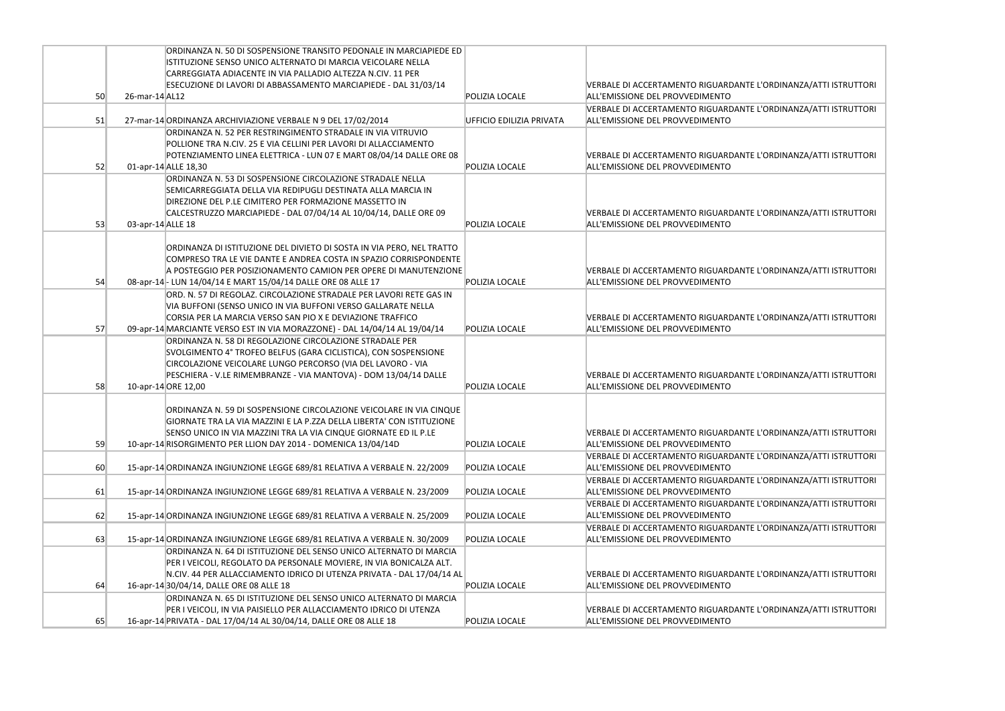|    |                   | ORDINANZA N. 50 DI SOSPENSIONE TRANSITO PEDONALE IN MARCIAPIEDE ED         |                          |                                            |
|----|-------------------|----------------------------------------------------------------------------|--------------------------|--------------------------------------------|
|    |                   | ISTITUZIONE SENSO UNICO ALTERNATO DI MARCIA VEICOLARE NELLA                |                          |                                            |
|    |                   | CARREGGIATA ADIACENTE IN VIA PALLADIO ALTEZZA N.CIV. 11 PER                |                          |                                            |
|    |                   | ESECUZIONE DI LAVORI DI ABBASSAMENTO MARCIAPIEDE - DAL 31/03/14            |                          | <b>VERBALE DI ACCERTAMENTO RIGUARDANTE</b> |
| 50 | 26-mar-14 AL12    |                                                                            | POLIZIA LOCALE           | ALL'EMISSIONE DEL PROVVEDIMENTO            |
|    |                   |                                                                            |                          | <b>VERBALE DI ACCERTAMENTO RIGUARDANTE</b> |
| 51 |                   | 27-mar-14 ORDINANZA ARCHIVIAZIONE VERBALE N 9 DEL 17/02/2014               | UFFICIO EDILIZIA PRIVATA | ALL'EMISSIONE DEL PROVVEDIMENTO            |
|    |                   | ORDINANZA N. 52 PER RESTRINGIMENTO STRADALE IN VIA VITRUVIO                |                          |                                            |
|    |                   | POLLIONE TRA N.CIV. 25 E VIA CELLINI PER LAVORI DI ALLACCIAMENTO           |                          |                                            |
|    |                   | POTENZIAMENTO LINEA ELETTRICA - LUN 07 E MART 08/04/14 DALLE ORE 08        |                          | <b>VERBALE DI ACCERTAMENTO RIGUARDANTE</b> |
| 52 |                   | 01-apr-14 ALLE 18,30                                                       | POLIZIA LOCALE           | ALL'EMISSIONE DEL PROVVEDIMENTO            |
|    |                   |                                                                            |                          |                                            |
|    |                   | ORDINANZA N. 53 DI SOSPENSIONE CIRCOLAZIONE STRADALE NELLA                 |                          |                                            |
|    |                   | SEMICARREGGIATA DELLA VIA REDIPUGLI DESTINATA ALLA MARCIA IN               |                          |                                            |
|    |                   | DIREZIONE DEL P.LE CIMITERO PER FORMAZIONE MASSETTO IN                     |                          |                                            |
|    |                   | CALCESTRUZZO MARCIAPIEDE - DAL 07/04/14 AL 10/04/14, DALLE ORE 09          |                          | <b>VERBALE DI ACCERTAMENTO RIGUARDANTE</b> |
| 53 | 03-apr-14 ALLE 18 |                                                                            | POLIZIA LOCALE           | ALL'EMISSIONE DEL PROVVEDIMENTO            |
|    |                   |                                                                            |                          |                                            |
|    |                   | ORDINANZA DI ISTITUZIONE DEL DIVIETO DI SOSTA IN VIA PERO, NEL TRATTO      |                          |                                            |
|    |                   | COMPRESO TRA LE VIE DANTE E ANDREA COSTA IN SPAZIO CORRISPONDENTE          |                          |                                            |
|    |                   | A POSTEGGIO PER POSIZIONAMENTO CAMION PER OPERE DI MANUTENZIONE            |                          | <b>VERBALE DI ACCERTAMENTO RIGUARDANTE</b> |
| 54 |                   | 08-apr-14 - LUN 14/04/14 E MART 15/04/14 DALLE ORE 08 ALLE 17              | POLIZIA LOCALE           | ALL'EMISSIONE DEL PROVVEDIMENTO            |
|    |                   | ORD. N. 57 DI REGOLAZ. CIRCOLAZIONE STRADALE PER LAVORI RETE GAS IN        |                          |                                            |
|    |                   | VIA BUFFONI (SENSO UNICO IN VIA BUFFONI VERSO GALLARATE NELLA              |                          |                                            |
|    |                   | CORSIA PER LA MARCIA VERSO SAN PIO X E DEVIAZIONE TRAFFICO                 |                          | <b>VERBALE DI ACCERTAMENTO RIGUARDANTE</b> |
| 57 |                   | 09-apr-14 MARCIANTE VERSO EST IN VIA MORAZZONE) - DAL 14/04/14 AL 19/04/14 | POLIZIA LOCALE           | ALL'EMISSIONE DEL PROVVEDIMENTO            |
|    |                   | ORDINANZA N. 58 DI REGOLAZIONE CIRCOLAZIONE STRADALE PER                   |                          |                                            |
|    |                   | SVOLGIMENTO 4° TROFEO BELFUS (GARA CICLISTICA), CON SOSPENSIONE            |                          |                                            |
|    |                   | CIRCOLAZIONE VEICOLARE LUNGO PERCORSO (VIA DEL LAVORO - VIA                |                          |                                            |
|    |                   | PESCHIERA - V.LE RIMEMBRANZE - VIA MANTOVA) - DOM 13/04/14 DALLE           |                          | <b>VERBALE DI ACCERTAMENTO RIGUARDANTE</b> |
| 58 |                   | 10-apr-14 ORE 12,00                                                        | POLIZIA LOCALE           | ALL'EMISSIONE DEL PROVVEDIMENTO            |
|    |                   |                                                                            |                          |                                            |
|    |                   | ORDINANZA N. 59 DI SOSPENSIONE CIRCOLAZIONE VEICOLARE IN VIA CINQUE        |                          |                                            |
|    |                   | GIORNATE TRA LA VIA MAZZINI E LA P.ZZA DELLA LIBERTA' CON ISTITUZIONE      |                          |                                            |
|    |                   | SENSO UNICO IN VIA MAZZINI TRA LA VIA CINQUE GIORNATE ED IL P.LE           |                          | <b>VERBALE DI ACCERTAMENTO RIGUARDANTE</b> |
| 59 |                   | 10-apr-14 RISORGIMENTO PER LLION DAY 2014 - DOMENICA 13/04/14D             | POLIZIA LOCALE           | ALL'EMISSIONE DEL PROVVEDIMENTO            |
|    |                   |                                                                            |                          | <b>VERBALE DI ACCERTAMENTO RIGUARDANTE</b> |
| 60 |                   | 15-apr-14 ORDINANZA INGIUNZIONE LEGGE 689/81 RELATIVA A VERBALE N. 22/2009 | POLIZIA LOCALE           | ALL'EMISSIONE DEL PROVVEDIMENTO            |
|    |                   |                                                                            |                          | <b>VERBALE DI ACCERTAMENTO RIGUARDANTE</b> |
| 61 |                   | 15-apr-14 ORDINANZA INGIUNZIONE LEGGE 689/81 RELATIVA A VERBALE N. 23/2009 | POLIZIA LOCALE           | ALL'EMISSIONE DEL PROVVEDIMENTO            |
|    |                   |                                                                            |                          | <b>VERBALE DI ACCERTAMENTO RIGUARDANTE</b> |
| 62 |                   | 15-apr-14 ORDINANZA INGIUNZIONE LEGGE 689/81 RELATIVA A VERBALE N. 25/2009 | POLIZIA LOCALE           | ALL'EMISSIONE DEL PROVVEDIMENTO            |
|    |                   |                                                                            |                          | VERBALE DI ACCERTAMENTO RIGUARDANTE        |
| 63 |                   | 15-apr-14 ORDINANZA INGIUNZIONE LEGGE 689/81 RELATIVA A VERBALE N. 30/2009 | POLIZIA LOCALE           | ALL'EMISSIONE DEL PROVVEDIMENTO            |
|    |                   |                                                                            |                          |                                            |
|    |                   | ORDINANZA N. 64 DI ISTITUZIONE DEL SENSO UNICO ALTERNATO DI MARCIA         |                          |                                            |
|    |                   | PER I VEICOLI, REGOLATO DA PERSONALE MOVIERE, IN VIA BONICALZA ALT.        |                          |                                            |
|    |                   | N.CIV. 44 PER ALLACCIAMENTO IDRICO DI UTENZA PRIVATA - DAL 17/04/14 AL     |                          | <b>VERBALE DI ACCERTAMENTO RIGUARDANTE</b> |
| 64 |                   | 16-apr-14 30/04/14, DALLE ORE 08 ALLE 18                                   | POLIZIA LOCALE           | ALL'EMISSIONE DEL PROVVEDIMENTO            |
|    |                   | ORDINANZA N. 65 DI ISTITUZIONE DEL SENSO UNICO ALTERNATO DI MARCIA         |                          |                                            |
|    |                   | PER I VEICOLI, IN VIA PAISIELLO PER ALLACCIAMENTO IDRICO DI UTENZA         |                          | <b>VERBALE DI ACCERTAMENTO RIGUARDANTE</b> |
| 65 |                   | 16-apr-14 PRIVATA - DAL 17/04/14 AL 30/04/14, DALLE ORE 08 ALLE 18         | POLIZIA LOCALE           | ALL'EMISSIONE DEL PROVVEDIMENTO            |

E L'ORDINANZA/ATTI ISTRUTTORI

E L'ORDINANZA/ATTI ISTRUTTORI

E L'ORDINANZA/ATTI ISTRUTTORI

E L'ORDINANZA/ATTI ISTRUTTORI

E L'ORDINANZA/ATTI ISTRUTTORI

E L'ORDINANZA/ATTI ISTRUTTORI

E L'ORDINANZA/ATTI ISTRUTTORI

E L'ORDINANZA/ATTI ISTRUTTORI

E L'ORDINANZA/ATTI ISTRUTTORI

E L'ORDINANZA/ATTI ISTRUTTORI

E L'ORDINANZA/ATTI ISTRUTTORI

E L'ORDINANZA/ATTI ISTRUTTORI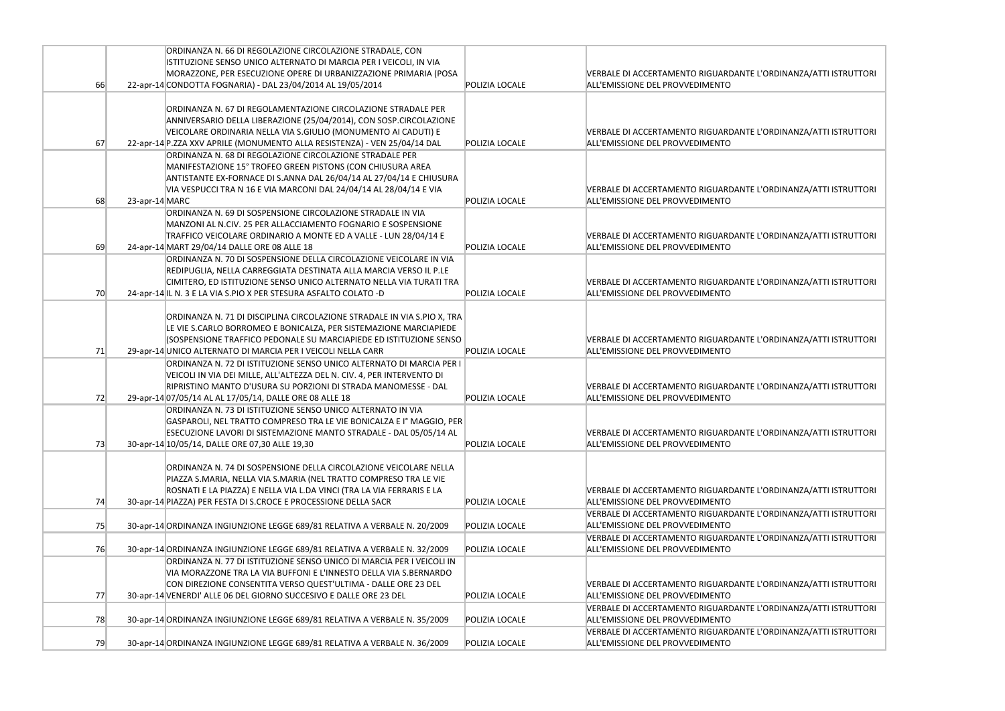|    |                | ORDINANZA N. 66 DI REGOLAZIONE CIRCOLAZIONE STRADALE, CON                  |                |                                            |
|----|----------------|----------------------------------------------------------------------------|----------------|--------------------------------------------|
|    |                | ISTITUZIONE SENSO UNICO ALTERNATO DI MARCIA PER I VEICOLI, IN VIA          |                |                                            |
|    |                | MORAZZONE, PER ESECUZIONE OPERE DI URBANIZZAZIONE PRIMARIA (POSA           |                | <b>VERBALE DI ACCERTAMENTO RIGUARDANTE</b> |
| 66 |                | 22-apr-14 CONDOTTA FOGNARIA) - DAL 23/04/2014 AL 19/05/2014                | POLIZIA LOCALE | ALL'EMISSIONE DEL PROVVEDIMENTO            |
|    |                |                                                                            |                |                                            |
|    |                | ORDINANZA N. 67 DI REGOLAMENTAZIONE CIRCOLAZIONE STRADALE PER              |                |                                            |
|    |                | ANNIVERSARIO DELLA LIBERAZIONE (25/04/2014), CON SOSP.CIRCOLAZIONE         |                |                                            |
|    |                | VEICOLARE ORDINARIA NELLA VIA S.GIULIO (MONUMENTO AI CADUTI) E             |                | <b>VERBALE DI ACCERTAMENTO RIGUARDANTE</b> |
| 67 |                | 22-apr-14 P.ZZA XXV APRILE (MONUMENTO ALLA RESISTENZA) - VEN 25/04/14 DAL  | POLIZIA LOCALE | ALL'EMISSIONE DEL PROVVEDIMENTO            |
|    |                | ORDINANZA N. 68 DI REGOLAZIONE CIRCOLAZIONE STRADALE PER                   |                |                                            |
|    |                | MANIFESTAZIONE 15° TROFEO GREEN PISTONS (CON CHIUSURA AREA                 |                |                                            |
|    |                | ANTISTANTE EX-FORNACE DI S.ANNA DAL 26/04/14 AL 27/04/14 E CHIUSURA        |                |                                            |
|    |                |                                                                            |                |                                            |
|    |                | VIA VESPUCCI TRA N 16 E VIA MARCONI DAL 24/04/14 AL 28/04/14 E VIA         |                | VERBALE DI ACCERTAMENTO RIGUARDANTE        |
| 68 | 23-apr-14 MARC |                                                                            | POLIZIA LOCALE | ALL'EMISSIONE DEL PROVVEDIMENTO            |
|    |                | ORDINANZA N. 69 DI SOSPENSIONE CIRCOLAZIONE STRADALE IN VIA                |                |                                            |
|    |                | MANZONI AL N.CIV. 25 PER ALLACCIAMENTO FOGNARIO E SOSPENSIONE              |                |                                            |
|    |                | TRAFFICO VEICOLARE ORDINARIO A MONTE ED A VALLE - LUN 28/04/14 E           |                | VERBALE DI ACCERTAMENTO RIGUARDANTE        |
| 69 |                | 24-apr-14 MART 29/04/14 DALLE ORE 08 ALLE 18                               | POLIZIA LOCALE | ALL'EMISSIONE DEL PROVVEDIMENTO            |
|    |                | ORDINANZA N. 70 DI SOSPENSIONE DELLA CIRCOLAZIONE VEICOLARE IN VIA         |                |                                            |
|    |                | REDIPUGLIA, NELLA CARREGGIATA DESTINATA ALLA MARCIA VERSO IL P.LE          |                |                                            |
|    |                | CIMITERO, ED ISTITUZIONE SENSO UNICO ALTERNATO NELLA VIA TURATI TRA        |                | <b>VERBALE DI ACCERTAMENTO RIGUARDANTE</b> |
| 70 |                | 24-apr-14 IL N. 3 E LA VIA S.PIO X PER STESURA ASFALTO COLATO -D           | POLIZIA LOCALE | ALL'EMISSIONE DEL PROVVEDIMENTO            |
|    |                |                                                                            |                |                                            |
|    |                | ORDINANZA N. 71 DI DISCIPLINA CIRCOLAZIONE STRADALE IN VIA S.PIO X, TRA    |                |                                            |
|    |                | LE VIE S.CARLO BORROMEO E BONICALZA, PER SISTEMAZIONE MARCIAPIEDE          |                |                                            |
|    |                | (SOSPENSIONE TRAFFICO PEDONALE SU MARCIAPIEDE ED ISTITUZIONE SENSO         |                | <b>VERBALE DI ACCERTAMENTO RIGUARDANTE</b> |
| 71 |                | 29-apr-14 UNICO ALTERNATO DI MARCIA PER I VEICOLI NELLA CARR               | POLIZIA LOCALE | ALL'EMISSIONE DEL PROVVEDIMENTO            |
|    |                | ORDINANZA N. 72 DI ISTITUZIONE SENSO UNICO ALTERNATO DI MARCIA PER I       |                |                                            |
|    |                | VEICOLI IN VIA DEI MILLE, ALL'ALTEZZA DEL N. CIV. 4, PER INTERVENTO DI     |                |                                            |
|    |                | RIPRISTINO MANTO D'USURA SU PORZIONI DI STRADA MANOMESSE - DAL             |                | VERBALE DI ACCERTAMENTO RIGUARDANTE        |
| 72 |                | 29-apr-14 07/05/14 AL AL 17/05/14, DALLE ORE 08 ALLE 18                    | POLIZIA LOCALE | ALL'EMISSIONE DEL PROVVEDIMENTO            |
|    |                | ORDINANZA N. 73 DI ISTITUZIONE SENSO UNICO ALTERNATO IN VIA                |                |                                            |
|    |                | GASPAROLI. NEL TRATTO COMPRESO TRA LE VIE BONICALZA E Iº MAGGIO. PER       |                |                                            |
|    |                | ESECUZIONE LAVORI DI SISTEMAZIONE MANTO STRADALE - DAL 05/05/14 AL         |                | <b>VERBALE DI ACCERTAMENTO RIGUARDANTE</b> |
| 73 |                | 30-apr-14 10/05/14, DALLE ORE 07,30 ALLE 19,30                             | POLIZIA LOCALE | ALL'EMISSIONE DEL PROVVEDIMENTO            |
|    |                |                                                                            |                |                                            |
|    |                |                                                                            |                |                                            |
|    |                | ORDINANZA N. 74 DI SOSPENSIONE DELLA CIRCOLAZIONE VEICOLARE NELLA          |                |                                            |
|    |                | PIAZZA S.MARIA, NELLA VIA S.MARIA (NEL TRATTO COMPRESO TRA LE VIE          |                |                                            |
|    |                | ROSNATI E LA PIAZZA) E NELLA VIA L.DA VINCI (TRA LA VIA FERRARIS E LA      |                | <b>VERBALE DI ACCERTAMENTO RIGUARDANTE</b> |
| 74 |                | 30-apr-14 PIAZZA) PER FESTA DI S.CROCE E PROCESSIONE DELLA SACR            | POLIZIA LOCALE | ALL'EMISSIONE DEL PROVVEDIMENTO            |
|    |                |                                                                            |                | VERBALE DI ACCERTAMENTO RIGUARDANTE        |
| 75 |                | 30-apr-14 ORDINANZA INGIUNZIONE LEGGE 689/81 RELATIVA A VERBALE N. 20/2009 | POLIZIA LOCALE | ALL'EMISSIONE DEL PROVVEDIMENTO            |
|    |                |                                                                            |                | <b>VERBALE DI ACCERTAMENTO RIGUARDANTE</b> |
| 76 |                | 30-apr-14 ORDINANZA INGIUNZIONE LEGGE 689/81 RELATIVA A VERBALE N. 32/2009 | POLIZIA LOCALE | ALL'EMISSIONE DEL PROVVEDIMENTO            |
|    |                | ORDINANZA N. 77 DI ISTITUZIONE SENSO UNICO DI MARCIA PER I VEICOLI IN      |                |                                            |
|    |                | VIA MORAZZONE TRA LA VIA BUFFONI E L'INNESTO DELLA VIA S.BERNARDO          |                |                                            |
|    |                | CON DIREZIONE CONSENTITA VERSO QUEST'ULTIMA - DALLE ORE 23 DEL             |                | <b>VERBALE DI ACCERTAMENTO RIGUARDANTE</b> |
| 77 |                | 30-apr-14 VENERDI' ALLE 06 DEL GIORNO SUCCESIVO E DALLE ORE 23 DEL         | POLIZIA LOCALE | ALL'EMISSIONE DEL PROVVEDIMENTO            |
|    |                |                                                                            |                | <b>VERBALE DI ACCERTAMENTO RIGUARDANTE</b> |
| 78 |                | 30-apr-14 ORDINANZA INGIUNZIONE LEGGE 689/81 RELATIVA A VERBALE N. 35/2009 | POLIZIA LOCALE | ALL'EMISSIONE DEL PROVVEDIMENTO            |
|    |                |                                                                            |                | <b>VERBALE DI ACCERTAMENTO RIGUARDANTE</b> |
| 79 |                | 30-apr-14 ORDINANZA INGIUNZIONE LEGGE 689/81 RELATIVA A VERBALE N. 36/2009 | POLIZIA LOCALE | ALL'EMISSIONE DEL PROVVEDIMENTO            |
|    |                |                                                                            |                |                                            |

E L'ORDINANZA/ATTI ISTRUTTORI

E L'ORDINANZA/ATTI ISTRUTTORI

E L'ORDINANZA/ATTI ISTRUTTORI

E L'ORDINANZA/ATTI ISTRUTTORI

L'ORDINANZA/ATTI ISTRUTTORI

E L'ORDINANZA/ATTI ISTRUTTORI

E L'ORDINANZA/ATTI ISTRUTTORI

E L'ORDINANZA/ATTI ISTRUTTORI

E L'ORDINANZA/ATTI ISTRUTTORI

E L'ORDINANZA/ATTI ISTRUTTORI

E L'ORDINANZA/ATTI ISTRUTTORI

E L'ORDINANZA/ATTI ISTRUTTORI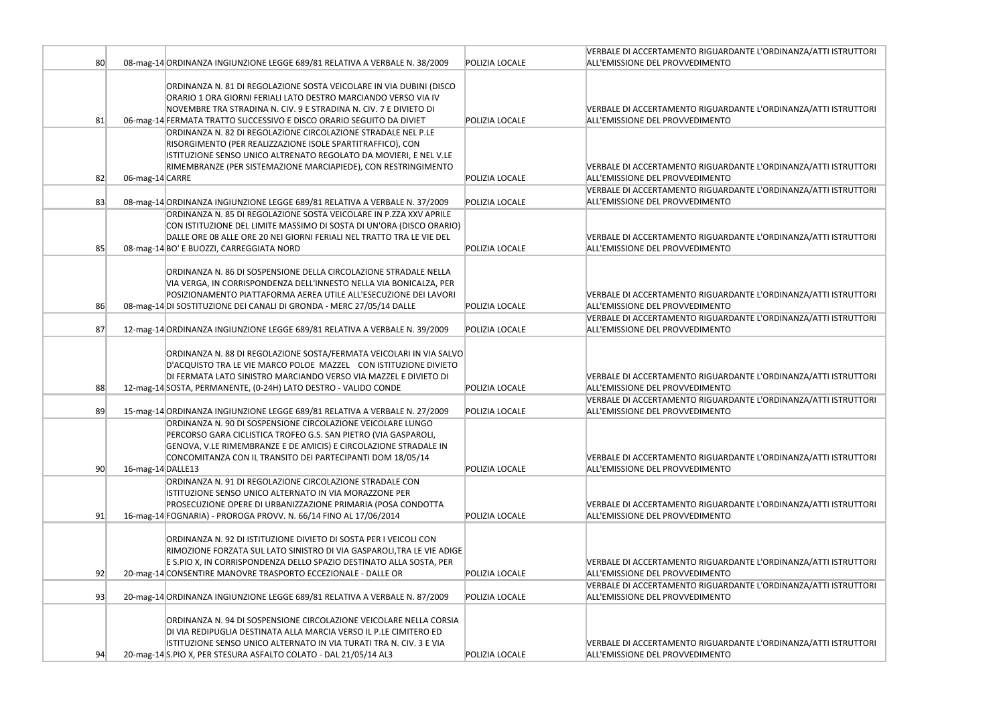|                 |                   |                                                                                                                                                                                                                                                                                     |                | VERBALE DI ACCERTAMENTO RIGUARDANTE                                           |
|-----------------|-------------------|-------------------------------------------------------------------------------------------------------------------------------------------------------------------------------------------------------------------------------------------------------------------------------------|----------------|-------------------------------------------------------------------------------|
| 80              |                   | 08-mag-14 ORDINANZA INGIUNZIONE LEGGE 689/81 RELATIVA A VERBALE N. 38/2009                                                                                                                                                                                                          | POLIZIA LOCALE | ALL'EMISSIONE DEL PROVVEDIMENTO                                               |
| 81              |                   | ORDINANZA N. 81 DI REGOLAZIONE SOSTA VEICOLARE IN VIA DUBINI (DISCO<br>ORARIO 1 ORA GIORNI FERIALI LATO DESTRO MARCIANDO VERSO VIA IV<br>NOVEMBRE TRA STRADINA N. CIV. 9 E STRADINA N. CIV. 7 E DIVIETO DI<br>06-mag-14 FERMATA TRATTO SUCCESSIVO E DISCO ORARIO SEGUITO DA DIVIET  | POLIZIA LOCALE | VERBALE DI ACCERTAMENTO RIGUARDANTE<br>ALL'EMISSIONE DEL PROVVEDIMENTO        |
| 82              |                   | ORDINANZA N. 82 DI REGOLAZIONE CIRCOLAZIONE STRADALE NEL P.LE<br>RISORGIMENTO (PER REALIZZAZIONE ISOLE SPARTITRAFFICO), CON<br>ISTITUZIONE SENSO UNICO ALTRENATO REGOLATO DA MOVIERI, E NEL V.LE<br>RIMEMBRANZE (PER SISTEMAZIONE MARCIAPIEDE), CON RESTRINGIMENTO                  | POLIZIA LOCALE | <b>VERBALE DI ACCERTAMENTO RIGUARDANTE</b><br>ALL'EMISSIONE DEL PROVVEDIMENTO |
|                 | 06-mag-14 CARRE   |                                                                                                                                                                                                                                                                                     |                | <b>VERBALE DI ACCERTAMENTO RIGUARDANTE</b>                                    |
| 83              |                   | 08-mag-14 ORDINANZA INGIUNZIONE LEGGE 689/81 RELATIVA A VERBALE N. 37/2009                                                                                                                                                                                                          | POLIZIA LOCALE | ALL'EMISSIONE DEL PROVVEDIMENTO                                               |
| 85              |                   | ORDINANZA N. 85 DI REGOLAZIONE SOSTA VEICOLARE IN P.ZZA XXV APRILE<br>CON ISTITUZIONE DEL LIMITE MASSIMO DI SOSTA DI UN'ORA (DISCO ORARIO)<br>DALLE ORE 08 ALLE ORE 20 NEI GIORNI FERIALI NEL TRATTO TRA LE VIE DEL<br>08-mag-14 BO' E BUOZZI, CARREGGIATA NORD                     | POLIZIA LOCALE | <b>VERBALE DI ACCERTAMENTO RIGUARDANTE</b><br>ALL'EMISSIONE DEL PROVVEDIMENTO |
| 86              |                   | ORDINANZA N. 86 DI SOSPENSIONE DELLA CIRCOLAZIONE STRADALE NELLA<br>VIA VERGA, IN CORRISPONDENZA DELL'INNESTO NELLA VIA BONICALZA, PER<br>POSIZIONAMENTO PIATTAFORMA AEREA UTILE ALL'ESECUZIONE DEI LAVORI<br>08-mag-14 DI SOSTITUZIONE DEI CANALI DI GRONDA - MERC 27/05/14 DALLE  | POLIZIA LOCALE | <b>VERBALE DI ACCERTAMENTO RIGUARDANTE</b><br>ALL'EMISSIONE DEL PROVVEDIMENTO |
|                 |                   |                                                                                                                                                                                                                                                                                     |                | VERBALE DI ACCERTAMENTO RIGUARDANTE                                           |
| 87              |                   | 12-mag-14 ORDINANZA INGIUNZIONE LEGGE 689/81 RELATIVA A VERBALE N. 39/2009                                                                                                                                                                                                          | POLIZIA LOCALE | ALL'EMISSIONE DEL PROVVEDIMENTO                                               |
| 88              |                   | ORDINANZA N. 88 DI REGOLAZIONE SOSTA/FERMATA VEICOLARI IN VIA SALVO<br>D'ACQUISTO TRA LE VIE MARCO POLOE MAZZEL CON ISTITUZIONE DIVIETO<br>DI FERMATA LATO SINISTRO MARCIANDO VERSO VIA MAZZEL E DIVIETO DI<br>12-mag-14 SOSTA, PERMANENTE, (0-24H) LATO DESTRO - VALIDO CONDE      | POLIZIA LOCALE | <b>VERBALE DI ACCERTAMENTO RIGUARDANTE</b><br>ALL'EMISSIONE DEL PROVVEDIMENTO |
|                 |                   |                                                                                                                                                                                                                                                                                     |                | VERBALE DI ACCERTAMENTO RIGUARDANTE                                           |
| 89              |                   | 15-mag-14 ORDINANZA INGIUNZIONE LEGGE 689/81 RELATIVA A VERBALE N. 27/2009                                                                                                                                                                                                          | POLIZIA LOCALE | ALL'EMISSIONE DEL PROVVEDIMENTO                                               |
| 90 <sup>°</sup> | 16-mag-14 DALLE13 | ORDINANZA N. 90 DI SOSPENSIONE CIRCOLAZIONE VEICOLARE LUNGO<br>PERCORSO GARA CICLISTICA TROFEO G.S. SAN PIETRO (VIA GASPAROLI,<br>GENOVA, V.LE RIMEMBRANZE E DE AMICIS) E CIRCOLAZIONE STRADALE IN<br>CONCOMITANZA CON IL TRANSITO DEI PARTECIPANTI DOM 18/05/14                    | POLIZIA LOCALE | <b>VERBALE DI ACCERTAMENTO RIGUARDANTE</b><br>ALL'EMISSIONE DEL PROVVEDIMENTO |
| 91              |                   | ORDINANZA N. 91 DI REGOLAZIONE CIRCOLAZIONE STRADALE CON<br>ISTITUZIONE SENSO UNICO ALTERNATO IN VIA MORAZZONE PER<br>PROSECUZIONE OPERE DI URBANIZZAZIONE PRIMARIA (POSA CONDOTTA<br>16-mag-14 FOGNARIA) - PROROGA PROVV. N. 66/14 FINO AL 17/06/2014                              | POLIZIA LOCALE | <b>VERBALE DI ACCERTAMENTO RIGUARDANTE</b><br>ALL'EMISSIONE DEL PROVVEDIMENTO |
| 92              |                   | ORDINANZA N. 92 DI ISTITUZIONE DIVIETO DI SOSTA PER I VEICOLI CON<br>RIMOZIONE FORZATA SUL LATO SINISTRO DI VIA GASPAROLI, TRA LE VIE ADIGE<br>E S.PIO X, IN CORRISPONDENZA DELLO SPAZIO DESTINATO ALLA SOSTA, PER<br>20-mag-14 CONSENTIRE MANOVRE TRASPORTO ECCEZIONALE - DALLE OR | POLIZIA LOCALE | <b>VERBALE DI ACCERTAMENTO RIGUARDANTE</b><br>ALL'EMISSIONE DEL PROVVEDIMENTO |
| 93              |                   | 20-mag-14 ORDINANZA INGIUNZIONE LEGGE 689/81 RELATIVA A VERBALE N. 87/2009                                                                                                                                                                                                          | POLIZIA LOCALE | <b>VERBALE DI ACCERTAMENTO RIGUARDANTE</b><br>ALL'EMISSIONE DEL PROVVEDIMENTO |
| 94              |                   | ORDINANZA N. 94 DI SOSPENSIONE CIRCOLAZIONE VEICOLARE NELLA CORSIA<br>DI VIA REDIPUGLIA DESTINATA ALLA MARCIA VERSO IL P.LE CIMITERO ED<br>ISTITUZIONE SENSO UNICO ALTERNATO IN VIA TURATI TRA N. CIV. 3 E VIA<br>20-mag-14 S.PIO X, PER STESURA ASFALTO COLATO - DAL 21/05/14 AL3  | POLIZIA LOCALE | <b>VERBALE DI ACCERTAMENTO RIGUARDANTE</b><br>ALL'EMISSIONE DEL PROVVEDIMENTO |
|                 |                   |                                                                                                                                                                                                                                                                                     |                |                                                                               |

# E L'ORDINANZA/ATTI ISTRUTTORI

E L'ORDINANZA/ATTI ISTRUTTORI

E L'ORDINANZA/ATTI ISTRUTTORI

E L'ORDINANZA/ATTI ISTRUTTORI

L'ORDINANZA/ATTI ISTRUTTORI

E L'ORDINANZA/ATTI ISTRUTTORI

E L'ORDINANZA/ATTI ISTRUTTORI

E L'ORDINANZA/ATTI ISTRUTTORI

E L'ORDINANZA/ATTI ISTRUTTORI

E L'ORDINANZA/ATTI ISTRUTTORI

E L'ORDINANZA/ATTI ISTRUTTORI

E L'ORDINANZA/ATTI ISTRUTTORI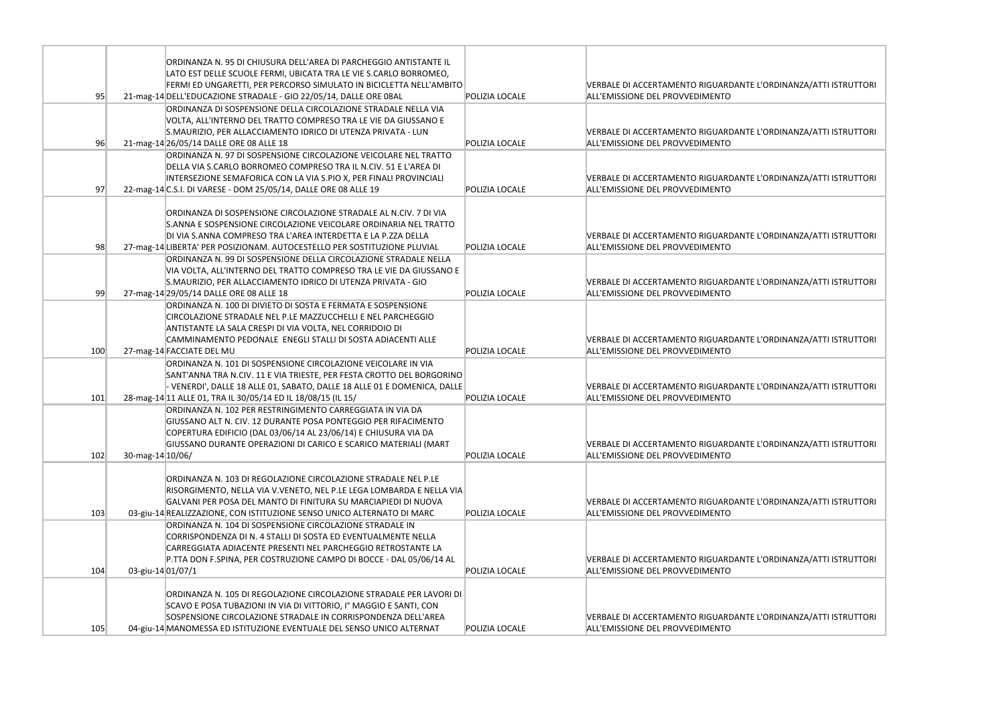|     |                   | ORDINANZA N. 95 DI CHIUSURA DELL'AREA DI PARCHEGGIO ANTISTANTE IL                                                                                 |                |                                                                        |
|-----|-------------------|---------------------------------------------------------------------------------------------------------------------------------------------------|----------------|------------------------------------------------------------------------|
|     |                   | LATO EST DELLE SCUOLE FERMI, UBICATA TRA LE VIE S.CARLO BORROMEO,<br>FERMI ED UNGARETTI, PER PERCORSO SIMULATO IN BICICLETTA NELL'AMBITO          |                | VERBALE DI ACCERTAMENTO RIGUARDANTE                                    |
| 95  |                   | 21-mag-14 DELL'EDUCAZIONE STRADALE - GIO 22/05/14, DALLE ORE 08AL                                                                                 | POLIZIA LOCALE | ALL'EMISSIONE DEL PROVVEDIMENTO                                        |
|     |                   | ORDINANZA DI SOSPENSIONE DELLA CIRCOLAZIONE STRADALE NELLA VIA                                                                                    |                |                                                                        |
|     |                   | VOLTA, ALL'INTERNO DEL TRATTO COMPRESO TRA LE VIE DA GIUSSANO E                                                                                   |                |                                                                        |
|     |                   | S.MAURIZIO, PER ALLACCIAMENTO IDRICO DI UTENZA PRIVATA - LUN                                                                                      |                | <b>VERBALE DI ACCERTAMENTO RIGUARDANTE</b>                             |
| 96  |                   | 21-mag-14 26/05/14 DALLE ORE 08 ALLE 18                                                                                                           | POLIZIA LOCALE | ALL'EMISSIONE DEL PROVVEDIMENTO                                        |
|     |                   | ORDINANZA N. 97 DI SOSPENSIONE CIRCOLAZIONE VEICOLARE NEL TRATTO                                                                                  |                |                                                                        |
|     |                   | DELLA VIA S.CARLO BORROMEO COMPRESO TRA IL N.CIV. 51 E L'AREA DI                                                                                  |                |                                                                        |
|     |                   | INTERSEZIONE SEMAFORICA CON LA VIA S.PIO X, PER FINALI PROVINCIALI                                                                                |                | <b>VERBALE DI ACCERTAMENTO RIGUARDANTE</b>                             |
| 97  |                   | 22-mag-14 C.S.I. DI VARESE - DOM 25/05/14, DALLE ORE 08 ALLE 19                                                                                   | POLIZIA LOCALE | ALL'EMISSIONE DEL PROVVEDIMENTO                                        |
|     |                   |                                                                                                                                                   |                |                                                                        |
|     |                   | ORDINANZA DI SOSPENSIONE CIRCOLAZIONE STRADALE AL N.CIV. 7 DI VIA<br>S. ANNA E SOSPENSIONE CIRCOLAZIONE VEICOLARE ORDINARIA NEL TRATTO            |                |                                                                        |
|     |                   | DI VIA S.ANNA COMPRESO TRA L'AREA INTERDETTA E LA P.ZZA DELLA                                                                                     |                | <b>VERBALE DI ACCERTAMENTO RIGUARDANTE</b>                             |
| 98  |                   | 27-mag-14 LIBERTA' PER POSIZIONAM. AUTOCESTELLO PER SOSTITUZIONE PLUVIAL                                                                          | POLIZIA LOCALE | ALL'EMISSIONE DEL PROVVEDIMENTO                                        |
|     |                   | ORDINANZA N. 99 DI SOSPENSIONE DELLA CIRCOLAZIONE STRADALE NELLA                                                                                  |                |                                                                        |
|     |                   | VIA VOLTA, ALL'INTERNO DEL TRATTO COMPRESO TRA LE VIE DA GIUSSANO E                                                                               |                |                                                                        |
|     |                   | S.MAURIZIO, PER ALLACCIAMENTO IDRICO DI UTENZA PRIVATA - GIO                                                                                      |                | <b>VERBALE DI ACCERTAMENTO RIGUARDANTE</b>                             |
| 99  |                   | 27-mag-14 29/05/14 DALLE ORE 08 ALLE 18                                                                                                           | POLIZIA LOCALE | ALL'EMISSIONE DEL PROVVEDIMENTO                                        |
|     |                   | ORDINANZA N. 100 DI DIVIETO DI SOSTA E FERMATA E SOSPENSIONE                                                                                      |                |                                                                        |
|     |                   | CIRCOLAZIONE STRADALE NEL P.LE MAZZUCCHELLI E NEL PARCHEGGIO                                                                                      |                |                                                                        |
|     |                   | ANTISTANTE LA SALA CRESPI DI VIA VOLTA, NEL CORRIDOIO DI                                                                                          |                |                                                                        |
|     |                   | CAMMINAMENTO PEDONALE ENEGLI STALLI DI SOSTA ADIACENTI ALLE                                                                                       |                | <b>VERBALE DI ACCERTAMENTO RIGUARDANTE</b>                             |
| 100 |                   | 27-mag-14 FACCIATE DEL MU                                                                                                                         | POLIZIA LOCALE | ALL'EMISSIONE DEL PROVVEDIMENTO                                        |
|     |                   | ORDINANZA N. 101 DI SOSPENSIONE CIRCOLAZIONE VEICOLARE IN VIA                                                                                     |                |                                                                        |
|     |                   | SANT'ANNA TRA N.CIV. 11 E VIA TRIESTE, PER FESTA CROTTO DEL BORGORINO<br>- VENERDI', DALLE 18 ALLE 01, SABATO, DALLE 18 ALLE 01 E DOMENICA, DALLE |                | <b>VERBALE DI ACCERTAMENTO RIGUARDANTE</b>                             |
| 101 |                   | 28-mag-14 11 ALLE 01, TRA IL 30/05/14 ED IL 18/08/15 (IL 15/                                                                                      | POLIZIA LOCALE | ALL'EMISSIONE DEL PROVVEDIMENTO                                        |
|     |                   | ORDINANZA N. 102 PER RESTRINGIMENTO CARREGGIATA IN VIA DA                                                                                         |                |                                                                        |
|     |                   | GIUSSANO ALT N. CIV. 12 DURANTE POSA PONTEGGIO PER RIFACIMENTO                                                                                    |                |                                                                        |
|     |                   | COPERTURA EDIFICIO (DAL 03/06/14 AL 23/06/14) E CHIUSURA VIA DA                                                                                   |                |                                                                        |
|     |                   | GIUSSANO DURANTE OPERAZIONI DI CARICO E SCARICO MATERIALI (MART                                                                                   |                | <b>VERBALE DI ACCERTAMENTO RIGUARDANTE</b>                             |
| 102 | 30-mag-14 10/06/  |                                                                                                                                                   | POLIZIA LOCALE | ALL'EMISSIONE DEL PROVVEDIMENTO                                        |
|     |                   |                                                                                                                                                   |                |                                                                        |
|     |                   | ORDINANZA N. 103 DI REGOLAZIONE CIRCOLAZIONE STRADALE NEL P.LE                                                                                    |                |                                                                        |
|     |                   | RISORGIMENTO, NELLA VIA V.VENETO, NEL P.LE LEGA LOMBARDA E NELLA VIA                                                                              |                |                                                                        |
| 103 |                   | GALVANI PER POSA DEL MANTO DI FINITURA SU MARCIAPIEDI DI NUOVA<br>03-giu-14 REALIZZAZIONE, CON ISTITUZIONE SENSO UNICO ALTERNATO DI MARC          | POLIZIA LOCALE | VERBALE DI ACCERTAMENTO RIGUARDANTE<br>ALL'EMISSIONE DEL PROVVEDIMENTO |
|     |                   | ORDINANZA N. 104 DI SOSPENSIONE CIRCOLAZIONE STRADALE IN                                                                                          |                |                                                                        |
|     |                   | CORRISPONDENZA DI N. 4 STALLI DI SOSTA ED EVENTUALMENTE NELLA                                                                                     |                |                                                                        |
|     |                   | CARREGGIATA ADIACENTE PRESENTI NEL PARCHEGGIO RETROSTANTE LA                                                                                      |                |                                                                        |
|     |                   | P.TTA DON F.SPINA, PER COSTRUZIONE CAMPO DI BOCCE - DAL 05/06/14 AL                                                                               |                | <b>VERBALE DI ACCERTAMENTO RIGUARDANTE</b>                             |
| 104 | 03-giu-14 01/07/1 |                                                                                                                                                   | POLIZIA LOCALE | ALL'EMISSIONE DEL PROVVEDIMENTO                                        |
|     |                   |                                                                                                                                                   |                |                                                                        |
|     |                   | ORDINANZA N. 105 DI REGOLAZIONE CIRCOLAZIONE STRADALE PER LAVORI DI                                                                               |                |                                                                        |
|     |                   | SCAVO E POSA TUBAZIONI IN VIA DI VITTORIO, Iº MAGGIO E SANTI, CON                                                                                 |                |                                                                        |
|     |                   | SOSPENSIONE CIRCOLAZIONE STRADALE IN CORRISPONDENZA DELL'AREA                                                                                     |                | VERBALE DI ACCERTAMENTO RIGUARDANTE                                    |
| 105 |                   | 04-giu-14 MANOMESSA ED ISTITUZIONE EVENTUALE DEL SENSO UNICO ALTERNAT                                                                             | POLIZIA LOCALE | ALL'EMISSIONE DEL PROVVEDIMENTO                                        |

E L'ORDINANZA/ATTI ISTRUTTORI

E L'ORDINANZA/ATTI ISTRUTTORI

E L'ORDINANZA/ATTI ISTRUTTORI

E L'ORDINANZA/ATTI ISTRUTTORI

E L'ORDINANZA/ATTI ISTRUTTORI

E L'ORDINANZA/ATTI ISTRUTTORI

E L'ORDINANZA/ATTI ISTRUTTORI

E L'ORDINANZA/ATTI ISTRUTTORI

E L'ORDINANZA/ATTI ISTRUTTORI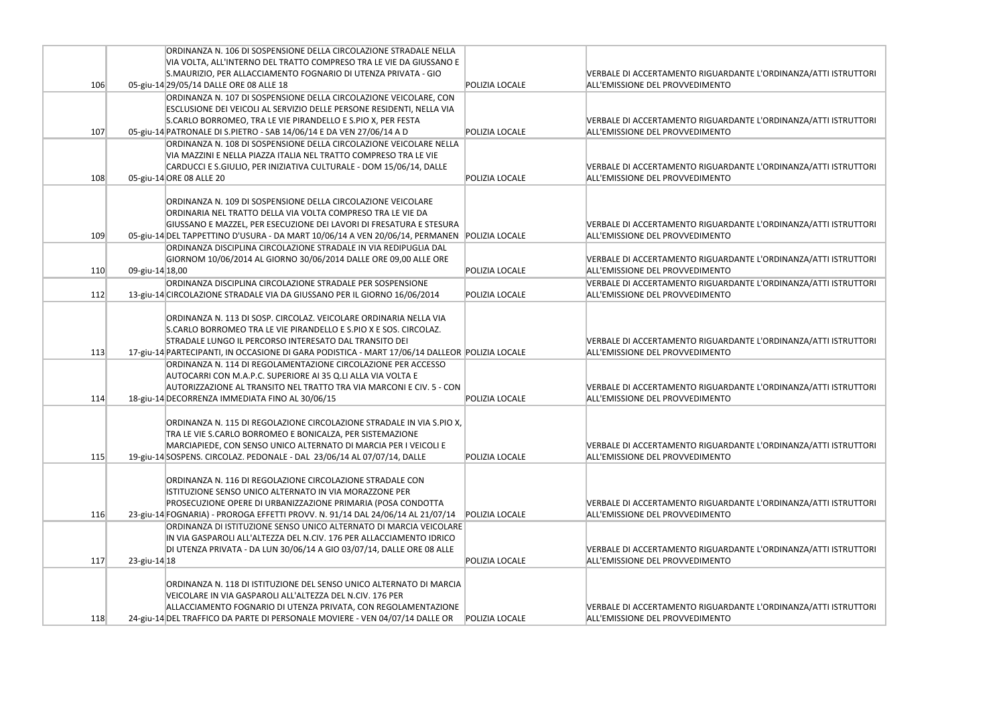|     |                 | ORDINANZA N. 106 DI SOSPENSIONE DELLA CIRCOLAZIONE STRADALE NELLA                             |                |                                            |
|-----|-----------------|-----------------------------------------------------------------------------------------------|----------------|--------------------------------------------|
|     |                 | VIA VOLTA, ALL'INTERNO DEL TRATTO COMPRESO TRA LE VIE DA GIUSSANO E                           |                |                                            |
|     |                 | S.MAURIZIO, PER ALLACCIAMENTO FOGNARIO DI UTENZA PRIVATA - GIO                                |                | <b>VERBALE DI ACCERTAMENTO RIGUARDANTE</b> |
| 106 |                 | 05-giu-14 29/05/14 DALLE ORE 08 ALLE 18                                                       | POLIZIA LOCALE | ALL'EMISSIONE DEL PROVVEDIMENTO            |
|     |                 | ORDINANZA N. 107 DI SOSPENSIONE DELLA CIRCOLAZIONE VEICOLARE, CON                             |                |                                            |
|     |                 | ESCLUSIONE DEI VEICOLI AL SERVIZIO DELLE PERSONE RESIDENTI, NELLA VIA                         |                |                                            |
|     |                 | S.CARLO BORROMEO, TRA LE VIE PIRANDELLO E S.PIO X, PER FESTA                                  |                | <b>VERBALE DI ACCERTAMENTO RIGUARDANTE</b> |
| 107 |                 | 05-giu-14 PATRONALE DI S.PIETRO - SAB 14/06/14 E DA VEN 27/06/14 A D                          | POLIZIA LOCALE | ALL'EMISSIONE DEL PROVVEDIMENTO            |
|     |                 | ORDINANZA N. 108 DI SOSPENSIONE DELLA CIRCOLAZIONE VEICOLARE NELLA                            |                |                                            |
|     |                 | VIA MAZZINI E NELLA PIAZZA ITALIA NEL TRATTO COMPRESO TRA LE VIE                              |                |                                            |
|     |                 | CARDUCCI E S.GIULIO, PER INIZIATIVA CULTURALE - DOM 15/06/14, DALLE                           |                | <b>VERBALE DI ACCERTAMENTO RIGUARDANTE</b> |
| 108 |                 | 05-giu-14 ORE 08 ALLE 20                                                                      | POLIZIA LOCALE | ALL'EMISSIONE DEL PROVVEDIMENTO            |
|     |                 |                                                                                               |                |                                            |
|     |                 | ORDINANZA N. 109 DI SOSPENSIONE DELLA CIRCOLAZIONE VEICOLARE                                  |                |                                            |
|     |                 | ORDINARIA NEL TRATTO DELLA VIA VOLTA COMPRESO TRA LE VIE DA                                   |                |                                            |
|     |                 | GIUSSANO E MAZZEL, PER ESECUZIONE DEI LAVORI DI FRESATURA E STESURA                           |                | <b>VERBALE DI ACCERTAMENTO RIGUARDANTE</b> |
| 109 |                 | 05-giu-14 DEL TAPPETTINO D'USURA - DA MART 10/06/14 A VEN 20/06/14, PERMANEN                  | POLIZIA LOCALE | ALL'EMISSIONE DEL PROVVEDIMENTO            |
|     |                 | ORDINANZA DISCIPLINA CIRCOLAZIONE STRADALE IN VIA REDIPUGLIA DAL                              |                |                                            |
|     |                 | GIORNOM 10/06/2014 AL GIORNO 30/06/2014 DALLE ORE 09,00 ALLE ORE                              |                | <b>VERBALE DI ACCERTAMENTO RIGUARDANTE</b> |
| 110 | 09-giu-14 18,00 |                                                                                               | POLIZIA LOCALE | ALL'EMISSIONE DEL PROVVEDIMENTO            |
|     |                 | ORDINANZA DISCIPLINA CIRCOLAZIONE STRADALE PER SOSPENSIONE                                    |                | <b>VERBALE DI ACCERTAMENTO RIGUARDANTE</b> |
| 112 |                 | 13-giu-14 CIRCOLAZIONE STRADALE VIA DA GIUSSANO PER IL GIORNO 16/06/2014                      | POLIZIA LOCALE | ALL'EMISSIONE DEL PROVVEDIMENTO            |
|     |                 |                                                                                               |                |                                            |
|     |                 | ORDINANZA N. 113 DI SOSP. CIRCOLAZ. VEICOLARE ORDINARIA NELLA VIA                             |                |                                            |
|     |                 | S.CARLO BORROMEO TRA LE VIE PIRANDELLO E S.PIO X E SOS. CIRCOLAZ.                             |                |                                            |
|     |                 | STRADALE LUNGO IL PERCORSO INTERESATO DAL TRANSITO DEI                                        |                | <b>VERBALE DI ACCERTAMENTO RIGUARDANTE</b> |
| 113 |                 | 17-giu-14 PARTECIPANTI, IN OCCASIONE DI GARA PODISTICA - MART 17/06/14 DALLEOR POLIZIA LOCALE |                | ALL'EMISSIONE DEL PROVVEDIMENTO            |
|     |                 | ORDINANZA N. 114 DI REGOLAMENTAZIONE CIRCOLAZIONE PER ACCESSO                                 |                |                                            |
|     |                 | AUTOCARRI CON M.A.P.C. SUPERIORE AI 35 Q.LI ALLA VIA VOLTA E                                  |                |                                            |
|     |                 | AUTORIZZAZIONE AL TRANSITO NEL TRATTO TRA VIA MARCONI E CIV. 5 - CON                          |                | <b>VERBALE DI ACCERTAMENTO RIGUARDANTE</b> |
| 114 |                 | 18-giu-14 DECORRENZA IMMEDIATA FINO AL 30/06/15                                               | POLIZIA LOCALE | ALL'EMISSIONE DEL PROVVEDIMENTO            |
|     |                 |                                                                                               |                |                                            |
|     |                 | ORDINANZA N. 115 DI REGOLAZIONE CIRCOLAZIONE STRADALE IN VIA S.PIO X,                         |                |                                            |
|     |                 | TRA LE VIE S.CARLO BORROMEO E BONICALZA, PER SISTEMAZIONE                                     |                |                                            |
|     |                 | MARCIAPIEDE, CON SENSO UNICO ALTERNATO DI MARCIA PER I VEICOLI E                              |                | <b>VERBALE DI ACCERTAMENTO RIGUARDANTE</b> |
| 115 |                 | 19-giu-14 SOSPENS. CIRCOLAZ. PEDONALE - DAL 23/06/14 AL 07/07/14, DALLE                       | POLIZIA LOCALE | ALL'EMISSIONE DEL PROVVEDIMENTO            |
|     |                 |                                                                                               |                |                                            |
|     |                 | ORDINANZA N. 116 DI REGOLAZIONE CIRCOLAZIONE STRADALE CON                                     |                |                                            |
|     |                 | ISTITUZIONE SENSO UNICO ALTERNATO IN VIA MORAZZONE PER                                        |                |                                            |
|     |                 | PROSECUZIONE OPERE DI URBANIZZAZIONE PRIMARIA (POSA CONDOTTA                                  |                | <b>VERBALE DI ACCERTAMENTO RIGUARDANTE</b> |
| 116 |                 | 23-giu-14 FOGNARIA) - PROROGA EFFETTI PROVV. N. 91/14 DAL 24/06/14 AL 21/07/14                | POLIZIA LOCALE | ALL'EMISSIONE DEL PROVVEDIMENTO            |
|     |                 | ORDINANZA DI ISTITUZIONE SENSO UNICO ALTERNATO DI MARCIA VEICOLARE                            |                |                                            |
|     |                 | IN VIA GASPAROLI ALL'ALTEZZA DEL N.CIV. 176 PER ALLACCIAMENTO IDRICO                          |                |                                            |
|     |                 |                                                                                               |                |                                            |
|     |                 | DI UTENZA PRIVATA - DA LUN 30/06/14 A GIO 03/07/14, DALLE ORE 08 ALLE                         |                | <b>VERBALE DI ACCERTAMENTO RIGUARDANTE</b> |
| 117 | 23-giu-14 18    |                                                                                               | POLIZIA LOCALE | ALL'EMISSIONE DEL PROVVEDIMENTO            |
|     |                 |                                                                                               |                |                                            |
|     |                 | ORDINANZA N. 118 DI ISTITUZIONE DEL SENSO UNICO ALTERNATO DI MARCIA                           |                |                                            |
|     |                 | VEICOLARE IN VIA GASPAROLI ALL'ALTEZZA DEL N.CIV. 176 PER                                     |                |                                            |
|     |                 | ALLACCIAMENTO FOGNARIO DI UTENZA PRIVATA, CON REGOLAMENTAZIONE                                |                | <b>VERBALE DI ACCERTAMENTO RIGUARDANTE</b> |
| 118 |                 | 24-giu-14 DEL TRAFFICO DA PARTE DI PERSONALE MOVIERE - VEN 04/07/14 DALLE OR                  | POLIZIA LOCALE | ALL'EMISSIONE DEL PROVVEDIMENTO            |

E L'ORDINANZA/ATTI ISTRUTTORI

E L'ORDINANZA/ATTI ISTRUTTORI

E L'ORDINANZA/ATTI ISTRUTTORI

E L'ORDINANZA/ATTI ISTRUTTORI

E L'ORDINANZA/ATTI ISTRUTTORI

E L'ORDINANZA/ATTI ISTRUTTORI

E L'ORDINANZA/ATTI ISTRUTTORI

E L'ORDINANZA/ATTI ISTRUTTORI

E L'ORDINANZA/ATTI ISTRUTTORI

E L'ORDINANZA/ATTI ISTRUTTORI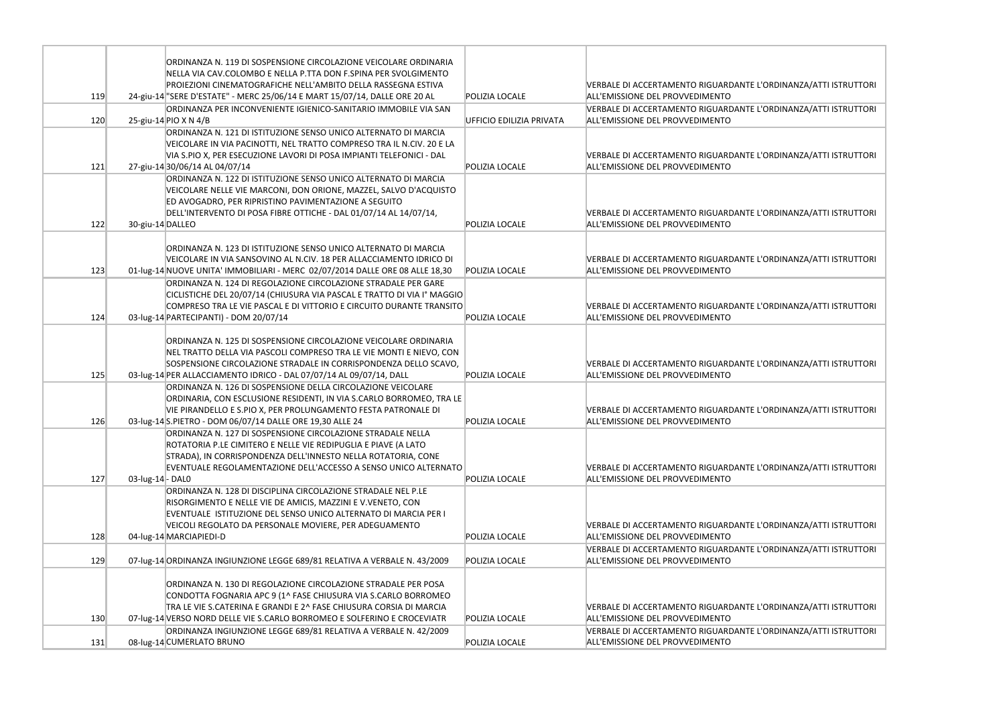|     |                  | ORDINANZA N. 119 DI SOSPENSIONE CIRCOLAZIONE VEICOLARE ORDINARIA                                                                     |                          |                                            |
|-----|------------------|--------------------------------------------------------------------------------------------------------------------------------------|--------------------------|--------------------------------------------|
|     |                  | NELLA VIA CAV.COLOMBO E NELLA P.TTA DON F.SPINA PER SVOLGIMENTO                                                                      |                          |                                            |
|     |                  | PROIEZIONI CINEMATOGRAFICHE NELL'AMBITO DELLA RASSEGNA ESTIVA                                                                        |                          | VERBALE DI ACCERTAMENTO RIGUARDANTE        |
| 119 |                  | 24-giu-14 "SERE D'ESTATE" - MERC 25/06/14 E MART 15/07/14, DALLE ORE 20 AL                                                           | POLIZIA LOCALE           | ALL'EMISSIONE DEL PROVVEDIMENTO            |
|     |                  | ORDINANZA PER INCONVENIENTE IGIENICO-SANITARIO IMMOBILE VIA SAN                                                                      |                          | VERBALE DI ACCERTAMENTO RIGUARDANTE        |
| 120 |                  | 25-giu-14 PIO X N 4/B                                                                                                                | UFFICIO EDILIZIA PRIVATA | ALL'EMISSIONE DEL PROVVEDIMENTO            |
|     |                  | ORDINANZA N. 121 DI ISTITUZIONE SENSO UNICO ALTERNATO DI MARCIA                                                                      |                          |                                            |
|     |                  | VEICOLARE IN VIA PACINOTTI, NEL TRATTO COMPRESO TRA IL N.CIV. 20 E LA                                                                |                          |                                            |
|     |                  | VIA S.PIO X, PER ESECUZIONE LAVORI DI POSA IMPIANTI TELEFONICI - DAL                                                                 |                          | <b>VERBALE DI ACCERTAMENTO RIGUARDANTE</b> |
| 121 |                  | 27-giu-14 30/06/14 AL 04/07/14                                                                                                       | POLIZIA LOCALE           | ALL'EMISSIONE DEL PROVVEDIMENTO            |
|     |                  | ORDINANZA N. 122 DI ISTITUZIONE SENSO UNICO ALTERNATO DI MARCIA                                                                      |                          |                                            |
|     |                  | VEICOLARE NELLE VIE MARCONI, DON ORIONE, MAZZEL, SALVO D'ACQUISTO                                                                    |                          |                                            |
|     |                  | ED AVOGADRO, PER RIPRISTINO PAVIMENTAZIONE A SEGUITO                                                                                 |                          |                                            |
|     |                  | DELL'INTERVENTO DI POSA FIBRE OTTICHE - DAL 01/07/14 AL 14/07/14,                                                                    |                          | <b>VERBALE DI ACCERTAMENTO RIGUARDANTE</b> |
| 122 | 30-giu-14 DALLEO |                                                                                                                                      | POLIZIA LOCALE           | ALL'EMISSIONE DEL PROVVEDIMENTO            |
|     |                  |                                                                                                                                      |                          |                                            |
|     |                  | ORDINANZA N. 123 DI ISTITUZIONE SENSO UNICO ALTERNATO DI MARCIA                                                                      |                          |                                            |
|     |                  | VEICOLARE IN VIA SANSOVINO AL N.CIV. 18 PER ALLACCIAMENTO IDRICO DI                                                                  |                          | <b>VERBALE DI ACCERTAMENTO RIGUARDANTE</b> |
| 123 |                  | 01-lug-14 NUOVE UNITA' IMMOBILIARI - MERC 02/07/2014 DALLE ORE 08 ALLE 18,30                                                         | POLIZIA LOCALE           | ALL'EMISSIONE DEL PROVVEDIMENTO            |
|     |                  | ORDINANZA N. 124 DI REGOLAZIONE CIRCOLAZIONE STRADALE PER GARE                                                                       |                          |                                            |
|     |                  | CICLISTICHE DEL 20/07/14 (CHIUSURA VIA PASCAL E TRATTO DI VIA Iº MAGGIO                                                              |                          |                                            |
|     |                  | COMPRESO TRA LE VIE PASCAL E DI VITTORIO E CIRCUITO DURANTE TRANSITO                                                                 |                          | <b>VERBALE DI ACCERTAMENTO RIGUARDANTE</b> |
| 124 |                  | 03-lug-14 PARTECIPANTI) - DOM 20/07/14                                                                                               | POLIZIA LOCALE           | ALL'EMISSIONE DEL PROVVEDIMENTO            |
|     |                  |                                                                                                                                      |                          |                                            |
|     |                  | ORDINANZA N. 125 DI SOSPENSIONE CIRCOLAZIONE VEICOLARE ORDINARIA                                                                     |                          |                                            |
|     |                  | NEL TRATTO DELLA VIA PASCOLI COMPRESO TRA LE VIE MONTI E NIEVO, CON                                                                  |                          |                                            |
|     |                  | SOSPENSIONE CIRCOLAZIONE STRADALE IN CORRISPONDENZA DELLO SCAVO,                                                                     |                          | VERBALE DI ACCERTAMENTO RIGUARDANTE        |
| 125 |                  | 03-lug-14 PER ALLACCIAMENTO IDRICO - DAL 07/07/14 AL 09/07/14, DALL                                                                  | POLIZIA LOCALE           | ALL'EMISSIONE DEL PROVVEDIMENTO            |
|     |                  | ORDINANZA N. 126 DI SOSPENSIONE DELLA CIRCOLAZIONE VEICOLARE                                                                         |                          |                                            |
|     |                  | ORDINARIA, CON ESCLUSIONE RESIDENTI, IN VIA S.CARLO BORROMEO, TRA LE                                                                 |                          |                                            |
|     |                  | VIE PIRANDELLO E S.PIO X, PER PROLUNGAMENTO FESTA PATRONALE DI                                                                       |                          | VERBALE DI ACCERTAMENTO RIGUARDANTE        |
| 126 |                  | 03-lug-14 S.PIETRO - DOM 06/07/14 DALLE ORE 19,30 ALLE 24                                                                            | POLIZIA LOCALE           | ALL'EMISSIONE DEL PROVVEDIMENTO            |
|     |                  | ORDINANZA N. 127 DI SOSPENSIONE CIRCOLAZIONE STRADALE NELLA                                                                          |                          |                                            |
|     |                  | ROTATORIA P.LE CIMITERO E NELLE VIE REDIPUGLIA E PIAVE (A LATO                                                                       |                          |                                            |
|     |                  | STRADA), IN CORRISPONDENZA DELL'INNESTO NELLA ROTATORIA, CONE                                                                        |                          |                                            |
|     |                  | EVENTUALE REGOLAMENTAZIONE DELL'ACCESSO A SENSO UNICO ALTERNATO                                                                      |                          | VERBALE DI ACCERTAMENTO RIGUARDANTE        |
| 127 | 03-lug-14 - DAL0 |                                                                                                                                      | POLIZIA LOCALE           | ALL'EMISSIONE DEL PROVVEDIMENTO            |
|     |                  | ORDINANZA N. 128 DI DISCIPLINA CIRCOLAZIONE STRADALE NEL P.LE                                                                        |                          |                                            |
|     |                  | RISORGIMENTO E NELLE VIE DE AMICIS, MAZZINI E V.VENETO, CON                                                                          |                          |                                            |
|     |                  | EVENTUALE ISTITUZIONE DEL SENSO UNICO ALTERNATO DI MARCIA PER I                                                                      |                          |                                            |
|     |                  | VEICOLI REGOLATO DA PERSONALE MOVIERE, PER ADEGUAMENTO                                                                               |                          | VERBALE DI ACCERTAMENTO RIGUARDANTE        |
| 128 |                  | 04-lug-14 MARCIAPIEDI-D                                                                                                              | POLIZIA LOCALE           | ALL'EMISSIONE DEL PROVVEDIMENTO            |
|     |                  |                                                                                                                                      |                          | VERBALE DI ACCERTAMENTO RIGUARDANTE        |
| 129 |                  | 07-lug-14 ORDINANZA INGIUNZIONE LEGGE 689/81 RELATIVA A VERBALE N. 43/2009                                                           | POLIZIA LOCALE           | ALL'EMISSIONE DEL PROVVEDIMENTO            |
|     |                  |                                                                                                                                      |                          |                                            |
|     |                  | ORDINANZA N. 130 DI REGOLAZIONE CIRCOLAZIONE STRADALE PER POSA                                                                       |                          |                                            |
|     |                  | CONDOTTA FOGNARIA APC 9 (1^ FASE CHIUSURA VIA S.CARLO BORROMEO<br>TRA LE VIE S.CATERINA E GRANDI E 2^ FASE CHIUSURA CORSIA DI MARCIA |                          | VERBALE DI ACCERTAMENTO RIGUARDANTE        |
| 130 |                  | 07-lug-14 VERSO NORD DELLE VIE S.CARLO BORROMEO E SOLFERINO E CROCEVIATR                                                             | POLIZIA LOCALE           | ALL'EMISSIONE DEL PROVVEDIMENTO            |
|     |                  |                                                                                                                                      |                          |                                            |
|     |                  | ORDINANZA INGIUNZIONE LEGGE 689/81 RELATIVA A VERBALE N. 42/2009                                                                     |                          | VERBALE DI ACCERTAMENTO RIGUARDANTE        |
| 131 |                  | 08-lug-14 CUMERLATO BRUNO                                                                                                            | POLIZIA LOCALE           | ALL'EMISSIONE DEL PROVVEDIMENTO            |

L'ORDINANZA/ATTI ISTRUTTORI

L'ORDINANZA/ATTI ISTRUTTORI

L'ORDINANZA/ATTI ISTRUTTORI

L'ORDINANZA/ATTI ISTRUTTORI

L'ORDINANZA/ATTI ISTRUTTORI

L'ORDINANZA/ATTI ISTRUTTORI

L'ORDINANZA/ATTI ISTRUTTORI

L'ORDINANZA/ATTI ISTRUTTORI

L'ORDINANZA/ATTI ISTRUTTORI

L'ORDINANZA/ATTI ISTRUTTORI

L'ORDINANZA/ATTI ISTRUTTORI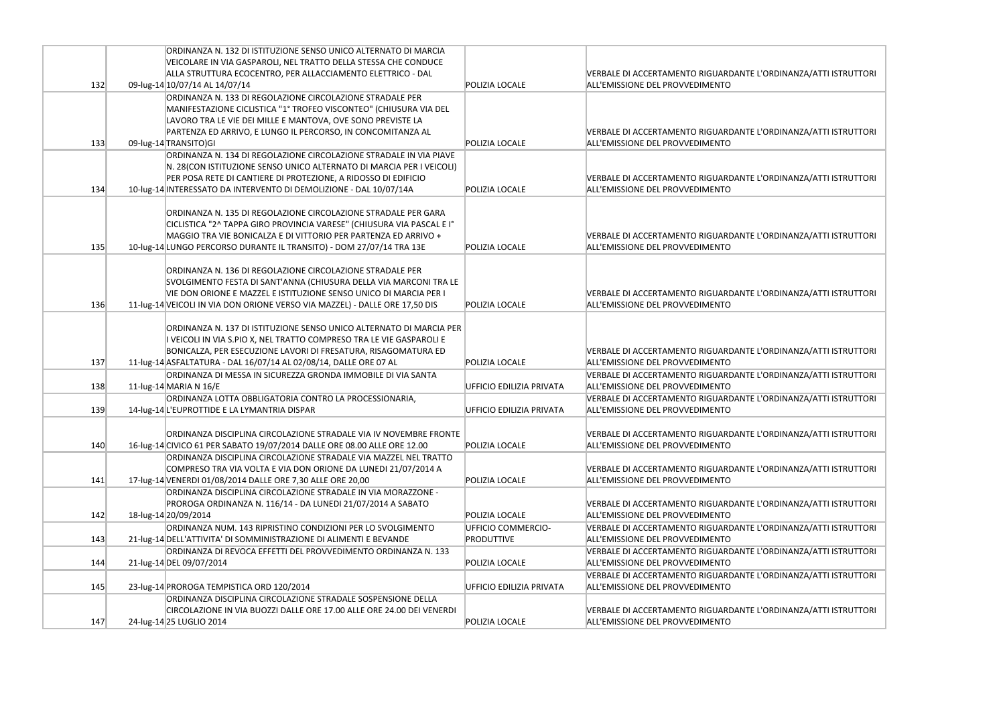|     | ORDINANZA N. 132 DI ISTITUZIONE SENSO UNICO ALTERNATO DI MARCIA<br>VEICOLARE IN VIA GASPAROLI, NEL TRATTO DELLA STESSA CHE CONDUCE            |                          |                                                                               |
|-----|-----------------------------------------------------------------------------------------------------------------------------------------------|--------------------------|-------------------------------------------------------------------------------|
| 132 | ALLA STRUTTURA ECOCENTRO, PER ALLACCIAMENTO ELETTRICO - DAL<br>09-lug-14 10/07/14 AL 14/07/14                                                 | POLIZIA LOCALE           | VERBALE DI ACCERTAMENTO RIGUARDANTE<br>ALL'EMISSIONE DEL PROVVEDIMENTO        |
|     | ORDINANZA N. 133 DI REGOLAZIONE CIRCOLAZIONE STRADALE PER                                                                                     |                          |                                                                               |
|     | MANIFESTAZIONE CICLISTICA "1° TROFEO VISCONTEO" (CHIUSURA VIA DEL                                                                             |                          |                                                                               |
|     | LAVORO TRA LE VIE DEI MILLE E MANTOVA, OVE SONO PREVISTE LA<br>PARTENZA ED ARRIVO, E LUNGO IL PERCORSO, IN CONCOMITANZA AL                    |                          | <b>VERBALE DI ACCERTAMENTO RIGUARDANTE</b>                                    |
| 133 | 09-lug-14 TRANSITO)GI                                                                                                                         | POLIZIA LOCALF           | ALL'EMISSIONE DEL PROVVEDIMENTO                                               |
|     | ORDINANZA N. 134 DI REGOLAZIONE CIRCOLAZIONE STRADALE IN VIA PIAVE                                                                            |                          |                                                                               |
|     | N. 28 (CON ISTITUZIONE SENSO UNICO ALTERNATO DI MARCIA PER I VEICOLI)                                                                         |                          |                                                                               |
|     | PER POSA RETE DI CANTIERE DI PROTEZIONE, A RIDOSSO DI EDIFICIO                                                                                |                          | VERBALE DI ACCERTAMENTO RIGUARDANTE                                           |
| 134 | 10-lug-14 INTERESSATO DA INTERVENTO DI DEMOLIZIONE - DAL 10/07/14A                                                                            | POLIZIA LOCALE           | ALL'EMISSIONE DEL PROVVEDIMENTO                                               |
|     | ORDINANZA N. 135 DI REGOLAZIONE CIRCOLAZIONE STRADALE PER GARA                                                                                |                          |                                                                               |
|     | CICLISTICA "2^ TAPPA GIRO PROVINCIA VARESE" (CHIUSURA VIA PASCAL E I°                                                                         |                          |                                                                               |
|     | MAGGIO TRA VIE BONICALZA E DI VITTORIO PER PARTENZA ED ARRIVO +                                                                               |                          | VERBALE DI ACCERTAMENTO RIGUARDANTE                                           |
| 135 | 10-lug-14 LUNGO PERCORSO DURANTE IL TRANSITO) - DOM 27/07/14 TRA 13E                                                                          | POLIZIA LOCALE           | ALL'EMISSIONE DEL PROVVEDIMENTO                                               |
|     |                                                                                                                                               |                          |                                                                               |
|     | ORDINANZA N. 136 DI REGOLAZIONE CIRCOLAZIONE STRADALE PER<br>SVOLGIMENTO FESTA DI SANT'ANNA (CHIUSURA DELLA VIA MARCONI TRA LE                |                          |                                                                               |
|     | VIE DON ORIONE E MAZZEL E ISTITUZIONE SENSO UNICO DI MARCIA PER I                                                                             |                          | VERBALE DI ACCERTAMENTO RIGUARDANTE                                           |
| 136 | 11-lug-14 VEICOLI IN VIA DON ORIONE VERSO VIA MAZZEL) - DALLE ORE 17,50 DIS                                                                   | <b>POLIZIA LOCALE</b>    | ALL'EMISSIONE DEL PROVVEDIMENTO                                               |
|     |                                                                                                                                               |                          |                                                                               |
|     | ORDINANZA N. 137 DI ISTITUZIONE SENSO UNICO ALTERNATO DI MARCIA PER                                                                           |                          |                                                                               |
|     | I VEICOLI IN VIA S.PIO X, NEL TRATTO COMPRESO TRA LE VIE GASPAROLI E                                                                          |                          |                                                                               |
| 137 | BONICALZA, PER ESECUZIONE LAVORI DI FRESATURA, RISAGOMATURA ED<br>11-lug-14 ASFALTATURA - DAL 16/07/14 AL 02/08/14, DALLE ORE 07 AL           | POLIZIA LOCALE           | VERBALE DI ACCERTAMENTO RIGUARDANTE<br>ALL'EMISSIONE DEL PROVVEDIMENTO        |
|     | ORDINANZA DI MESSA IN SICUREZZA GRONDA IMMOBILE DI VIA SANTA                                                                                  |                          | VERBALE DI ACCERTAMENTO RIGUARDANTE                                           |
| 138 | 11-lug-14 MARIA N $16/E$                                                                                                                      | UFFICIO EDILIZIA PRIVATA | ALL'EMISSIONE DEL PROVVEDIMENTO                                               |
|     | ORDINANZA LOTTA OBBLIGATORIA CONTRO LA PROCESSIONARIA,                                                                                        |                          | <b>VERBALE DI ACCERTAMENTO RIGUARDANTE</b>                                    |
| 139 | 14-lug-14 L'EUPROTTIDE E LA LYMANTRIA DISPAR                                                                                                  | UFFICIO EDILIZIA PRIVATA | ALL'EMISSIONE DEL PROVVEDIMENTO                                               |
|     |                                                                                                                                               |                          |                                                                               |
| 140 | ORDINANZA DISCIPLINA CIRCOLAZIONE STRADALE VIA IV NOVEMBRE FRONTE<br>16-lug-14 CIVICO 61 PER SABATO 19/07/2014 DALLE ORE 08.00 ALLE ORE 12.00 | POLIZIA LOCALE           | <b>VERBALE DI ACCERTAMENTO RIGUARDANTE</b><br>ALL'EMISSIONE DEL PROVVEDIMENTO |
|     | ORDINANZA DISCIPLINA CIRCOLAZIONE STRADALE VIA MAZZEL NEL TRATTO                                                                              |                          |                                                                               |
|     | COMPRESO TRA VIA VOLTA E VIA DON ORIONE DA LUNEDI 21/07/2014 A                                                                                |                          | VERBALE DI ACCERTAMENTO RIGUARDANTE                                           |
| 141 | 17-lug-14 VENERDI 01/08/2014 DALLE ORE 7,30 ALLE ORE 20,00                                                                                    | POLIZIA LOCALE           | ALL'EMISSIONE DEL PROVVEDIMENTO                                               |
|     | ORDINANZA DISCIPLINA CIRCOLAZIONE STRADALE IN VIA MORAZZONE -                                                                                 |                          |                                                                               |
|     | PROROGA ORDINANZA N. 116/14 - DA LUNEDI 21/07/2014 A SABATO                                                                                   |                          | <b>VERBALE DI ACCERTAMENTO RIGUARDANTE</b>                                    |
| 142 | 18-lug-14 20/09/2014                                                                                                                          | POLIZIA LOCALE           | ALL'EMISSIONE DEL PROVVEDIMENTO                                               |
|     | ORDINANZA NUM. 143 RIPRISTINO CONDIZIONI PER LO SVOLGIMENTO                                                                                   | UFFICIO COMMERCIO-       | <b>VERBALE DI ACCERTAMENTO RIGUARDANTE</b>                                    |
| 143 | 21-lug-14 DELL'ATTIVITA' DI SOMMINISTRAZIONE DI ALIMENTI E BEVANDE<br>ORDINANZA DI REVOCA EFFETTI DEL PROVVEDIMENTO ORDINANZA N. 133          | <b>PRODUTTIVE</b>        | ALL'EMISSIONE DEL PROVVEDIMENTO<br>VERBALE DI ACCERTAMENTO RIGUARDANTE        |
| 144 | 21-lug-14 DEL 09/07/2014                                                                                                                      | POLIZIA LOCALE           | ALL'EMISSIONE DEL PROVVEDIMENTO                                               |
|     |                                                                                                                                               |                          | <b>VERBALE DI ACCERTAMENTO RIGUARDANTE</b>                                    |
| 145 | 23-lug-14 PROROGA TEMPISTICA ORD 120/2014                                                                                                     | UFFICIO EDILIZIA PRIVATA | ALL'EMISSIONE DEL PROVVEDIMENTO                                               |
|     | ORDINANZA DISCIPLINA CIRCOLAZIONE STRADALE SOSPENSIONE DELLA                                                                                  |                          |                                                                               |
|     | CIRCOLAZIONE IN VIA BUOZZI DALLE ORE 17.00 ALLE ORE 24.00 DEI VENERDI                                                                         |                          | VERBALE DI ACCERTAMENTO RIGUARDANTE                                           |
| 147 | 24-lug-14 25 LUGLIO 2014                                                                                                                      | POLIZIA LOCALE           | ALL'EMISSIONE DEL PROVVEDIMENTO                                               |

E L'ORDINANZA/ATTI ISTRUTTORI

E L'ORDINANZA/ATTI ISTRUTTORI

E L'ORDINANZA/ATTI ISTRUTTORI

E L'ORDINANZA/ATTI ISTRUTTORI

E L'ORDINANZA/ATTI ISTRUTTORI

E L'ORDINANZA/ATTI ISTRUTTORI

E L'ORDINANZA/ATTI ISTRUTTORI

L'ORDINANZA/ATTI ISTRUTTORI

E L'ORDINANZA/ATTI ISTRUTTORI

E L'ORDINANZA/ATTI ISTRUTTORI

E L'ORDINANZA/ATTI ISTRUTTORI

E L'ORDINANZA/ATTI ISTRUTTORI

E L'ORDINANZA/ATTI ISTRUTTORI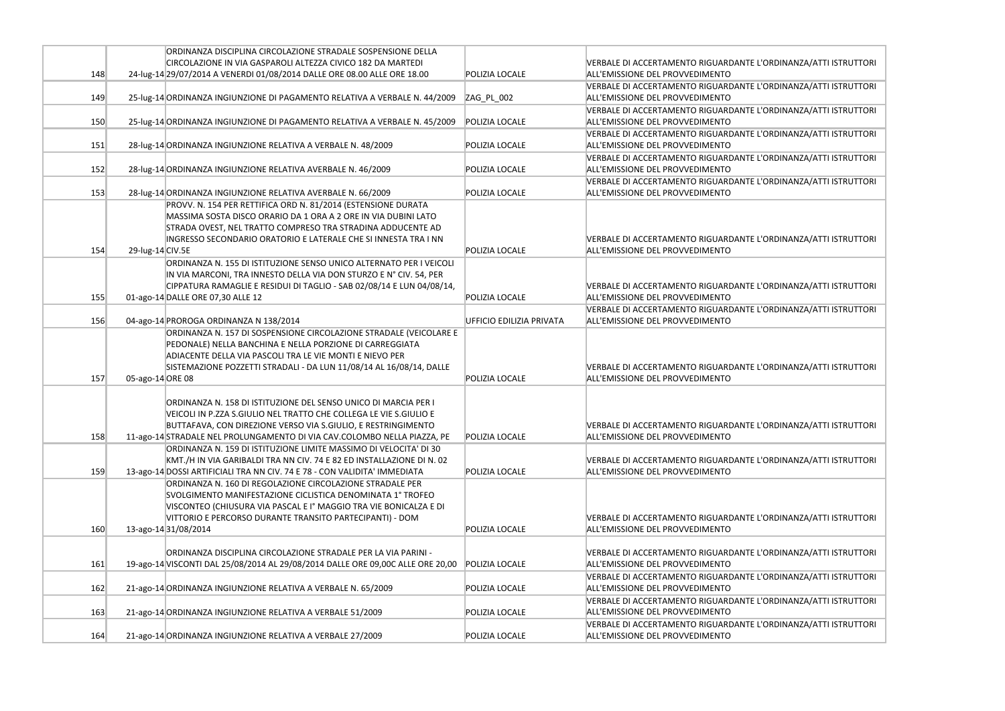|     | ORDINANZA DISCIPLINA CIRCOLAZIONE STRADALE SOSPENSIONE DELLA                    |                          |                                                                               |
|-----|---------------------------------------------------------------------------------|--------------------------|-------------------------------------------------------------------------------|
|     | CIRCOLAZIONE IN VIA GASPAROLI ALTEZZA CIVICO 182 DA MARTEDI                     |                          | <b>VERBALE DI ACCERTAMENTO RIGUARDANTE</b>                                    |
| 148 | 24-lug-14 29/07/2014 A VENERDI 01/08/2014 DALLE ORE 08.00 ALLE ORE 18.00        | POLIZIA LOCALE           | ALL'EMISSIONE DEL PROVVEDIMENTO                                               |
|     |                                                                                 |                          | <b>VERBALE DI ACCERTAMENTO RIGUARDANTE</b>                                    |
| 149 | 25-lug-14 ORDINANZA INGIUNZIONE DI PAGAMENTO RELATIVA A VERBALE N. 44/2009      | ZAG_PL_002               | ALL'EMISSIONE DEL PROVVEDIMENTO                                               |
|     |                                                                                 |                          | <b>VERBALE DI ACCERTAMENTO RIGUARDANTE</b>                                    |
| 150 | 25-lug-14 ORDINANZA INGIUNZIONE DI PAGAMENTO RELATIVA A VERBALE N. 45/2009      | POLIZIA LOCALE           | ALL'EMISSIONE DEL PROVVEDIMENTO                                               |
|     |                                                                                 |                          | VERBALE DI ACCERTAMENTO RIGUARDANTE                                           |
| 151 | 28-lug-14 ORDINANZA INGIUNZIONE RELATIVA A VERBALE N. 48/2009                   | POLIZIA LOCALE           | ALL'EMISSIONE DEL PROVVEDIMENTO                                               |
|     |                                                                                 |                          | VERBALE DI ACCERTAMENTO RIGUARDANTE                                           |
| 152 | 28-lug-14 ORDINANZA INGIUNZIONE RELATIVA AVERBALE N. 46/2009                    | POLIZIA LOCALE           | ALL'EMISSIONE DEL PROVVEDIMENTO                                               |
|     |                                                                                 |                          | <b>VERBALE DI ACCERTAMENTO RIGUARDANTE</b>                                    |
| 153 | 28-lug-14 ORDINANZA INGIUNZIONE RELATIVA AVERBALE N. 66/2009                    | POLIZIA LOCALE           | ALL'EMISSIONE DEL PROVVEDIMENTO                                               |
|     | PROVV. N. 154 PER RETTIFICA ORD N. 81/2014 (ESTENSIONE DURATA                   |                          |                                                                               |
|     | MASSIMA SOSTA DISCO ORARIO DA 1 ORA A 2 ORE IN VIA DUBINI LATO                  |                          |                                                                               |
|     | STRADA OVEST, NEL TRATTO COMPRESO TRA STRADINA ADDUCENTE AD                     |                          |                                                                               |
|     | INGRESSO SECONDARIO ORATORIO E LATERALE CHE SI INNESTA TRA I NN                 |                          | VERBALE DI ACCERTAMENTO RIGUARDANTE                                           |
| 154 | 29-lug-14 CIV.5E                                                                | POLIZIA LOCALE           | ALL'EMISSIONE DEL PROVVEDIMENTO                                               |
|     | ORDINANZA N. 155 DI ISTITUZIONE SENSO UNICO ALTERNATO PER I VEICOLI             |                          |                                                                               |
|     | IN VIA MARCONI, TRA INNESTO DELLA VIA DON STURZO E Nº CIV. 54, PER              |                          |                                                                               |
|     | CIPPATURA RAMAGLIE E RESIDUI DI TAGLIO - SAB 02/08/14 E LUN 04/08/14,           |                          | VERBALE DI ACCERTAMENTO RIGUARDANTE                                           |
| 155 | 01-ago-14 DALLE ORE 07,30 ALLE 12                                               | POLIZIA LOCALE           | ALL'EMISSIONE DEL PROVVEDIMENTO                                               |
|     |                                                                                 |                          | VERBALE DI ACCERTAMENTO RIGUARDANTE                                           |
| 156 | 04-ago-14 PROROGA ORDINANZA N 138/2014                                          | UFFICIO EDILIZIA PRIVATA | ALL'EMISSIONE DEL PROVVEDIMENTO                                               |
|     | ORDINANZA N. 157 DI SOSPENSIONE CIRCOLAZIONE STRADALE (VEICOLARE E              |                          |                                                                               |
|     | PEDONALE) NELLA BANCHINA E NELLA PORZIONE DI CARREGGIATA                        |                          |                                                                               |
|     | ADIACENTE DELLA VIA PASCOLI TRA LE VIE MONTI E NIEVO PER                        |                          |                                                                               |
|     | SISTEMAZIONE POZZETTI STRADALI - DA LUN 11/08/14 AL 16/08/14, DALLE             |                          | <b>VERBALE DI ACCERTAMENTO RIGUARDANTE</b>                                    |
| 157 | 05-ago-14 ORE 08                                                                | POLIZIA LOCALE           | ALL'EMISSIONE DEL PROVVEDIMENTO                                               |
|     |                                                                                 |                          |                                                                               |
|     | ORDINANZA N. 158 DI ISTITUZIONE DEL SENSO UNICO DI MARCIA PER I                 |                          |                                                                               |
|     | VEICOLI IN P.ZZA S.GIULIO NEL TRATTO CHE COLLEGA LE VIE S.GIULIO E              |                          |                                                                               |
|     | BUTTAFAVA, CON DIREZIONE VERSO VIA S.GIULIO, E RESTRINGIMENTO                   |                          | VERBALE DI ACCERTAMENTO RIGUARDANTE                                           |
| 158 | 11-ago-14 STRADALE NEL PROLUNGAMENTO DI VIA CAV.COLOMBO NELLA PIAZZA, PE        | POLIZIA LOCALE           | ALL'EMISSIONE DEL PROVVEDIMENTO                                               |
|     | ORDINANZA N. 159 DI ISTITUZIONE LIMITE MASSIMO DI VELOCITA' DI 30               |                          |                                                                               |
|     | KMT./H IN VIA GARIBALDI TRA NN CIV. 74 E 82 ED INSTALLAZIONE DI N. 02           |                          | <b>VERBALE DI ACCERTAMENTO RIGUARDANTE</b>                                    |
| 159 | 13-ago-14 DOSSI ARTIFICIALI TRA NN CIV. 74 E 78 - CON VALIDITA' IMMEDIATA       | POLIZIA LOCALE           | ALL'EMISSIONE DEL PROVVEDIMENTO                                               |
|     | ORDINANZA N. 160 DI REGOLAZIONE CIRCOLAZIONE STRADALE PER                       |                          |                                                                               |
|     | SVOLGIMENTO MANIFESTAZIONE CICLISTICA DENOMINATA 1° TROFEO                      |                          |                                                                               |
|     | VISCONTEO (CHIUSURA VIA PASCAL E Iº MAGGIO TRA VIE BONICALZA E DI               |                          | <b>VERBALE DI ACCERTAMENTO RIGUARDANTE</b>                                    |
| 160 | VITTORIO E PERCORSO DURANTE TRANSITO PARTECIPANTI) - DOM<br>13-ago-1431/08/2014 | POLIZIA LOCALE           | ALL'EMISSIONE DEL PROVVEDIMENTO                                               |
|     |                                                                                 |                          |                                                                               |
|     | ORDINANZA DISCIPLINA CIRCOLAZIONE STRADALE PER LA VIA PARINI -                  |                          | <b>VERBALE DI ACCERTAMENTO RIGUARDANTE</b>                                    |
| 161 | 19-ago-14 VISCONTI DAL 25/08/2014 AL 29/08/2014 DALLE ORE 09,00C ALLE ORE 20,00 | POLIZIA LOCALE           | ALL'EMISSIONE DEL PROVVEDIMENTO                                               |
|     |                                                                                 |                          |                                                                               |
| 162 |                                                                                 | POLIZIA LOCALE           | <b>VERBALE DI ACCERTAMENTO RIGUARDANTE</b><br>ALL'EMISSIONE DEL PROVVEDIMENTO |
|     | 21-ago-14 ORDINANZA INGIUNZIONE RELATIVA A VERBALE N. 65/2009                   |                          |                                                                               |
|     |                                                                                 |                          | <b>VERBALE DI ACCERTAMENTO RIGUARDANTE</b>                                    |
| 163 | 21-ago-14 ORDINANZA INGIUNZIONE RELATIVA A VERBALE 51/2009                      | POLIZIA LOCALE           | ALL'EMISSIONE DEL PROVVEDIMENTO                                               |
|     |                                                                                 |                          | <b>VERBALE DI ACCERTAMENTO RIGUARDANTE</b>                                    |
| 164 | 21-ago-14 ORDINANZA INGIUNZIONE RELATIVA A VERBALE 27/2009                      | POLIZIA LOCALE           | ALL'EMISSIONE DEL PROVVEDIMENTO                                               |

E L'ORDINANZA/ATTI ISTRUTTORI

E L'ORDINANZA/ATTI ISTRUTTORI

E L'ORDINANZA/ATTI ISTRUTTORI

E L'ORDINANZA/ATTI ISTRUTTORI

E L'ORDINANZA/ATTI ISTRUTTORI

E L'ORDINANZA/ATTI ISTRUTTORI

: L'ORDINANZA/ATTI ISTRUTTORI

E L'ORDINANZA/ATTI ISTRUTTORI

L'ORDINANZA/ATTI ISTRUTTORI

L'ORDINANZA/ATTI ISTRUTTORI

E L'ORDINANZA/ATTI ISTRUTTORI

E L'ORDINANZA/ATTI ISTRUTTORI

E L'ORDINANZA/ATTI ISTRUTTORI

L'ORDINANZA/ATTI ISTRUTTORI

E L'ORDINANZA/ATTI ISTRUTTORI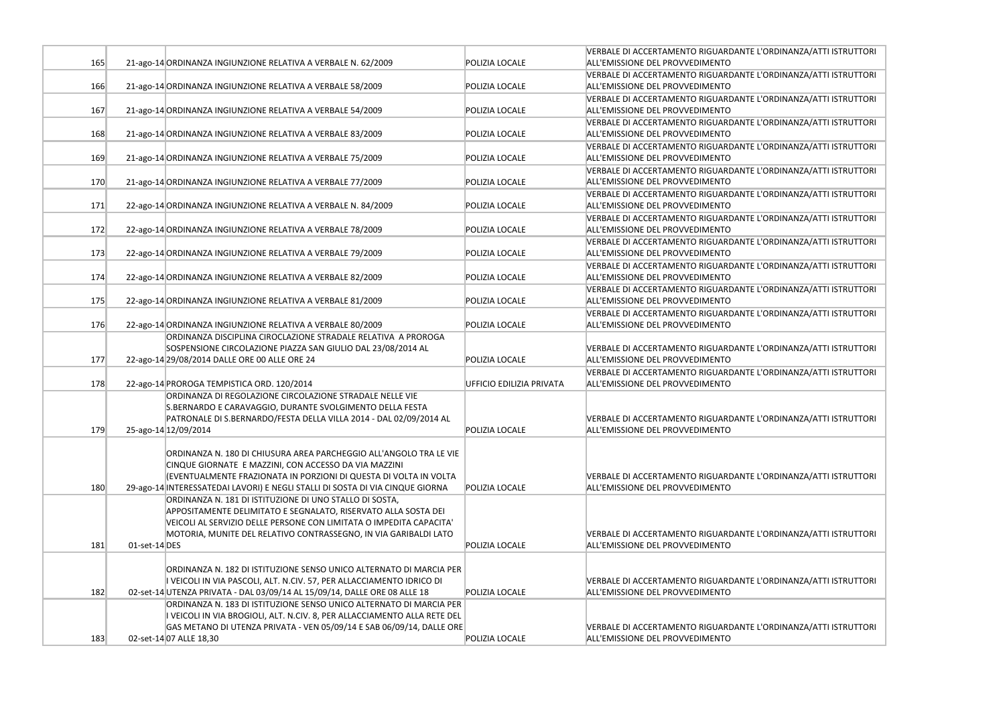|     |                                                                                                                                                                                                                                                                                       |                          | VERBALE DI ACCERTAMENTO RIGUARDANTE L'ORDINANZA/ATTI ISTRUTTORI                                    |
|-----|---------------------------------------------------------------------------------------------------------------------------------------------------------------------------------------------------------------------------------------------------------------------------------------|--------------------------|----------------------------------------------------------------------------------------------------|
| 165 | 21-ago-14 ORDINANZA INGIUNZIONE RELATIVA A VERBALE N. 62/2009                                                                                                                                                                                                                         | POLIZIA LOCALE           | ALL'EMISSIONE DEL PROVVEDIMENTO                                                                    |
|     |                                                                                                                                                                                                                                                                                       |                          | VERBALE DI ACCERTAMENTO RIGUARDANTE L'ORDINANZA/ATTI ISTRUTTORI                                    |
| 166 | 21-ago-14 ORDINANZA INGIUNZIONE RELATIVA A VERBALE 58/2009                                                                                                                                                                                                                            | POLIZIA LOCALE           | ALL'EMISSIONE DEL PROVVEDIMENTO                                                                    |
| 167 | 21-ago-14 ORDINANZA INGIUNZIONE RELATIVA A VERBALE 54/2009                                                                                                                                                                                                                            | POLIZIA LOCALE           | VERBALE DI ACCERTAMENTO RIGUARDANTE L'ORDINANZA/ATTI ISTRUTTORI<br>ALL'EMISSIONE DEL PROVVEDIMENTO |
| 168 | 21-ago-14 ORDINANZA INGIUNZIONE RELATIVA A VERBALE 83/2009                                                                                                                                                                                                                            | POLIZIA LOCALE           | VERBALE DI ACCERTAMENTO RIGUARDANTE L'ORDINANZA/ATTI ISTRUTTORI<br>ALL'EMISSIONE DEL PROVVEDIMENTO |
| 169 | 21-ago-14 ORDINANZA INGIUNZIONE RELATIVA A VERBALE 75/2009                                                                                                                                                                                                                            | POLIZIA LOCALE           | VERBALE DI ACCERTAMENTO RIGUARDANTE L'ORDINANZA/ATTI ISTRUTTORI<br>ALL'EMISSIONE DEL PROVVEDIMENTO |
| 170 | 21-ago-14 ORDINANZA INGIUNZIONE RELATIVA A VERBALE 77/2009                                                                                                                                                                                                                            | POLIZIA LOCALE           | VERBALE DI ACCERTAMENTO RIGUARDANTE L'ORDINANZA/ATTI ISTRUTTORI<br>ALL'EMISSIONE DEL PROVVEDIMENTO |
| 171 | 22-ago-14 ORDINANZA INGIUNZIONE RELATIVA A VERBALE N. 84/2009                                                                                                                                                                                                                         | POLIZIA LOCALE           | VERBALE DI ACCERTAMENTO RIGUARDANTE L'ORDINANZA/ATTI ISTRUTTORI<br>ALL'EMISSIONE DEL PROVVEDIMENTO |
| 172 | 22-ago-14 ORDINANZA INGIUNZIONE RELATIVA A VERBALE 78/2009                                                                                                                                                                                                                            | POLIZIA LOCALE           | VERBALE DI ACCERTAMENTO RIGUARDANTE L'ORDINANZA/ATTI ISTRUTTORI<br>ALL'EMISSIONE DEL PROVVEDIMENTO |
| 173 | 22-ago-14 ORDINANZA INGIUNZIONE RELATIVA A VERBALE 79/2009                                                                                                                                                                                                                            | POLIZIA LOCALE           | VERBALE DI ACCERTAMENTO RIGUARDANTE L'ORDINANZA/ATTI ISTRUTTORI<br>ALL'EMISSIONE DEL PROVVEDIMENTO |
| 174 | 22-ago-14 ORDINANZA INGIUNZIONE RELATIVA A VERBALE 82/2009                                                                                                                                                                                                                            | POLIZIA LOCALE           | VERBALE DI ACCERTAMENTO RIGUARDANTE L'ORDINANZA/ATTI ISTRUTTORI<br>ALL'EMISSIONE DEL PROVVEDIMENTO |
|     |                                                                                                                                                                                                                                                                                       |                          | VERBALE DI ACCERTAMENTO RIGUARDANTE L'ORDINANZA/ATTI ISTRUTTORI                                    |
| 175 | 22-ago-14 ORDINANZA INGIUNZIONE RELATIVA A VERBALE 81/2009                                                                                                                                                                                                                            | POLIZIA LOCALE           | ALL'EMISSIONE DEL PROVVEDIMENTO                                                                    |
| 176 | 22-ago-14 ORDINANZA INGIUNZIONE RELATIVA A VERBALE 80/2009                                                                                                                                                                                                                            | POLIZIA LOCALE           | VERBALE DI ACCERTAMENTO RIGUARDANTE L'ORDINANZA/ATTI ISTRUTTORI<br>ALL'EMISSIONE DEL PROVVEDIMENTO |
|     | ORDINANZA DISCIPLINA CIROCLAZIONE STRADALE RELATIVA A PROROGA                                                                                                                                                                                                                         |                          |                                                                                                    |
| 177 | SOSPENSIONE CIRCOLAZIONE PIAZZA SAN GIULIO DAL 23/08/2014 AL<br>22-ago-14 29/08/2014 DALLE ORE 00 ALLE ORE 24                                                                                                                                                                         | POLIZIA LOCALE           | VERBALE DI ACCERTAMENTO RIGUARDANTE L'ORDINANZA/ATTI ISTRUTTORI<br>ALL'EMISSIONE DEL PROVVEDIMENTO |
| 178 | 22-ago-14 PROROGA TEMPISTICA ORD. 120/2014                                                                                                                                                                                                                                            | UFFICIO EDILIZIA PRIVATA | VERBALE DI ACCERTAMENTO RIGUARDANTE L'ORDINANZA/ATTI ISTRUTTORI<br>ALL'EMISSIONE DEL PROVVEDIMENTO |
| 179 | ORDINANZA DI REGOLAZIONE CIRCOLAZIONE STRADALE NELLE VIE<br>S.BERNARDO E CARAVAGGIO, DURANTE SVOLGIMENTO DELLA FESTA<br>PATRONALE DI S.BERNARDO/FESTA DELLA VILLA 2014 - DAL 02/09/2014 AL<br>25-ago-14 12/09/2014                                                                    | POLIZIA LOCALE           | VERBALE DI ACCERTAMENTO RIGUARDANTE L'ORDINANZA/ATTI ISTRUTTORI<br>ALL'EMISSIONE DEL PROVVEDIMENTO |
| 180 | ORDINANZA N. 180 DI CHIUSURA AREA PARCHEGGIO ALL'ANGOLO TRA LE VIE<br>CINQUE GIORNATE E MAZZINI, CON ACCESSO DA VIA MAZZINI<br>(EVENTUALMENTE FRAZIONATA IN PORZIONI DI QUESTA DI VOLTA IN VOLTA<br>29-ago-14 INTERESSATEDAI LAVORI) E NEGLI STALLI DI SOSTA DI VIA CINQUE GIORNA     | <b>POLIZIA LOCALE</b>    | VERBALE DI ACCERTAMENTO RIGUARDANTE L'ORDINANZA/ATTI ISTRUTTORI<br>ALL'EMISSIONE DEL PROVVEDIMENTO |
| 181 | ORDINANZA N. 181 DI ISTITUZIONE DI UNO STALLO DI SOSTA,<br>APPOSITAMENTE DELIMITATO E SEGNALATO, RISERVATO ALLA SOSTA DEI<br>VEICOLI AL SERVIZIO DELLE PERSONE CON LIMITATA O IMPEDITA CAPACITA'<br>MOTORIA, MUNITE DEL RELATIVO CONTRASSEGNO, IN VIA GARIBALDI LATO<br>01-set-14 DES | POLIZIA LOCALE           | VERBALE DI ACCERTAMENTO RIGUARDANTE L'ORDINANZA/ATTI ISTRUTTORI<br>ALL'EMISSIONE DEL PROVVEDIMENTO |
| 182 | ORDINANZA N. 182 DI ISTITUZIONE SENSO UNICO ALTERNATO DI MARCIA PER<br>I VEICOLI IN VIA PASCOLI, ALT. N.CIV. 57, PER ALLACCIAMENTO IDRICO DI<br>02-set-14 UTENZA PRIVATA - DAL 03/09/14 AL 15/09/14, DALLE ORE 08 ALLE 18                                                             | <b>POLIZIA LOCALE</b>    | VERBALE DI ACCERTAMENTO RIGUARDANTE L'ORDINANZA/ATTI ISTRUTTORI<br>ALL'EMISSIONE DEL PROVVEDIMENTO |
| 183 | ORDINANZA N. 183 DI ISTITUZIONE SENSO UNICO ALTERNATO DI MARCIA PER<br>I VEICOLI IN VIA BROGIOLI, ALT. N.CIV. 8, PER ALLACCIAMENTO ALLA RETE DEL<br>GAS METANO DI UTENZA PRIVATA - VEN 05/09/14 E SAB 06/09/14, DALLE ORE<br>02-set-14 07 ALLE 18,30                                  | POLIZIA LOCALE           | VERBALE DI ACCERTAMENTO RIGUARDANTE L'ORDINANZA/ATTI ISTRUTTORI<br>ALL'EMISSIONE DEL PROVVEDIMENTO |

| L'ORDINANZA/ATTI ISTRUTTORI |
|-----------------------------|
| L'ORDINANZA/ATTI ISTRUTTORI |
| L'ORDINANZA/ATTI ISTRUTTORI |
| L'ORDINANZA/ATTI ISTRUTTORI |
| L'ORDINANZA/ATTI ISTRUTTORI |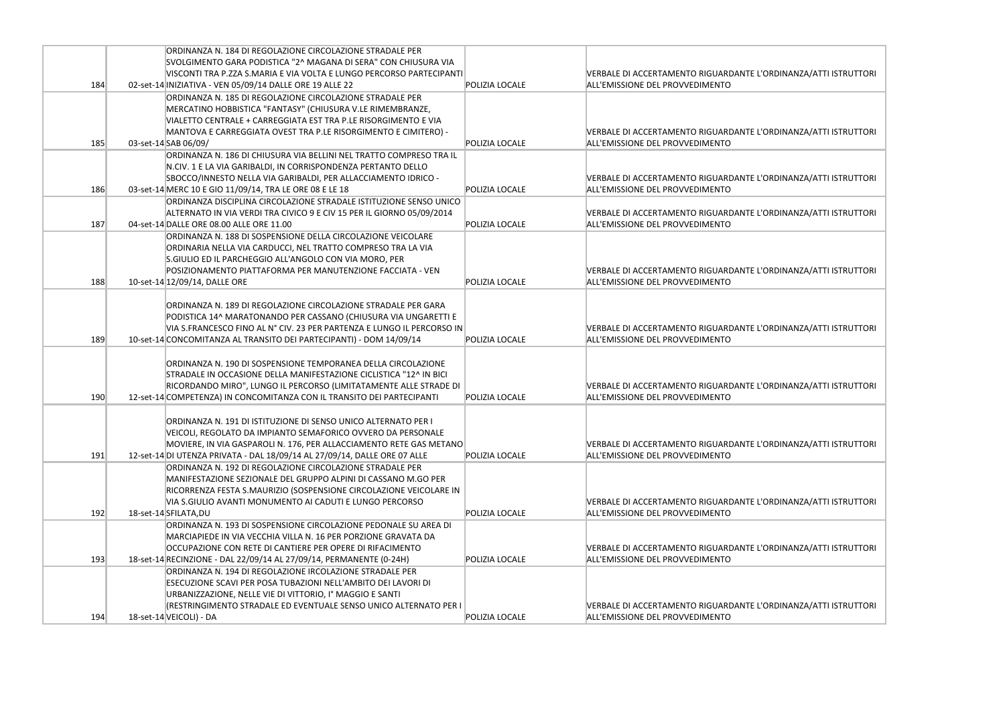|     | ORDINANZA N. 184 DI REGOLAZIONE CIRCOLAZIONE STRADALE PER                 |                       |                                            |
|-----|---------------------------------------------------------------------------|-----------------------|--------------------------------------------|
|     | SVOLGIMENTO GARA PODISTICA "2^ MAGANA DI SERA" CON CHIUSURA VIA           |                       |                                            |
|     | VISCONTI TRA P.ZZA S.MARIA E VIA VOLTA E LUNGO PERCORSO PARTECIPANTI      |                       | <b>VERBALE DI ACCERTAMENTO RIGUARDANTE</b> |
| 184 | 02-set-14 INIZIATIVA - VEN 05/09/14 DALLE ORE 19 ALLE 22                  | POLIZIA LOCALE        | ALL'EMISSIONE DEL PROVVEDIMENTO            |
|     | ORDINANZA N. 185 DI REGOLAZIONE CIRCOLAZIONE STRADALE PER                 |                       |                                            |
|     | MERCATINO HOBBISTICA "FANTASY" (CHIUSURA V.LE RIMEMBRANZE,                |                       |                                            |
|     | VIALETTO CENTRALE + CARREGGIATA EST TRA P.LE RISORGIMENTO E VIA           |                       |                                            |
|     | MANTOVA E CARREGGIATA OVEST TRA P.LE RISORGIMENTO E CIMITERO) -           |                       | VERBALE DI ACCERTAMENTO RIGUARDANTE        |
| 185 | 03-set-14 SAB 06/09/                                                      | <b>POLIZIA LOCALE</b> | ALL'EMISSIONE DEL PROVVEDIMENTO            |
|     | ORDINANZA N. 186 DI CHIUSURA VIA BELLINI NEL TRATTO COMPRESO TRA IL       |                       |                                            |
|     | N.CIV. 1 E LA VIA GARIBALDI, IN CORRISPONDENZA PERTANTO DELLO             |                       |                                            |
|     | SBOCCO/INNESTO NELLA VIA GARIBALDI, PER ALLACCIAMENTO IDRICO -            |                       | VERBALE DI ACCERTAMENTO RIGUARDANTE        |
| 186 | 03-set-14 MERC 10 E GIO 11/09/14, TRA LE ORE 08 E LE 18                   | <b>POLIZIA LOCALE</b> | ALL'EMISSIONE DEL PROVVEDIMENTO            |
|     | ORDINANZA DISCIPLINA CIRCOLAZIONE STRADALE ISTITUZIONE SENSO UNICO        |                       |                                            |
|     | ALTERNATO IN VIA VERDI TRA CIVICO 9 E CIV 15 PER IL GIORNO 05/09/2014     |                       | VERBALE DI ACCERTAMENTO RIGUARDANTE        |
| 187 | 04-set-14 DALLE ORE 08.00 ALLE ORE 11.00                                  | POLIZIA LOCALE        | ALL'EMISSIONE DEL PROVVEDIMENTO            |
|     | ORDINANZA N. 188 DI SOSPENSIONE DELLA CIRCOLAZIONE VEICOLARE              |                       |                                            |
|     | ORDINARIA NELLA VIA CARDUCCI, NEL TRATTO COMPRESO TRA LA VIA              |                       |                                            |
|     | S.GIULIO ED IL PARCHEGGIO ALL'ANGOLO CON VIA MORO, PER                    |                       |                                            |
|     | POSIZIONAMENTO PIATTAFORMA PER MANUTENZIONE FACCIATA - VEN                |                       | VERBALE DI ACCERTAMENTO RIGUARDANTE        |
| 188 | 10-set-14 12/09/14, DALLE ORE                                             | POLIZIA LOCALE        | ALL'EMISSIONE DEL PROVVEDIMENTO            |
|     |                                                                           |                       |                                            |
|     | ORDINANZA N. 189 DI REGOLAZIONE CIRCOLAZIONE STRADALE PER GARA            |                       |                                            |
|     | PODISTICA 14^ MARATONANDO PER CASSANO (CHIUSURA VIA UNGARETTI E           |                       |                                            |
|     | VIA S.FRANCESCO FINO AL Nº CIV. 23 PER PARTENZA E LUNGO IL PERCORSO IN    |                       | VERBALE DI ACCERTAMENTO RIGUARDANTE        |
| 189 | 10-set-14 CONCOMITANZA AL TRANSITO DEI PARTECIPANTI) - DOM 14/09/14       | POLIZIA LOCALE        | ALL'EMISSIONE DEL PROVVEDIMENTO            |
|     |                                                                           |                       |                                            |
|     | ORDINANZA N. 190 DI SOSPENSIONE TEMPORANEA DELLA CIRCOLAZIONE             |                       |                                            |
|     | STRADALE IN OCCASIONE DELLA MANIFESTAZIONE CICLISTICA "12^ IN BICI        |                       |                                            |
|     | RICORDANDO MIRO", LUNGO IL PERCORSO (LIMITATAMENTE ALLE STRADE DI         |                       | VERBALE DI ACCERTAMENTO RIGUARDANTE        |
| 190 | 12-set-14 COMPETENZA) IN CONCOMITANZA CON IL TRANSITO DEI PARTECIPANTI    | POLIZIA LOCALE        | ALL'EMISSIONE DEL PROVVEDIMENTO            |
|     |                                                                           |                       |                                            |
|     | ORDINANZA N. 191 DI ISTITUZIONE DI SENSO UNICO ALTERNATO PER I            |                       |                                            |
|     | VEICOLI, REGOLATO DA IMPIANTO SEMAFORICO OVVERO DA PERSONALE              |                       |                                            |
|     | MOVIERE, IN VIA GASPAROLI N. 176, PER ALLACCIAMENTO RETE GAS METANO       |                       | VERBALE DI ACCERTAMENTO RIGUARDANTE        |
| 191 | 12-set-14 DI UTENZA PRIVATA - DAL 18/09/14 AL 27/09/14, DALLE ORE 07 ALLE | POLIZIA LOCALE        | ALL'EMISSIONE DEL PROVVEDIMENTO            |
|     | ORDINANZA N. 192 DI REGOLAZIONE CIRCOLAZIONE STRADALE PER                 |                       |                                            |
|     | MANIFESTAZIONE SEZIONALE DEL GRUPPO ALPINI DI CASSANO M.GO PER            |                       |                                            |
|     | RICORRENZA FESTA S.MAURIZIO (SOSPENSIONE CIRCOLAZIONE VEICOLARE IN        |                       |                                            |
|     | VIA S.GIULIO AVANTI MONUMENTO AI CADUTI E LUNGO PERCORSO                  |                       | VERBALE DI ACCERTAMENTO RIGUARDANTE        |
| 192 | 18-set-14 SFILATA, DU                                                     | POLIZIA LOCALE        | ALL'EMISSIONE DEL PROVVEDIMENTO            |
|     | ORDINANZA N. 193 DI SOSPENSIONE CIRCOLAZIONE PEDONALE SU AREA DI          |                       |                                            |
|     | MARCIAPIEDE IN VIA VECCHIA VILLA N. 16 PER PORZIONE GRAVATA DA            |                       |                                            |
|     | OCCUPAZIONE CON RETE DI CANTIERE PER OPERE DI RIFACIMENTO                 |                       | VERBALE DI ACCERTAMENTO RIGUARDANTE        |
| 193 | 18-set-14 RECINZIONE - DAL 22/09/14 AL 27/09/14, PERMANENTE (0-24H)       | POLIZIA LOCALE        | ALL'EMISSIONE DEL PROVVEDIMENTO            |
|     | ORDINANZA N. 194 DI REGOLAZIONE IRCOLAZIONE STRADALE PER                  |                       |                                            |
|     | ESECUZIONE SCAVI PER POSA TUBAZIONI NELL'AMBITO DEI LAVORI DI             |                       |                                            |
|     | URBANIZZAZIONE, NELLE VIE DI VITTORIO, Iº MAGGIO E SANTI                  |                       |                                            |
|     | (RESTRINGIMENTO STRADALE ED EVENTUALE SENSO UNICO ALTERNATO PER I         |                       | VERBALE DI ACCERTAMENTO RIGUARDANTE        |
| 194 | 18-set-14 VEICOLI) - DA                                                   | POLIZIA LOCALE        | ALL'EMISSIONE DEL PROVVEDIMENTO            |

L'ORDINANZA/ATTI ISTRUTTORI

L'ORDINANZA/ATTI ISTRUTTORI

L'ORDINANZA/ATTI ISTRUTTORI

L'ORDINANZA/ATTI ISTRUTTORI

L'ORDINANZA/ATTI ISTRUTTORI

: L'ORDINANZA/ATTI ISTRUTTORI

L'ORDINANZA/ATTI ISTRUTTORI

L'ORDINANZA/ATTI ISTRUTTORI

L'ORDINANZA/ATTI ISTRUTTORI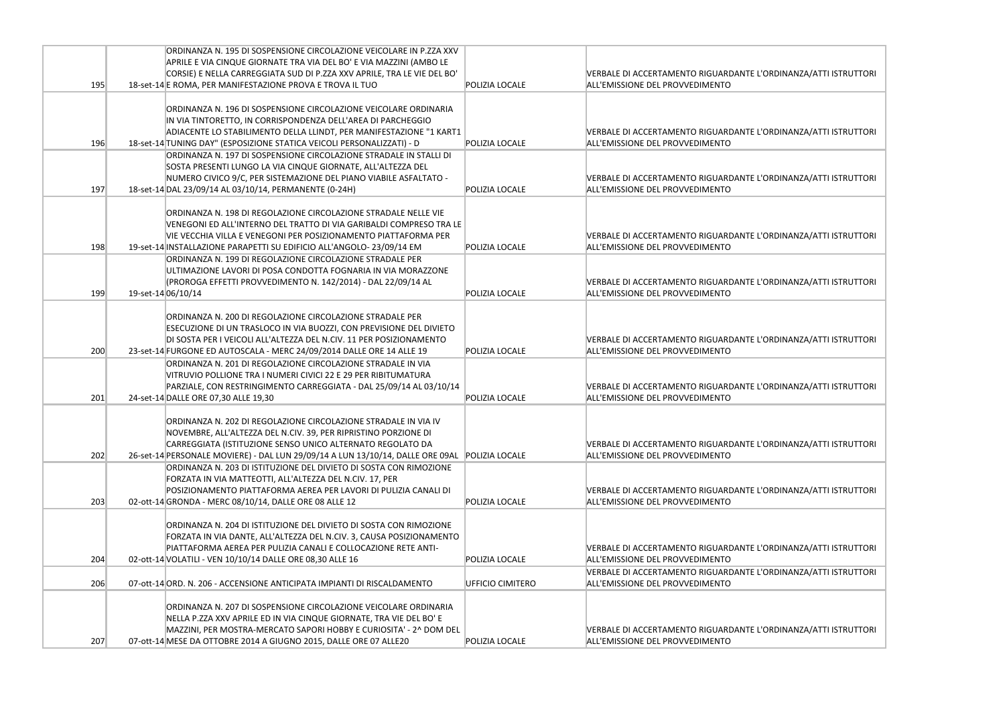|     | ORDINANZA N. 195 DI SOSPENSIONE CIRCOLAZIONE VEICOLARE IN P.ZZA XXV                           |                  |                                            |
|-----|-----------------------------------------------------------------------------------------------|------------------|--------------------------------------------|
|     | APRILE E VIA CINQUE GIORNATE TRA VIA DEL BO' E VIA MAZZINI (AMBO LE                           |                  |                                            |
|     | CORSIE) E NELLA CARREGGIATA SUD DI P.ZZA XXV APRILE, TRA LE VIE DEL BO'                       |                  | <b>VERBALE DI ACCERTAMENTO RIGUARDANTE</b> |
| 195 | 18-set-14 E ROMA, PER MANIFESTAZIONE PROVA E TROVA IL TUO                                     | POLIZIA LOCALE   | ALL'EMISSIONE DEL PROVVEDIMENTO            |
|     |                                                                                               |                  |                                            |
|     | ORDINANZA N. 196 DI SOSPENSIONE CIRCOLAZIONE VEICOLARE ORDINARIA                              |                  |                                            |
|     | IN VIA TINTORETTO, IN CORRISPONDENZA DELL'AREA DI PARCHEGGIO                                  |                  |                                            |
|     | ADIACENTE LO STABILIMENTO DELLA LLINDT, PER MANIFESTAZIONE "1 KART1                           |                  | VERBALE DI ACCERTAMENTO RIGUARDANTE        |
| 196 | 18-set-14 TUNING DAY" (ESPOSIZIONE STATICA VEICOLI PERSONALIZZATI) - D                        | POLIZIA LOCALE   | ALL'EMISSIONE DEL PROVVEDIMENTO            |
|     | ORDINANZA N. 197 DI SOSPENSIONE CIRCOLAZIONE STRADALE IN STALLI DI                            |                  |                                            |
|     | SOSTA PRESENTI LUNGO LA VIA CINQUE GIORNATE, ALL'ALTEZZA DEL                                  |                  |                                            |
|     | NUMERO CIVICO 9/C, PER SISTEMAZIONE DEL PIANO VIABILE ASFALTATO -                             |                  | VERBALE DI ACCERTAMENTO RIGUARDANTE        |
| 197 | 18-set-14 DAL 23/09/14 AL 03/10/14, PERMANENTE (0-24H)                                        | POLIZIA LOCALE   | ALL'EMISSIONE DEL PROVVEDIMENTO            |
|     |                                                                                               |                  |                                            |
|     | ORDINANZA N. 198 DI REGOLAZIONE CIRCOLAZIONE STRADALE NELLE VIE                               |                  |                                            |
|     | VENEGONI ED ALL'INTERNO DEL TRATTO DI VIA GARIBALDI COMPRESO TRA LE                           |                  |                                            |
|     | VIE VECCHIA VILLA E VENEGONI PER POSIZIONAMENTO PIATTAFORMA PER                               |                  | VERBALE DI ACCERTAMENTO RIGUARDANTE        |
| 198 | 19-set-14 INSTALLAZIONE PARAPETTI SU EDIFICIO ALL'ANGOLO-23/09/14 EM                          | POLIZIA LOCALE   | ALL'EMISSIONE DEL PROVVEDIMENTO            |
|     | ORDINANZA N. 199 DI REGOLAZIONE CIRCOLAZIONE STRADALE PER                                     |                  |                                            |
|     | ULTIMAZIONE LAVORI DI POSA CONDOTTA FOGNARIA IN VIA MORAZZONE                                 |                  |                                            |
|     | (PROROGA EFFETTI PROVVEDIMENTO N. 142/2014) - DAL 22/09/14 AL                                 |                  | <b>VERBALE DI ACCERTAMENTO RIGUARDANTE</b> |
| 199 | 19-set-14 06/10/14                                                                            | POLIZIA LOCALE   | ALL'EMISSIONE DEL PROVVEDIMENTO            |
|     |                                                                                               |                  |                                            |
|     | ORDINANZA N. 200 DI REGOLAZIONE CIRCOLAZIONE STRADALE PER                                     |                  |                                            |
|     | <b>ESECUZIONE DI UN TRASLOCO IN VIA BUOZZI, CON PREVISIONE DEL DIVIETO</b>                    |                  |                                            |
|     | DI SOSTA PER I VEICOLI ALL'ALTEZZA DEL N.CIV. 11 PER POSIZIONAMENTO                           |                  | VERBALE DI ACCERTAMENTO RIGUARDANTE        |
| 200 | 23-set-14 FURGONE ED AUTOSCALA - MERC 24/09/2014 DALLE ORE 14 ALLE 19                         | POLIZIA LOCALE   | ALL'EMISSIONE DEL PROVVEDIMENTO            |
|     | ORDINANZA N. 201 DI REGOLAZIONE CIRCOLAZIONE STRADALE IN VIA                                  |                  |                                            |
|     | VITRUVIO POLLIONE TRA I NUMERI CIVICI 22 E 29 PER RIBITUMATURA                                |                  |                                            |
|     | PARZIALE, CON RESTRINGIMENTO CARREGGIATA - DAL 25/09/14 AL 03/10/14                           |                  | <b>VERBALE DI ACCERTAMENTO RIGUARDANTE</b> |
| 201 | 24-set-14 DALLE ORE 07,30 ALLE 19,30                                                          | POLIZIA LOCALE   | ALL'EMISSIONE DEL PROVVEDIMENTO            |
|     |                                                                                               |                  |                                            |
|     | IORDINANZA N. 202 DI REGOLAZIONE CIRCOLAZIONE STRADALE IN VIA IV                              |                  |                                            |
|     | NOVEMBRE, ALL'ALTEZZA DEL N.CIV. 39, PER RIPRISTINO PORZIONE DI                               |                  |                                            |
|     | CARREGGIATA (ISTITUZIONE SENSO UNICO ALTERNATO REGOLATO DA                                    |                  | VERBALE DI ACCERTAMENTO RIGUARDANTE        |
| 202 | 26-set-14 PERSONALE MOVIERE) - DAL LUN 29/09/14 A LUN 13/10/14, DALLE ORE 09AL POLIZIA LOCALE |                  | ALL'EMISSIONE DEL PROVVEDIMENTO            |
|     | ORDINANZA N. 203 DI ISTITUZIONE DEL DIVIETO DI SOSTA CON RIMOZIONE                            |                  |                                            |
|     | FORZATA IN VIA MATTEOTTI, ALL'ALTEZZA DEL N.CIV. 17, PER                                      |                  |                                            |
|     | POSIZIONAMENTO PIATTAFORMA AEREA PER LAVORI DI PULIZIA CANALI DI                              |                  | VERBALE DI ACCERTAMENTO RIGUARDANTE        |
| 203 | 02-ott-14 GRONDA - MERC 08/10/14, DALLE ORE 08 ALLE 12                                        | POLIZIA LOCALE   | ALL'EMISSIONE DEL PROVVEDIMENTO            |
|     |                                                                                               |                  |                                            |
|     | ORDINANZA N. 204 DI ISTITUZIONE DEL DIVIETO DI SOSTA CON RIMOZIONE                            |                  |                                            |
|     | FORZATA IN VIA DANTE, ALL'ALTEZZA DEL N.CIV. 3, CAUSA POSIZIONAMENTO                          |                  |                                            |
|     | PIATTAFORMA AEREA PER PULIZIA CANALI E COLLOCAZIONE RETE ANTI-                                |                  | VERBALE DI ACCERTAMENTO RIGUARDANTE        |
| 204 | 02-ott-14 VOLATILI - VEN 10/10/14 DALLE ORE 08,30 ALLE 16                                     | POLIZIA LOCALE   | ALL'EMISSIONE DEL PROVVEDIMENTO            |
|     |                                                                                               |                  | VERBALE DI ACCERTAMENTO RIGUARDANTE        |
| 206 | 07-ott-14 ORD. N. 206 - ACCENSIONE ANTICIPATA IMPIANTI DI RISCALDAMENTO                       | UFFICIO CIMITERO | ALL'EMISSIONE DEL PROVVEDIMENTO            |
|     |                                                                                               |                  |                                            |
|     | ORDINANZA N. 207 DI SOSPENSIONE CIRCOLAZIONE VEICOLARE ORDINARIA                              |                  |                                            |
|     | NELLA P.ZZA XXV APRILE ED IN VIA CINQUE GIORNATE, TRA VIE DEL BO' E                           |                  |                                            |
|     | MAZZINI, PER MOSTRA-MERCATO SAPORI HOBBY E CURIOSITA' - 2^ DOM DEL                            |                  | VERBALE DI ACCERTAMENTO RIGUARDANTE        |
| 207 | 07-ott-14 MESE DA OTTOBRE 2014 A GIUGNO 2015, DALLE ORE 07 ALLE20                             | POLIZIA LOCALE   | ALL'EMISSIONE DEL PROVVEDIMENTO            |

L'ORDINANZA/ATTI ISTRUTTORI

L'ORDINANZA/ATTI ISTRUTTORI

L'ORDINANZA/ATTI ISTRUTTORI

L'ORDINANZA/ATTI ISTRUTTORI

L'ORDINANZA/ATTI ISTRUTTORI

: L'ORDINANZA/ATTI ISTRUTTORI

L'ORDINANZA/ATTI ISTRUTTORI

L'ORDINANZA/ATTI ISTRUTTORI

L'ORDINANZA/ATTI ISTRUTTORI

L'ORDINANZA/ATTI ISTRUTTORI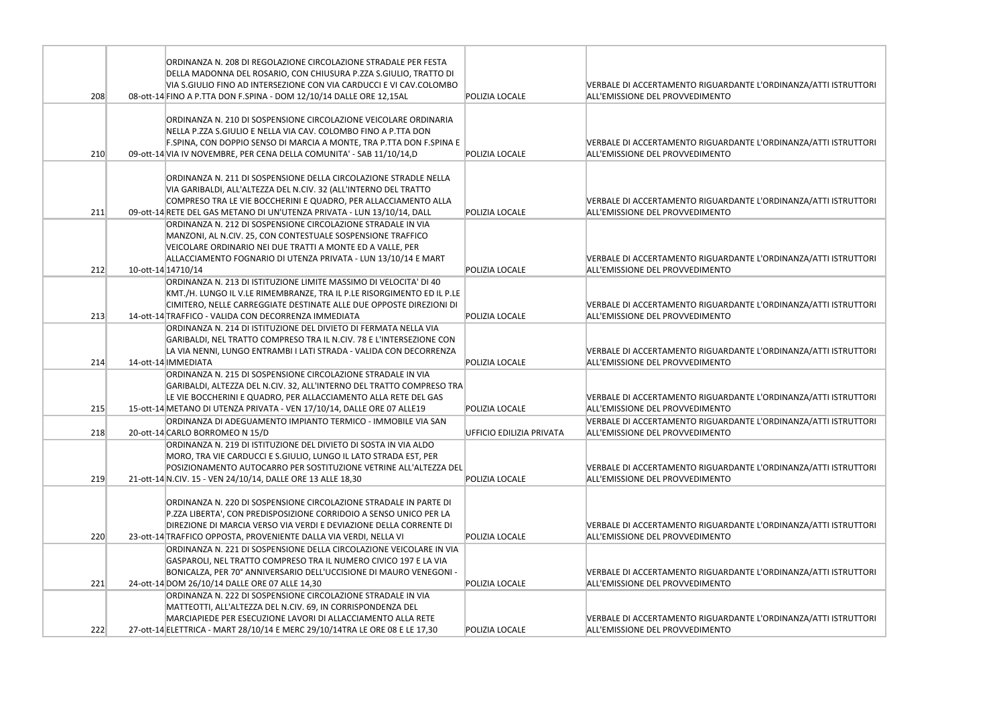|     | ORDINANZA N. 208 DI REGOLAZIONE CIRCOLAZIONE STRADALE PER FESTA<br>DELLA MADONNA DEL ROSARIO, CON CHIUSURA P.ZZA S.GIULIO, TRATTO DI<br>VIA S.GIULIO FINO AD INTERSEZIONE CON VIA CARDUCCI E VI CAV.COLOMBO                                                                        |                          | <b>VERBALE DI ACCERTAMENTO RIGUARDANTE</b>                                    |
|-----|------------------------------------------------------------------------------------------------------------------------------------------------------------------------------------------------------------------------------------------------------------------------------------|--------------------------|-------------------------------------------------------------------------------|
| 208 | 08-ott-14 FINO A P.TTA DON F.SPINA - DOM 12/10/14 DALLE ORE 12,15AL                                                                                                                                                                                                                | POLIZIA LOCALE           | ALL'EMISSIONE DEL PROVVEDIMENTO                                               |
| 210 | ORDINANZA N. 210 DI SOSPENSIONE CIRCOLAZIONE VEICOLARE ORDINARIA<br>NELLA P.ZZA S.GIULIO E NELLA VIA CAV. COLOMBO FINO A P.TTA DON<br>F.SPINA, CON DOPPIO SENSO DI MARCIA A MONTE, TRA P.TTA DON F.SPINA E<br>09-ott-14 VIA IV NOVEMBRE, PER CENA DELLA COMUNITA' - SAB 11/10/14,D | POLIZIA LOCALE           | <b>VERBALE DI ACCERTAMENTO RIGUARDANTE</b><br>ALL'EMISSIONE DEL PROVVEDIMENTO |
| 211 | ORDINANZA N. 211 DI SOSPENSIONE DELLA CIRCOLAZIONE STRADLE NELLA<br>VIA GARIBALDI, ALL'ALTEZZA DEL N.CIV. 32 (ALL'INTERNO DEL TRATTO<br>COMPRESO TRA LE VIE BOCCHERINI E QUADRO, PER ALLACCIAMENTO ALLA<br>09-ott-14 RETE DEL GAS METANO DI UN'UTENZA PRIVATA - LUN 13/10/14, DALL | <b>POLIZIA LOCALE</b>    | <b>VERBALE DI ACCERTAMENTO RIGUARDANTE</b><br>ALL'EMISSIONE DEL PROVVEDIMENTO |
| 212 | ORDINANZA N. 212 DI SOSPENSIONE CIRCOLAZIONE STRADALE IN VIA<br>MANZONI, AL N.CIV. 25, CON CONTESTUALE SOSPENSIONE TRAFFICO<br>VEICOLARE ORDINARIO NEI DUE TRATTI A MONTE ED A VALLE, PER<br>ALLACCIAMENTO FOGNARIO DI UTENZA PRIVATA - LUN 13/10/14 E MART<br>10-ott-14 14710/14  | <b>POLIZIA LOCALE</b>    | <b>VERBALE DI ACCERTAMENTO RIGUARDANTE</b><br>ALL'EMISSIONE DEL PROVVEDIMENTO |
| 213 | ORDINANZA N. 213 DI ISTITUZIONE LIMITE MASSIMO DI VELOCITA' DI 40<br>KMT./H. LUNGO IL V.LE RIMEMBRANZE, TRA IL P.LE RISORGIMENTO ED IL P.LE<br>CIMITERO, NELLE CARREGGIATE DESTINATE ALLE DUE OPPOSTE DIREZIONI DI<br>14-ott-14 TRAFFICO - VALIDA CON DECORRENZA IMMEDIATA         | POLIZIA LOCALE           | <b>VERBALE DI ACCERTAMENTO RIGUARDANTE</b><br>ALL'EMISSIONE DEL PROVVEDIMENTO |
| 214 | ORDINANZA N. 214 DI ISTITUZIONE DEL DIVIETO DI FERMATA NELLA VIA<br>GARIBALDI, NEL TRATTO COMPRESO TRA IL N.CIV. 78 E L'INTERSEZIONE CON<br>LA VIA NENNI, LUNGO ENTRAMBI I LATI STRADA - VALIDA CON DECORRENZA<br>14-ott-14 IMMEDIATA                                              | POLIZIA LOCALE           | <b>VERBALE DI ACCERTAMENTO RIGUARDANTE</b><br>ALL'EMISSIONE DEL PROVVEDIMENTO |
| 215 | ORDINANZA N. 215 DI SOSPENSIONE CIRCOLAZIONE STRADALE IN VIA<br>GARIBALDI, ALTEZZA DEL N.CIV. 32, ALL'INTERNO DEL TRATTO COMPRESO TRA<br>LE VIE BOCCHERINI E QUADRO, PER ALLACCIAMENTO ALLA RETE DEL GAS<br>15-ott-14 METANO DI UTENZA PRIVATA - VEN 17/10/14, DALLE ORE 07 ALLE19 | POLIZIA LOCALE           | <b>VERBALE DI ACCERTAMENTO RIGUARDANTE</b><br>ALL'EMISSIONE DEL PROVVEDIMENTO |
| 218 | ORDINANZA DI ADEGUAMENTO IMPIANTO TERMICO - IMMOBILE VIA SAN<br>20-ott-14 CARLO BORROMEO N 15/D                                                                                                                                                                                    | UFFICIO EDILIZIA PRIVATA | <b>VERBALE DI ACCERTAMENTO RIGUARDANTE</b><br>ALL'EMISSIONE DEL PROVVEDIMENTO |
| 219 | ORDINANZA N. 219 DI ISTITUZIONE DEL DIVIETO DI SOSTA IN VIA ALDO<br>MORO, TRA VIE CARDUCCI E S.GIULIO, LUNGO IL LATO STRADA EST, PER<br>POSIZIONAMENTO AUTOCARRO PER SOSTITUZIONE VETRINE ALL'ALTEZZA DEL<br>21-ott-14 N.CIV. 15 - VEN 24/10/14, DALLE ORE 13 ALLE 18,30           | POLIZIA LOCALE           | <b>VERBALE DI ACCERTAMENTO RIGUARDANTE</b><br>ALL'EMISSIONE DEL PROVVEDIMENTO |
| 220 | ORDINANZA N. 220 DI SOSPENSIONE CIRCOLAZIONE STRADALE IN PARTE DI<br>P.ZZA LIBERTA', CON PREDISPOSIZIONE CORRIDOIO A SENSO UNICO PER LA<br>DIREZIONE DI MARCIA VERSO VIA VERDI E DEVIAZIONE DELLA CORRENTE DI<br>23-ott-14 TRAFFICO OPPOSTA, PROVENIENTE DALLA VIA VERDI, NELLA VI | POLIZIA LOCALE           | <b>VERBALE DI ACCERTAMENTO RIGUARDANTE</b><br>ALL'EMISSIONE DEL PROVVEDIMENTO |
| 221 | ORDINANZA N. 221 DI SOSPENSIONE DELLA CIRCOLAZIONE VEICOLARE IN VIA<br>GASPAROLI, NEL TRATTO COMPRESO TRA IL NUMERO CIVICO 197 E LA VIA<br>BONICALZA, PER 70° ANNIVERSARIO DELL'UCCISIONE DI MAURO VENEGONI -<br>24-ott-14 DOM 26/10/14 DALLE ORE 07 ALLE 14,30                    | POLIZIA LOCALE           | <b>VERBALE DI ACCERTAMENTO RIGUARDANTE</b><br>ALL'EMISSIONE DEL PROVVEDIMENTO |
| 222 | ORDINANZA N. 222 DI SOSPENSIONE CIRCOLAZIONE STRADALE IN VIA<br>MATTEOTTI, ALL'ALTEZZA DEL N.CIV. 69, IN CORRISPONDENZA DEL<br>MARCIAPIEDE PER ESECUZIONE LAVORI DI ALLACCIAMENTO ALLA RETE<br>27-ott-14 ELETTRICA - MART 28/10/14 E MERC 29/10/14TRA LE ORE 08 E LE 17,30         | POLIZIA LOCALE           | <b>VERBALE DI ACCERTAMENTO RIGUARDANTE</b><br>ALL'EMISSIONE DEL PROVVEDIMENTO |

E L'ORDINANZA/ATTI ISTRUTTORI

E L'ORDINANZA/ATTI ISTRUTTORI

E L'ORDINANZA/ATTI ISTRUTTORI

E L'ORDINANZA/ATTI ISTRUTTORI

E L'ORDINANZA/ATTI ISTRUTTORI

E L'ORDINANZA/ATTI ISTRUTTORI

E L'ORDINANZA/ATTI ISTRUTTORI

E L'ORDINANZA/ATTI ISTRUTTORI

E L'ORDINANZA/ATTI ISTRUTTORI

E L'ORDINANZA/ATTI ISTRUTTORI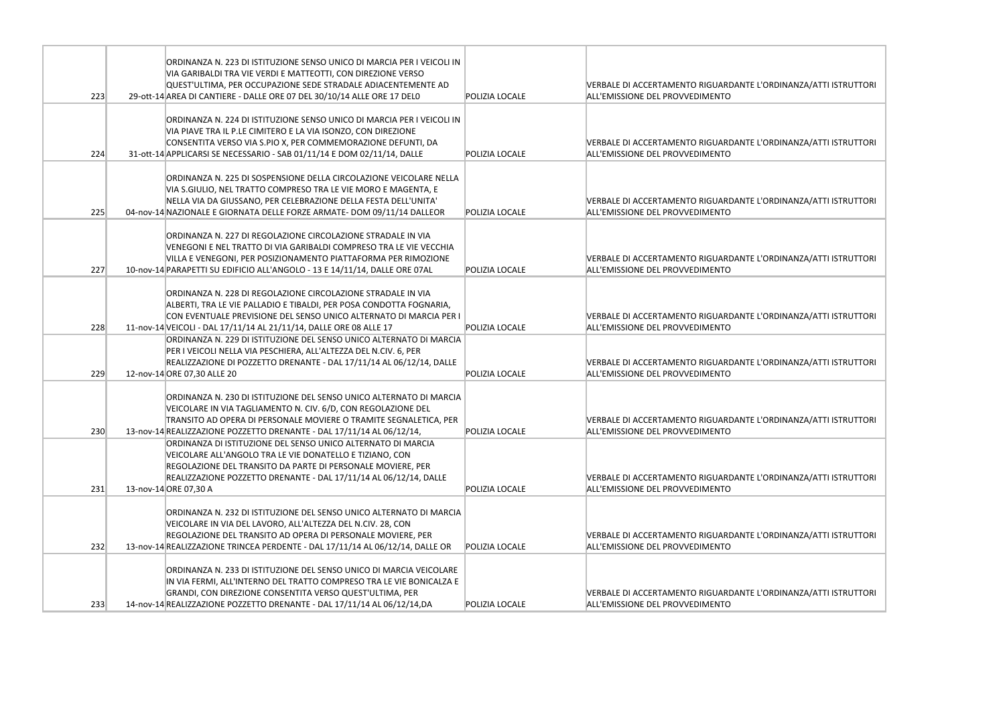|     | ORDINANZA N. 223 DI ISTITUZIONE SENSO UNICO DI MARCIA PER I VEICOLI IN<br>VIA GARIBALDI TRA VIE VERDI E MATTEOTTI, CON DIREZIONE VERSO<br>QUEST'ULTIMA, PER OCCUPAZIONE SEDE STRADALE ADIACENTEMENTE AD                                                                               |                | <b>VERBALE DI ACCERTAMENTO RIGUARDANTE</b>                                    |
|-----|---------------------------------------------------------------------------------------------------------------------------------------------------------------------------------------------------------------------------------------------------------------------------------------|----------------|-------------------------------------------------------------------------------|
| 223 | 29-ott-14 AREA DI CANTIERE - DALLE ORE 07 DEL 30/10/14 ALLE ORE 17 DELO                                                                                                                                                                                                               | POLIZIA LOCALE | ALL'EMISSIONE DEL PROVVEDIMENTO                                               |
| 224 | ORDINANZA N. 224 DI ISTITUZIONE SENSO UNICO DI MARCIA PER I VEICOLI IN<br>VIA PIAVE TRA IL P.LE CIMITERO E LA VIA ISONZO, CON DIREZIONE<br>CONSENTITA VERSO VIA S.PIO X, PER COMMEMORAZIONE DEFUNTI, DA<br>31-ott-14 APPLICARSI SE NECESSARIO - SAB 01/11/14 E DOM 02/11/14, DALLE    | POLIZIA LOCALE | <b>VERBALE DI ACCERTAMENTO RIGUARDANTE</b><br>ALL'EMISSIONE DEL PROVVEDIMENTO |
| 225 | ORDINANZA N. 225 DI SOSPENSIONE DELLA CIRCOLAZIONE VEICOLARE NELLA<br>VIA S.GIULIO, NEL TRATTO COMPRESO TRA LE VIE MORO E MAGENTA, E<br>NELLA VIA DA GIUSSANO, PER CELEBRAZIONE DELLA FESTA DELL'UNITA'<br>04-nov-14 NAZIONALE E GIORNATA DELLE FORZE ARMATE- DOM 09/11/14 DALLEOR    | POLIZIA LOCALF | <b>VERBALE DI ACCERTAMENTO RIGUARDANTE</b><br>ALL'EMISSIONE DEL PROVVEDIMENTO |
| 227 | ORDINANZA N. 227 DI REGOLAZIONE CIRCOLAZIONE STRADALE IN VIA<br>VENEGONI E NEL TRATTO DI VIA GARIBALDI COMPRESO TRA LE VIE VECCHIA<br>VILLA E VENEGONI, PER POSIZIONAMENTO PIATTAFORMA PER RIMOZIONE<br>10-nov-14 PARAPETTI SU EDIFICIO ALL'ANGOLO - 13 E 14/11/14, DALLE ORE 07AL    | POLIZIA LOCALE | <b>VERBALE DI ACCERTAMENTO RIGUARDANTE</b><br>ALL'EMISSIONE DEL PROVVEDIMENTO |
| 228 | ORDINANZA N. 228 DI REGOLAZIONE CIRCOLAZIONE STRADALE IN VIA<br>ALBERTI, TRA LE VIE PALLADIO E TIBALDI, PER POSA CONDOTTA FOGNARIA,<br>CON EVENTUALE PREVISIONE DEL SENSO UNICO ALTERNATO DI MARCIA PER I<br>11-nov-14 VEICOLI - DAL 17/11/14 AL 21/11/14, DALLE ORE 08 ALLE 17       | POLIZIA LOCALE | <b>VERBALE DI ACCERTAMENTO RIGUARDANTE</b><br>ALL'EMISSIONE DEL PROVVEDIMENTO |
| 229 | ORDINANZA N. 229 DI ISTITUZIONE DEL SENSO UNICO ALTERNATO DI MARCIA<br>PER I VEICOLI NELLA VIA PESCHIERA, ALL'ALTEZZA DEL N.CIV. 6, PER<br>REALIZZAZIONE DI POZZETTO DRENANTE - DAL 17/11/14 AL 06/12/14, DALLE<br>12-nov-14 ORE 07,30 ALLE 20                                        | POLIZIA LOCALE | <b>VERBALE DI ACCERTAMENTO RIGUARDANTE</b><br>ALL'EMISSIONE DEL PROVVEDIMENTO |
| 230 | ORDINANZA N. 230 DI ISTITUZIONE DEL SENSO UNICO ALTERNATO DI MARCIA<br>VEICOLARE IN VIA TAGLIAMENTO N. CIV. 6/D, CON REGOLAZIONE DEL<br>TRANSITO AD OPERA DI PERSONALE MOVIERE O TRAMITE SEGNALETICA, PER<br>13-nov-14 REALIZZAZIONE POZZETTO DRENANTE - DAL 17/11/14 AL 06/12/14,    | POLIZIA LOCALE | VERBALE DI ACCERTAMENTO RIGUARDANTE<br>ALL'EMISSIONE DEL PROVVEDIMENTO        |
| 231 | ORDINANZA DI ISTITUZIONE DEL SENSO UNICO ALTERNATO DI MARCIA<br>VEICOLARE ALL'ANGOLO TRA LE VIE DONATELLO E TIZIANO, CON<br>REGOLAZIONE DEL TRANSITO DA PARTE DI PERSONALE MOVIERE, PER<br>REALIZZAZIONE POZZETTO DRENANTE - DAL 17/11/14 AL 06/12/14, DALLE<br>13-nov-14 ORE 07,30 A | POLIZIA LOCALE | <b>VERBALE DI ACCERTAMENTO RIGUARDANTE</b><br>ALL'EMISSIONE DEL PROVVEDIMENTO |
| 232 | ORDINANZA N. 232 DI ISTITUZIONE DEL SENSO UNICO ALTERNATO DI MARCIA<br>VEICOLARE IN VIA DEL LAVORO, ALL'ALTEZZA DEL N.CIV. 28, CON<br>REGOLAZIONE DEL TRANSITO AD OPERA DI PERSONALE MOVIERE, PER<br>13-nov-14 REALIZZAZIONE TRINCEA PERDENTE - DAL 17/11/14 AL 06/12/14, DALLE OR    | POLIZIA LOCALE | <b>VERBALE DI ACCERTAMENTO RIGUARDANTE</b><br>ALL'EMISSIONE DEL PROVVEDIMENTO |
| 233 | ORDINANZA N. 233 DI ISTITUZIONE DEL SENSO UNICO DI MARCIA VEICOLARE<br>IN VIA FERMI, ALL'INTERNO DEL TRATTO COMPRESO TRA LE VIE BONICALZA E<br>GRANDI, CON DIREZIONE CONSENTITA VERSO QUEST'ULTIMA, PER<br>14-nov-14 REALIZZAZIONE POZZETTO DRENANTE - DAL 17/11/14 AL 06/12/14, DA   | POLIZIA LOCALE | <b>VERBALE DI ACCERTAMENTO RIGUARDANTE</b><br>ALL'EMISSIONE DEL PROVVEDIMENTO |

E L'ORDINANZA/ATTI ISTRUTTORI

E L'ORDINANZA/ATTI ISTRUTTORI

E L'ORDINANZA/ATTI ISTRUTTORI

E L'ORDINANZA/ATTI ISTRUTTORI

E L'ORDINANZA/ATTI ISTRUTTORI

E L'ORDINANZA/ATTI ISTRUTTORI

E L'ORDINANZA/ATTI ISTRUTTORI

E L'ORDINANZA/ATTI ISTRUTTORI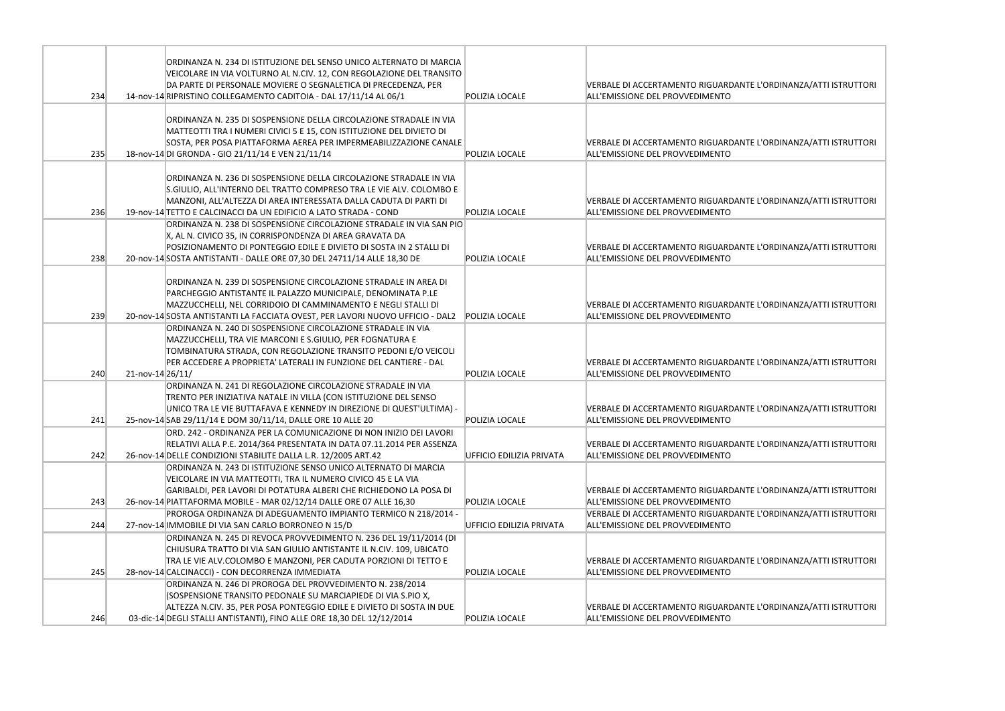|     |                  | ORDINANZA N. 234 DI ISTITUZIONE DEL SENSO UNICO ALTERNATO DI MARCIA                                                             |                          |                                                                               |
|-----|------------------|---------------------------------------------------------------------------------------------------------------------------------|--------------------------|-------------------------------------------------------------------------------|
|     |                  | VEICOLARE IN VIA VOLTURNO AL N.CIV. 12, CON REGOLAZIONE DEL TRANSITO                                                            |                          |                                                                               |
|     |                  | DA PARTE DI PERSONALE MOVIERE O SEGNALETICA DI PRECEDENZA, PER                                                                  |                          | <b>VERBALE DI ACCERTAMENTO RIGUARDANTE</b>                                    |
| 234 |                  | 14-nov-14 RIPRISTINO COLLEGAMENTO CADITOIA - DAL 17/11/14 AL 06/1                                                               | POLIZIA LOCALE           | ALL'EMISSIONE DEL PROVVEDIMENTO                                               |
|     |                  |                                                                                                                                 |                          |                                                                               |
|     |                  | ORDINANZA N. 235 DI SOSPENSIONE DELLA CIRCOLAZIONE STRADALE IN VIA                                                              |                          |                                                                               |
|     |                  | MATTEOTTI TRA I NUMERI CIVICI 5 E 15, CON ISTITUZIONE DEL DIVIETO DI                                                            |                          |                                                                               |
| 235 |                  | SOSTA, PER POSA PIATTAFORMA AEREA PER IMPERMEABILIZZAZIONE CANALE<br>18-nov-14 DI GRONDA - GIO 21/11/14 E VEN 21/11/14          | POLIZIA LOCALE           | <b>VERBALE DI ACCERTAMENTO RIGUARDANTE</b><br>ALL'EMISSIONE DEL PROVVEDIMENTO |
|     |                  |                                                                                                                                 |                          |                                                                               |
|     |                  | ORDINANZA N. 236 DI SOSPENSIONE DELLA CIRCOLAZIONE STRADALE IN VIA                                                              |                          |                                                                               |
|     |                  | S.GIULIO, ALL'INTERNO DEL TRATTO COMPRESO TRA LE VIE ALV. COLOMBO E                                                             |                          |                                                                               |
|     |                  | MANZONI, ALL'ALTEZZA DI AREA INTERESSATA DALLA CADUTA DI PARTI DI                                                               |                          | VERBALE DI ACCERTAMENTO RIGUARDANTE                                           |
| 236 |                  | 19-nov-14 TETTO E CALCINACCI DA UN EDIFICIO A LATO STRADA - COND                                                                | POLIZIA LOCALE           | ALL'EMISSIONE DEL PROVVEDIMENTO                                               |
|     |                  | ORDINANZA N. 238 DI SOSPENSIONE CIRCOLAZIONE STRADALE IN VIA SAN PIO                                                            |                          |                                                                               |
|     |                  | X, AL N. CIVICO 35, IN CORRISPONDENZA DI AREA GRAVATA DA                                                                        |                          |                                                                               |
|     |                  | POSIZIONAMENTO DI PONTEGGIO EDILE E DIVIETO DI SOSTA IN 2 STALLI DI                                                             |                          | <b>VERBALE DI ACCERTAMENTO RIGUARDANTE</b>                                    |
| 238 |                  | 20-nov-14 SOSTA ANTISTANTI - DALLE ORE 07,30 DEL 24711/14 ALLE 18,30 DE                                                         | <b>POLIZIA LOCALE</b>    | ALL'EMISSIONE DEL PROVVEDIMENTO                                               |
|     |                  |                                                                                                                                 |                          |                                                                               |
|     |                  | ORDINANZA N. 239 DI SOSPENSIONE CIRCOLAZIONE STRADALE IN AREA DI                                                                |                          |                                                                               |
|     |                  | PARCHEGGIO ANTISTANTE IL PALAZZO MUNICIPALE, DENOMINATA P.LE                                                                    |                          |                                                                               |
|     |                  | MAZZUCCHELLI, NEL CORRIDOIO DI CAMMINAMENTO E NEGLI STALLI DI                                                                   |                          | VERBALE DI ACCERTAMENTO RIGUARDANTE                                           |
| 239 |                  | 20-nov-14 SOSTA ANTISTANTI LA FACCIATA OVEST, PER LAVORI NUOVO UFFICIO - DAL2                                                   | <b>POLIZIA LOCALE</b>    | ALL'EMISSIONE DEL PROVVEDIMENTO                                               |
|     |                  | ORDINANZA N. 240 DI SOSPENSIONE CIRCOLAZIONE STRADALE IN VIA                                                                    |                          |                                                                               |
|     |                  | MAZZUCCHELLI, TRA VIE MARCONI E S.GIULIO, PER FOGNATURA E                                                                       |                          |                                                                               |
|     |                  | TOMBINATURA STRADA, CON REGOLAZIONE TRANSITO PEDONI E/O VEICOLI                                                                 |                          |                                                                               |
|     |                  | PER ACCEDERE A PROPRIETA' LATERALI IN FUNZIONE DEL CANTIERE - DAL                                                               |                          | VERBALE DI ACCERTAMENTO RIGUARDANTE                                           |
| 240 | 21-nov-14 26/11/ |                                                                                                                                 | POLIZIA LOCALE           | ALL'EMISSIONE DEL PROVVEDIMENTO                                               |
|     |                  | ORDINANZA N. 241 DI REGOLAZIONE CIRCOLAZIONE STRADALE IN VIA                                                                    |                          |                                                                               |
|     |                  | TRENTO PER INIZIATIVA NATALE IN VILLA (CON ISTITUZIONE DEL SENSO                                                                |                          |                                                                               |
|     |                  | UNICO TRA LE VIE BUTTAFAVA E KENNEDY IN DIREZIONE DI QUEST'ULTIMA) -                                                            |                          | <b>VERBALE DI ACCERTAMENTO RIGUARDANTE</b>                                    |
| 241 |                  | 25-nov-14 SAB 29/11/14 E DOM 30/11/14, DALLE ORE 10 ALLE 20                                                                     | POLIZIA LOCALE           | ALL'EMISSIONE DEL PROVVEDIMENTO                                               |
|     |                  | ORD. 242 - ORDINANZA PER LA COMUNICAZIONE DI NON INIZIO DEI LAVORI                                                              |                          |                                                                               |
|     |                  | RELATIVI ALLA P.E. 2014/364 PRESENTATA IN DATA 07.11.2014 PER ASSENZA                                                           |                          | VERBALE DI ACCERTAMENTO RIGUARDANTE<br>ALL'EMISSIONE DEL PROVVEDIMENTO        |
| 242 |                  | 26-nov-14 DELLE CONDIZIONI STABILITE DALLA L.R. 12/2005 ART.42                                                                  | UFFICIO EDILIZIA PRIVATA |                                                                               |
|     |                  | ORDINANZA N. 243 DI ISTITUZIONE SENSO UNICO ALTERNATO DI MARCIA<br>VEICOLARE IN VIA MATTEOTTI, TRA IL NUMERO CIVICO 45 E LA VIA |                          |                                                                               |
|     |                  | GARIBALDI, PER LAVORI DI POTATURA ALBERI CHE RICHIEDONO LA POSA DI                                                              |                          | VERBALE DI ACCERTAMENTO RIGUARDANTE                                           |
| 243 |                  | 26-nov-14 PIATTAFORMA MOBILE - MAR 02/12/14 DALLE ORE 07 ALLE 16,30                                                             | POLIZIA LOCALE           | ALL'EMISSIONE DEL PROVVEDIMENTO                                               |
|     |                  | PROROGA ORDINANZA DI ADEGUAMENTO IMPIANTO TERMICO N 218/2014 -                                                                  |                          | VERBALE DI ACCERTAMENTO RIGUARDANTE                                           |
| 244 |                  | 27-nov-14 IMMOBILE DI VIA SAN CARLO BORRONEO N 15/D                                                                             | UFFICIO EDILIZIA PRIVATA | ALL'EMISSIONE DEL PROVVEDIMENTO                                               |
|     |                  | ORDINANZA N. 245 DI REVOCA PROVVEDIMENTO N. 236 DEL 19/11/2014 (DI                                                              |                          |                                                                               |
|     |                  | CHIUSURA TRATTO DI VIA SAN GIULIO ANTISTANTE IL N.CIV. 109, UBICATO                                                             |                          |                                                                               |
|     |                  | TRA LE VIE ALV.COLOMBO E MANZONI, PER CADUTA PORZIONI DI TETTO E                                                                |                          | VERBALE DI ACCERTAMENTO RIGUARDANTE                                           |
| 245 |                  | 28-nov-14 CALCINACCI) - CON DECORRENZA IMMEDIATA                                                                                | POLIZIA LOCALE           | ALL'EMISSIONE DEL PROVVEDIMENTO                                               |
|     |                  | ORDINANZA N. 246 DI PROROGA DEL PROVVEDIMENTO N. 238/2014                                                                       |                          |                                                                               |
|     |                  | (SOSPENSIONE TRANSITO PEDONALE SU MARCIAPIEDE DI VIA S.PIO X,                                                                   |                          |                                                                               |
|     |                  | ALTEZZA N.CIV. 35, PER POSA PONTEGGIO EDILE E DIVIETO DI SOSTA IN DUE                                                           |                          | VERBALE DI ACCERTAMENTO RIGUARDANTE                                           |
| 246 |                  | 03-dic-14 DEGLI STALLI ANTISTANTI), FINO ALLE ORE 18,30 DEL 12/12/2014                                                          | POLIZIA LOCALE           | ALL'EMISSIONE DEL PROVVEDIMENTO                                               |

E L'ORDINANZA/ATTI ISTRUTTORI

E L'ORDINANZA/ATTI ISTRUTTORI

E L'ORDINANZA/ATTI ISTRUTTORI

E L'ORDINANZA/ATTI ISTRUTTORI

E L'ORDINANZA/ATTI ISTRUTTORI

E L'ORDINANZA/ATTI ISTRUTTORI

E L'ORDINANZA/ATTI ISTRUTTORI

E L'ORDINANZA/ATTI ISTRUTTORI

E L'ORDINANZA/ATTI ISTRUTTORI

E L'ORDINANZA/ATTI ISTRUTTORI